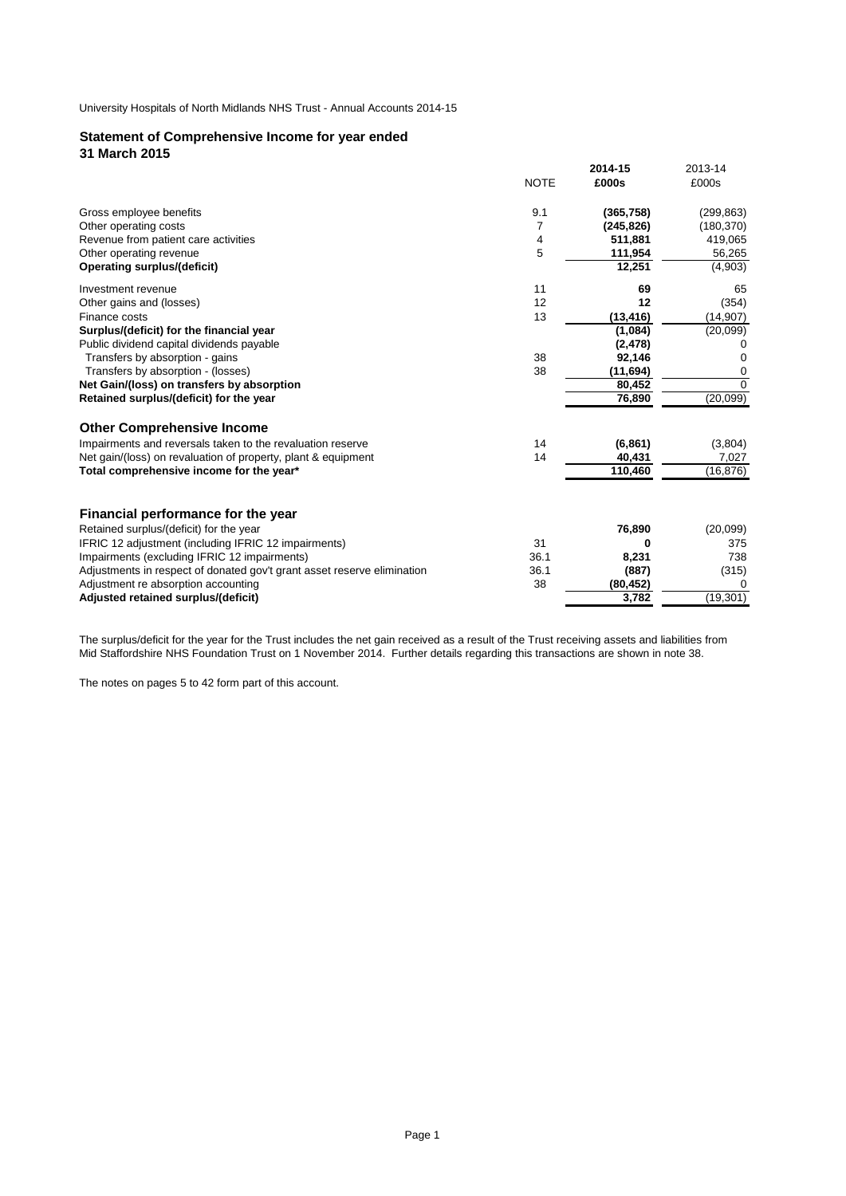# **Statement of Comprehensive Income for year ended 31 March 2015**

|                                                                         |             | 2014-15    | 2013-14    |
|-------------------------------------------------------------------------|-------------|------------|------------|
|                                                                         | <b>NOTE</b> | £000s      | £000s      |
| Gross employee benefits                                                 | 9.1         | (365, 758) | (299, 863) |
| Other operating costs                                                   | 7           | (245, 826) | (180, 370) |
| Revenue from patient care activities                                    | 4           | 511,881    | 419,065    |
| Other operating revenue                                                 | 5           | 111,954    | 56,265     |
| <b>Operating surplus/(deficit)</b>                                      |             | 12,251     | (4,903)    |
| Investment revenue                                                      | 11          | 69         | 65         |
| Other gains and (losses)                                                | 12          | 12         | (354)      |
| Finance costs                                                           | 13          | (13, 416)  | (14, 907)  |
| Surplus/(deficit) for the financial year                                |             | (1,084)    | (20,099)   |
| Public dividend capital dividends payable                               |             | (2, 478)   |            |
| Transfers by absorption - gains                                         | 38          | 92,146     | 0          |
| Transfers by absorption - (losses)                                      | 38          | (11, 694)  | 0          |
| Net Gain/(loss) on transfers by absorption                              |             | 80.452     | $\Omega$   |
| Retained surplus/(deficit) for the year                                 |             | 76,890     | (20,099)   |
| <b>Other Comprehensive Income</b>                                       |             |            |            |
| Impairments and reversals taken to the revaluation reserve              | 14          | (6, 861)   | (3,804)    |
| Net gain/(loss) on revaluation of property, plant & equipment           | 14          | 40.431     | 7,027      |
| Total comprehensive income for the year*                                |             | 110,460    | (16, 876)  |
| Financial performance for the year                                      |             |            |            |
| Retained surplus/(deficit) for the year                                 |             | 76,890     | (20,099)   |
| IFRIC 12 adjustment (including IFRIC 12 impairments)                    | 31          | 0          | 375        |
| Impairments (excluding IFRIC 12 impairments)                            | 36.1        | 8,231      | 738        |
| Adjustments in respect of donated gov't grant asset reserve elimination | 36.1        | (887)      | (315)      |
| Adjustment re absorption accounting                                     | 38          | (80, 452)  | $\Omega$   |
| Adjusted retained surplus/(deficit)                                     |             | 3,782      | (19, 301)  |
|                                                                         |             |            |            |

The surplus/deficit for the year for the Trust includes the net gain received as a result of the Trust receiving assets and liabilities from Mid Staffordshire NHS Foundation Trust on 1 November 2014. Further details regarding this transactions are shown in note 38.

The notes on pages 5 to 42 form part of this account.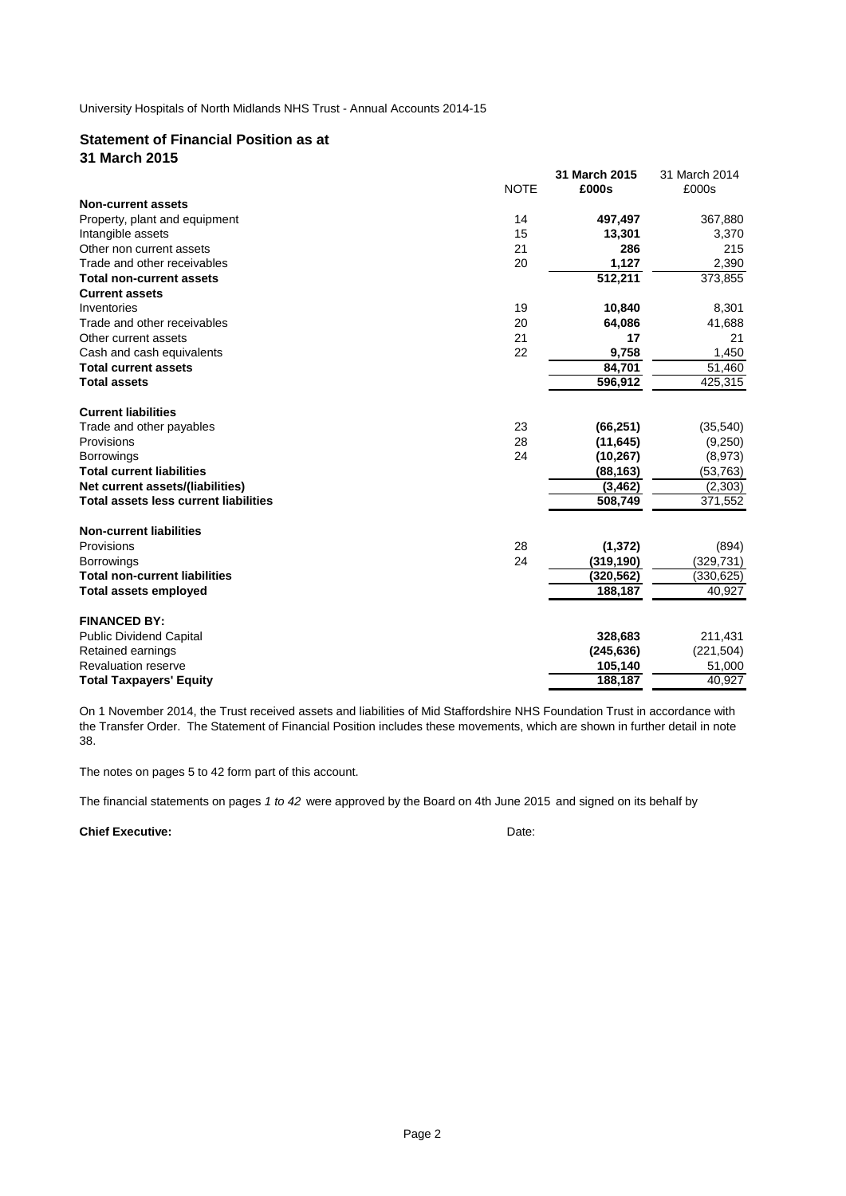# **Statement of Financial Position as at**

**31 March 2015**

|                                              |             | 31 March 2015 | 31 March 2014 |
|----------------------------------------------|-------------|---------------|---------------|
|                                              | <b>NOTE</b> | £000s         | £000s         |
| Non-current assets                           |             |               |               |
| Property, plant and equipment                | 14          | 497,497       | 367,880       |
| Intangible assets                            | 15          | 13,301        | 3,370         |
| Other non current assets                     | 21          | 286           | 215           |
| Trade and other receivables                  | 20          | 1,127         | 2,390         |
| <b>Total non-current assets</b>              |             | 512,211       | 373,855       |
| <b>Current assets</b>                        |             |               |               |
| Inventories                                  | 19          | 10,840        | 8,301         |
| Trade and other receivables                  | 20          | 64,086        | 41,688        |
| Other current assets                         | 21          | 17            | 21            |
| Cash and cash equivalents                    | 22          | 9,758         | 1,450         |
| <b>Total current assets</b>                  |             | 84,701        | 51,460        |
| <b>Total assets</b>                          |             | 596,912       | 425,315       |
| <b>Current liabilities</b>                   |             |               |               |
| Trade and other payables                     | 23          | (66, 251)     | (35, 540)     |
| Provisions                                   | 28          | (11, 645)     | (9,250)       |
| <b>Borrowings</b>                            | 24          | (10, 267)     | (8,973)       |
| <b>Total current liabilities</b>             |             | (88, 163)     | (53, 763)     |
| Net current assets/(liabilities)             |             | (3, 462)      | (2,303)       |
| <b>Total assets less current liabilities</b> |             | 508,749       | 371,552       |
| <b>Non-current liabilities</b>               |             |               |               |
| Provisions                                   | 28          | (1, 372)      | (894)         |
| <b>Borrowings</b>                            | 24          | (319, 190)    | (329, 731)    |
| <b>Total non-current liabilities</b>         |             | (320,562)     | (330,625)     |
| <b>Total assets employed</b>                 |             | 188,187       | 40,927        |
| <b>FINANCED BY:</b>                          |             |               |               |
| <b>Public Dividend Capital</b>               |             | 328,683       | 211,431       |
| Retained earnings                            |             | (245, 636)    | (221, 504)    |
| <b>Revaluation reserve</b>                   |             | 105,140       | 51,000        |
| <b>Total Taxpayers' Equity</b>               |             | 188,187       | 40.927        |

On 1 November 2014, the Trust received assets and liabilities of Mid Staffordshire NHS Foundation Trust in accordance with the Transfer Order. The Statement of Financial Position includes these movements, which are shown in further detail in note 38.

The notes on pages 5 to 42 form part of this account.

The financial statements on pages *1 to 42* were approved by the Board on 4th June 2015 and signed on its behalf by

# **Chief Executive:** Date: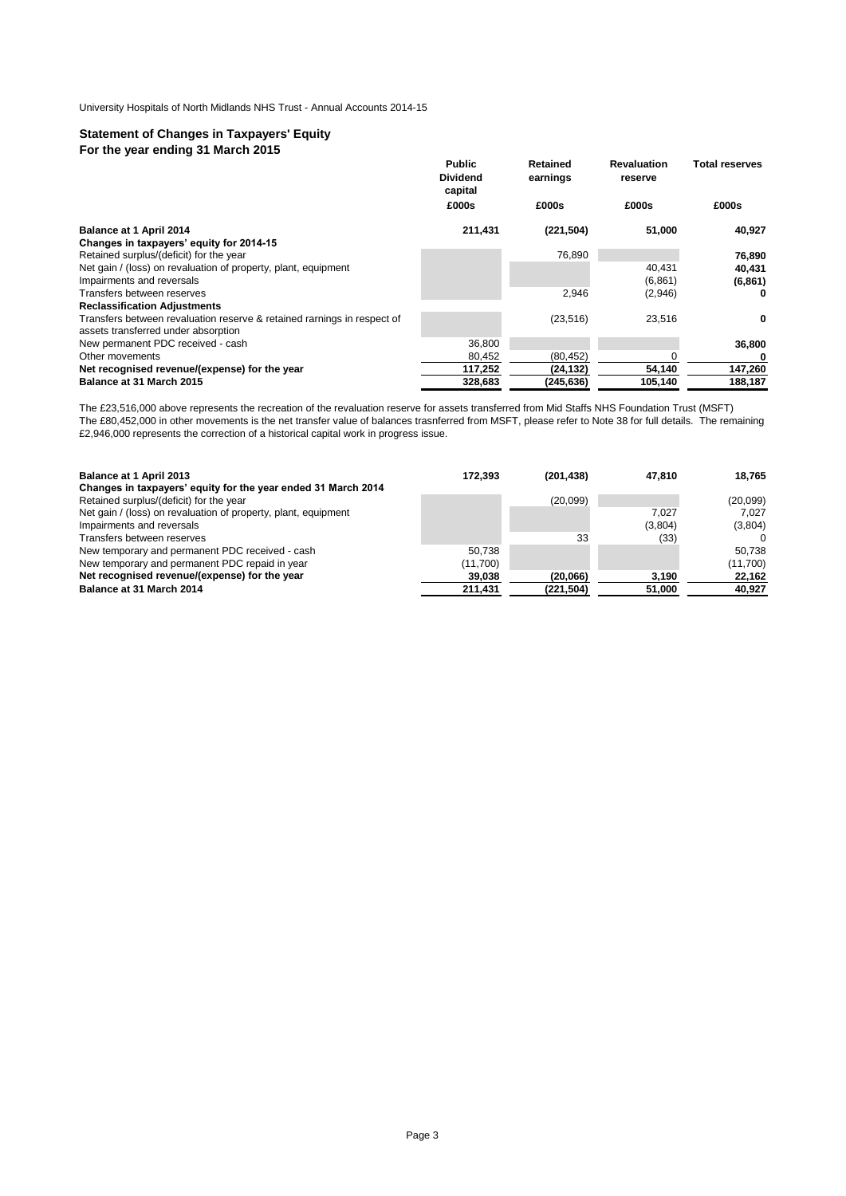# **Statement of Changes in Taxpayers' Equity For the year ending 31 March 2015**

|                                                                                                                | <b>Public</b><br><b>Dividend</b><br>capital | Retained<br>earnings | <b>Revaluation</b><br>reserve | <b>Total reserves</b> |
|----------------------------------------------------------------------------------------------------------------|---------------------------------------------|----------------------|-------------------------------|-----------------------|
|                                                                                                                | £000s                                       | £000s                | £000s                         | £000s                 |
| Balance at 1 April 2014                                                                                        | 211,431                                     | (221, 504)           | 51,000                        | 40,927                |
| Changes in taxpayers' equity for 2014-15                                                                       |                                             |                      |                               |                       |
| Retained surplus/(deficit) for the year                                                                        |                                             | 76,890               |                               | 76,890                |
| Net gain / (loss) on revaluation of property, plant, equipment                                                 |                                             |                      | 40,431                        | 40,431                |
| Impairments and reversals                                                                                      |                                             |                      | (6,861)                       | (6,861)               |
| Transfers between reserves                                                                                     |                                             | 2,946                | (2,946)                       | 0                     |
| <b>Reclassification Adjustments</b>                                                                            |                                             |                      |                               |                       |
| Transfers between revaluation reserve & retained rarnings in respect of<br>assets transferred under absorption |                                             | (23, 516)            | 23,516                        | 0                     |
| New permanent PDC received - cash                                                                              | 36,800                                      |                      |                               | 36,800                |
| Other movements                                                                                                | 80,452                                      | (80, 452)            |                               | 0                     |
| Net recognised revenue/(expense) for the year                                                                  | 117,252                                     | (24, 132)            | 54,140                        | 147,260               |
| Balance at 31 March 2015                                                                                       | 328.683                                     | (245, 636)           | 105,140                       | 188.187               |

The £23,516,000 above represents the recreation of the revaluation reserve for assets transferred from Mid Staffs NHS Foundation Trust (MSFT) The £80,452,000 in other movements is the net transfer value of balances trasnferred from MSFT, please refer to Note 38 for full details. The remaining £2,946,000 represents the correction of a historical capital work in progress issue.

| Balance at 1 April 2013                                        | 172.393  | (201.438)  | 47.810  | 18.765   |
|----------------------------------------------------------------|----------|------------|---------|----------|
| Changes in taxpayers' equity for the year ended 31 March 2014  |          |            |         |          |
| Retained surplus/(deficit) for the year                        |          | (20,099)   |         | (20,099) |
| Net gain / (loss) on revaluation of property, plant, equipment |          |            | 7.027   | 7.027    |
| Impairments and reversals                                      |          |            | (3,804) | (3,804)  |
| Transfers between reserves                                     |          | 33         | (33)    | n        |
| New temporary and permanent PDC received - cash                | 50.738   |            |         | 50.738   |
| New temporary and permanent PDC repaid in year                 | (11,700) |            |         | (11,700) |
| Net recognised revenue/(expense) for the year                  | 39,038   | (20,066)   | 3.190   | 22,162   |
| Balance at 31 March 2014                                       | 211,431  | (221, 504) | 51,000  | 40,927   |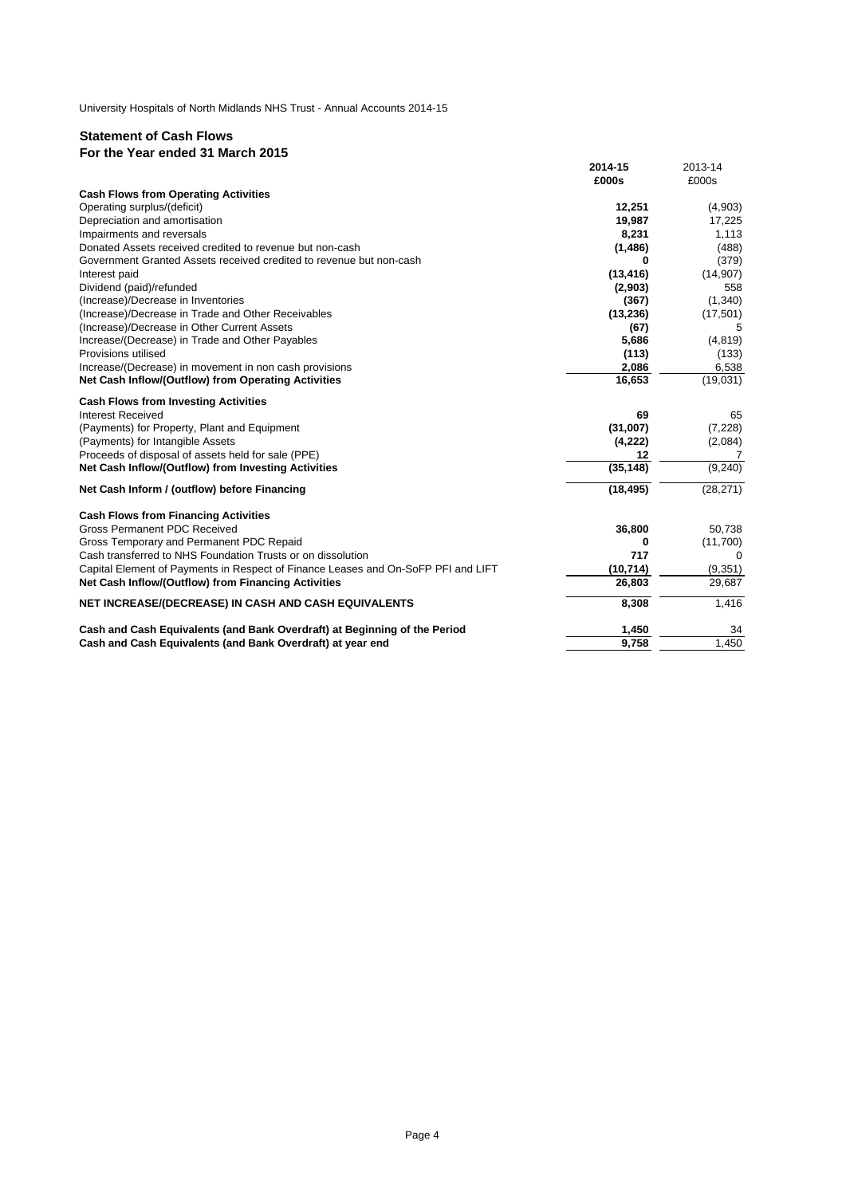# **Statement of Cash Flows For the Year ended 31 March 2015**

|                                                                                   | 2014-15   | 2013-14   |
|-----------------------------------------------------------------------------------|-----------|-----------|
|                                                                                   | £000s     | £000s     |
| <b>Cash Flows from Operating Activities</b>                                       |           |           |
| Operating surplus/(deficit)                                                       | 12,251    | (4,903)   |
| Depreciation and amortisation                                                     | 19.987    | 17,225    |
| Impairments and reversals                                                         | 8,231     | 1,113     |
| Donated Assets received credited to revenue but non-cash                          | (1, 486)  | (488)     |
| Government Granted Assets received credited to revenue but non-cash               | 0         | (379)     |
| Interest paid                                                                     | (13, 416) | (14,907)  |
| Dividend (paid)/refunded                                                          | (2,903)   | 558       |
| (Increase)/Decrease in Inventories                                                | (367)     | (1,340)   |
| (Increase)/Decrease in Trade and Other Receivables                                | (13, 236) | (17, 501) |
| (Increase)/Decrease in Other Current Assets                                       | (67)      | 5         |
| Increase/(Decrease) in Trade and Other Payables                                   | 5,686     | (4, 819)  |
| Provisions utilised                                                               | (113)     | (133)     |
| Increase/(Decrease) in movement in non cash provisions                            | 2,086     | 6,538     |
| Net Cash Inflow/(Outflow) from Operating Activities                               | 16,653    | (19,031)  |
| <b>Cash Flows from Investing Activities</b>                                       |           |           |
| <b>Interest Received</b>                                                          | 69        | 65        |
| (Payments) for Property, Plant and Equipment                                      | (31,007)  | (7, 228)  |
| (Payments) for Intangible Assets                                                  | (4,222)   | (2,084)   |
| Proceeds of disposal of assets held for sale (PPE)                                | 12        | 7         |
| Net Cash Inflow/(Outflow) from Investing Activities                               | (35, 148) | (9, 240)  |
| Net Cash Inform / (outflow) before Financing                                      | (18, 495) | (28, 271) |
| <b>Cash Flows from Financing Activities</b>                                       |           |           |
| Gross Permanent PDC Received                                                      | 36,800    | 50,738    |
| Gross Temporary and Permanent PDC Repaid                                          | 0         | (11,700)  |
| Cash transferred to NHS Foundation Trusts or on dissolution                       | 717       | $\Omega$  |
| Capital Element of Payments in Respect of Finance Leases and On-SoFP PFI and LIFT | (10, 714) | (9, 351)  |
| Net Cash Inflow/(Outflow) from Financing Activities                               | 26,803    | 29,687    |
| NET INCREASE/(DECREASE) IN CASH AND CASH EQUIVALENTS                              | 8,308     | 1,416     |
| Cash and Cash Equivalents (and Bank Overdraft) at Beginning of the Period         | 1,450     | 34        |
| Cash and Cash Equivalents (and Bank Overdraft) at year end                        | 9,758     | 1,450     |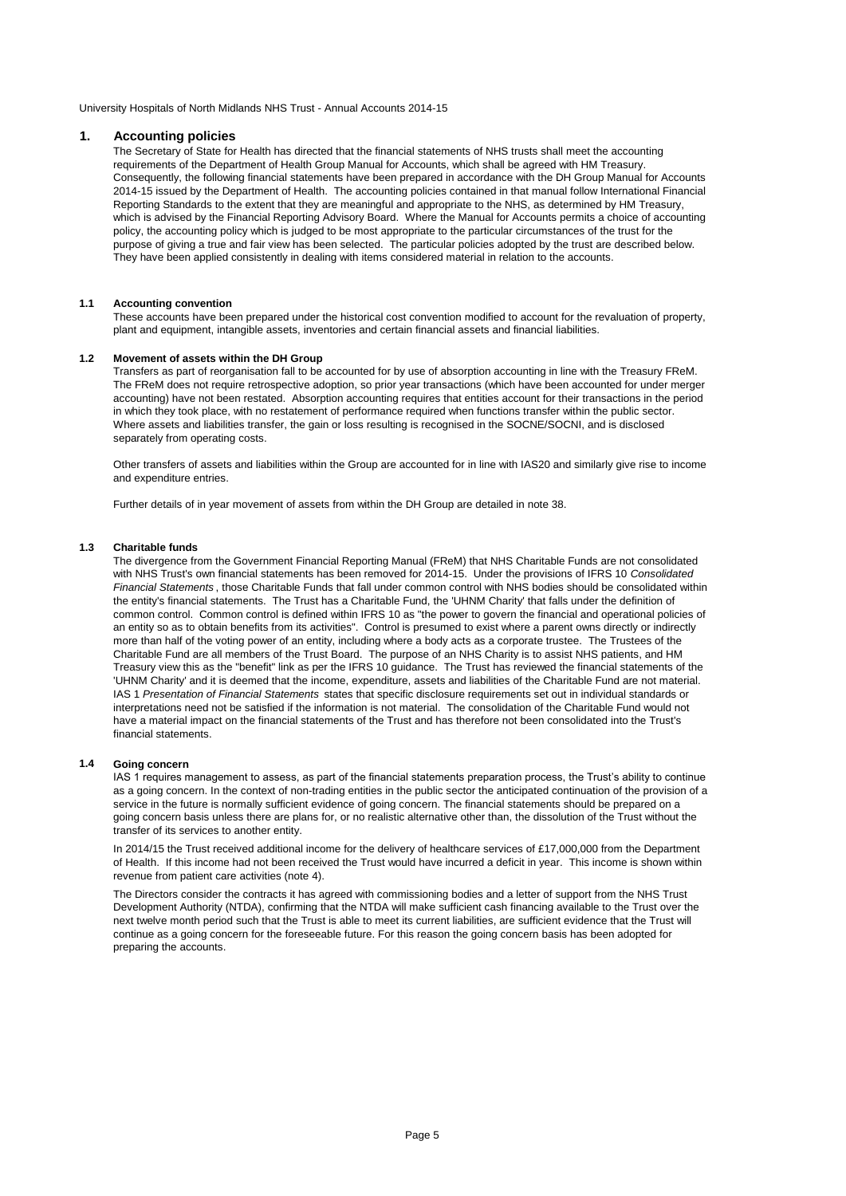## **1. Accounting policies**

The Secretary of State for Health has directed that the financial statements of NHS trusts shall meet the accounting requirements of the Department of Health Group Manual for Accounts, which shall be agreed with HM Treasury. Consequently, the following financial statements have been prepared in accordance with the DH Group Manual for Accounts 2014-15 issued by the Department of Health. The accounting policies contained in that manual follow International Financial Reporting Standards to the extent that they are meaningful and appropriate to the NHS, as determined by HM Treasury, which is advised by the Financial Reporting Advisory Board. Where the Manual for Accounts permits a choice of accounting policy, the accounting policy which is judged to be most appropriate to the particular circumstances of the trust for the purpose of giving a true and fair view has been selected. The particular policies adopted by the trust are described below. They have been applied consistently in dealing with items considered material in relation to the accounts.

# **1.1 Accounting convention**

These accounts have been prepared under the historical cost convention modified to account for the revaluation of property, plant and equipment, intangible assets, inventories and certain financial assets and financial liabilities.

### **1.2 Movement of assets within the DH Group**

Transfers as part of reorganisation fall to be accounted for by use of absorption accounting in line with the Treasury FReM. The FReM does not require retrospective adoption, so prior year transactions (which have been accounted for under merger accounting) have not been restated. Absorption accounting requires that entities account for their transactions in the period in which they took place, with no restatement of performance required when functions transfer within the public sector. Where assets and liabilities transfer, the gain or loss resulting is recognised in the SOCNE/SOCNI, and is disclosed separately from operating costs.

Other transfers of assets and liabilities within the Group are accounted for in line with IAS20 and similarly give rise to income and expenditure entries.

Further details of in year movement of assets from within the DH Group are detailed in note 38.

# **1.3 Charitable funds**

The divergence from the Government Financial Reporting Manual (FReM) that NHS Charitable Funds are not consolidated with NHS Trust's own financial statements has been removed for 2014-15. Under the provisions of IFRS 10 *Consolidated Financial Statements* , those Charitable Funds that fall under common control with NHS bodies should be consolidated within the entity's financial statements. The Trust has a Charitable Fund, the 'UHNM Charity' that falls under the definition of common control. Common control is defined within IFRS 10 as "the power to govern the financial and operational policies of an entity so as to obtain benefits from its activities". Control is presumed to exist where a parent owns directly or indirectly more than half of the voting power of an entity, including where a body acts as a corporate trustee. The Trustees of the Charitable Fund are all members of the Trust Board. The purpose of an NHS Charity is to assist NHS patients, and HM Treasury view this as the "benefit" link as per the IFRS 10 guidance. The Trust has reviewed the financial statements of the 'UHNM Charity' and it is deemed that the income, expenditure, assets and liabilities of the Charitable Fund are not material. IAS 1 *Presentation of Financial Statements* states that specific disclosure requirements set out in individual standards or interpretations need not be satisfied if the information is not material. The consolidation of the Charitable Fund would not have a material impact on the financial statements of the Trust and has therefore not been consolidated into the Trust's financial statements.

#### **1.4 Going concern**

IAS 1 requires management to assess, as part of the financial statements preparation process, the Trust's ability to continue as a going concern. In the context of non-trading entities in the public sector the anticipated continuation of the provision of a service in the future is normally sufficient evidence of going concern. The financial statements should be prepared on a going concern basis unless there are plans for, or no realistic alternative other than, the dissolution of the Trust without the transfer of its services to another entity.

In 2014/15 the Trust received additional income for the delivery of healthcare services of £17,000,000 from the Department of Health. If this income had not been received the Trust would have incurred a deficit in year. This income is shown within revenue from patient care activities (note 4).

The Directors consider the contracts it has agreed with commissioning bodies and a letter of support from the NHS Trust Development Authority (NTDA), confirming that the NTDA will make sufficient cash financing available to the Trust over the next twelve month period such that the Trust is able to meet its current liabilities, are sufficient evidence that the Trust will continue as a going concern for the foreseeable future. For this reason the going concern basis has been adopted for preparing the accounts.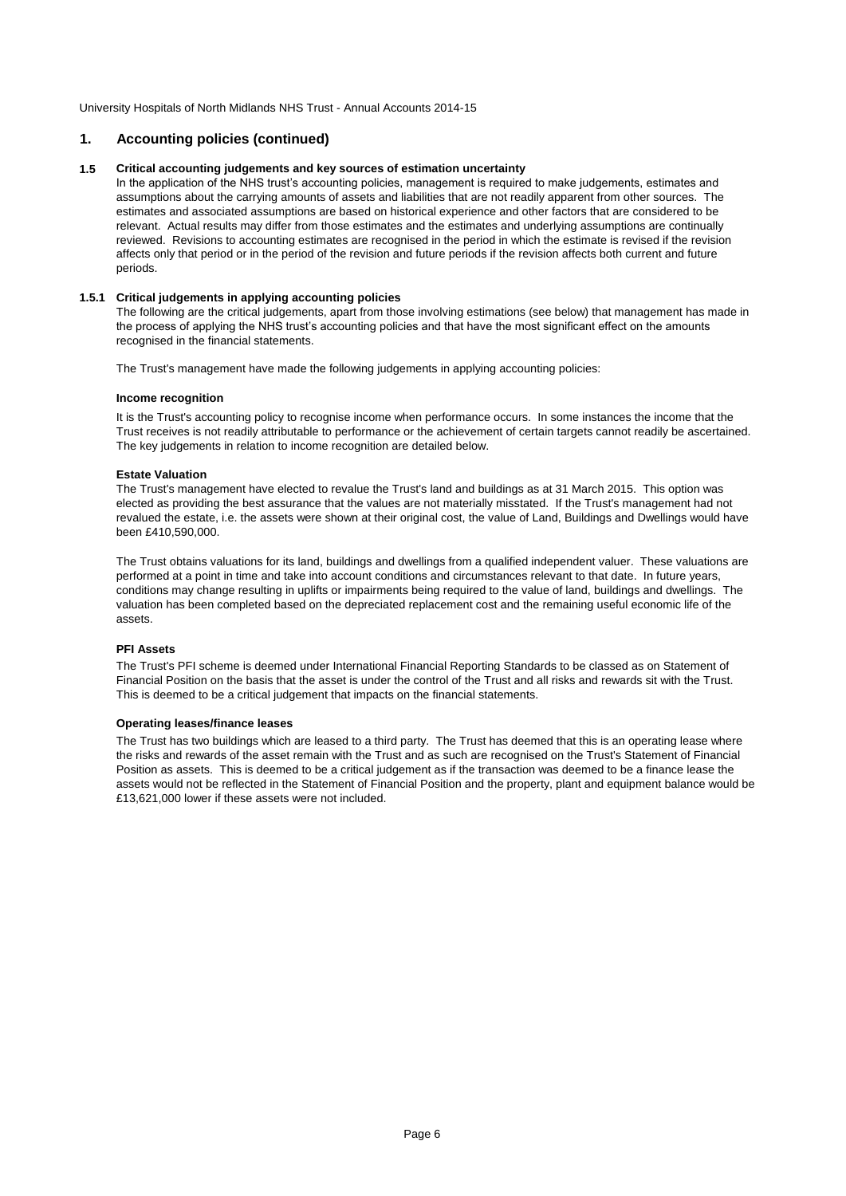# **1. Accounting policies (continued)**

# **1.5 Critical accounting judgements and key sources of estimation uncertainty**

In the application of the NHS trust's accounting policies, management is required to make judgements, estimates and assumptions about the carrying amounts of assets and liabilities that are not readily apparent from other sources. The estimates and associated assumptions are based on historical experience and other factors that are considered to be relevant. Actual results may differ from those estimates and the estimates and underlying assumptions are continually reviewed. Revisions to accounting estimates are recognised in the period in which the estimate is revised if the revision affects only that period or in the period of the revision and future periods if the revision affects both current and future periods.

# **1.5.1 Critical judgements in applying accounting policies**

The following are the critical judgements, apart from those involving estimations (see below) that management has made in the process of applying the NHS trust's accounting policies and that have the most significant effect on the amounts recognised in the financial statements.

The Trust's management have made the following judgements in applying accounting policies:

# **Income recognition**

It is the Trust's accounting policy to recognise income when performance occurs. In some instances the income that the Trust receives is not readily attributable to performance or the achievement of certain targets cannot readily be ascertained. The key judgements in relation to income recognition are detailed below.

# **Estate Valuation**

The Trust's management have elected to revalue the Trust's land and buildings as at 31 March 2015. This option was elected as providing the best assurance that the values are not materially misstated. If the Trust's management had not revalued the estate, i.e. the assets were shown at their original cost, the value of Land, Buildings and Dwellings would have been £410,590,000.

The Trust obtains valuations for its land, buildings and dwellings from a qualified independent valuer. These valuations are performed at a point in time and take into account conditions and circumstances relevant to that date. In future years, conditions may change resulting in uplifts or impairments being required to the value of land, buildings and dwellings. The valuation has been completed based on the depreciated replacement cost and the remaining useful economic life of the assets.

# **PFI Assets**

The Trust's PFI scheme is deemed under International Financial Reporting Standards to be classed as on Statement of Financial Position on the basis that the asset is under the control of the Trust and all risks and rewards sit with the Trust. This is deemed to be a critical judgement that impacts on the financial statements.

# **Operating leases/finance leases**

The Trust has two buildings which are leased to a third party. The Trust has deemed that this is an operating lease where the risks and rewards of the asset remain with the Trust and as such are recognised on the Trust's Statement of Financial Position as assets. This is deemed to be a critical judgement as if the transaction was deemed to be a finance lease the assets would not be reflected in the Statement of Financial Position and the property, plant and equipment balance would be £13,621,000 lower if these assets were not included.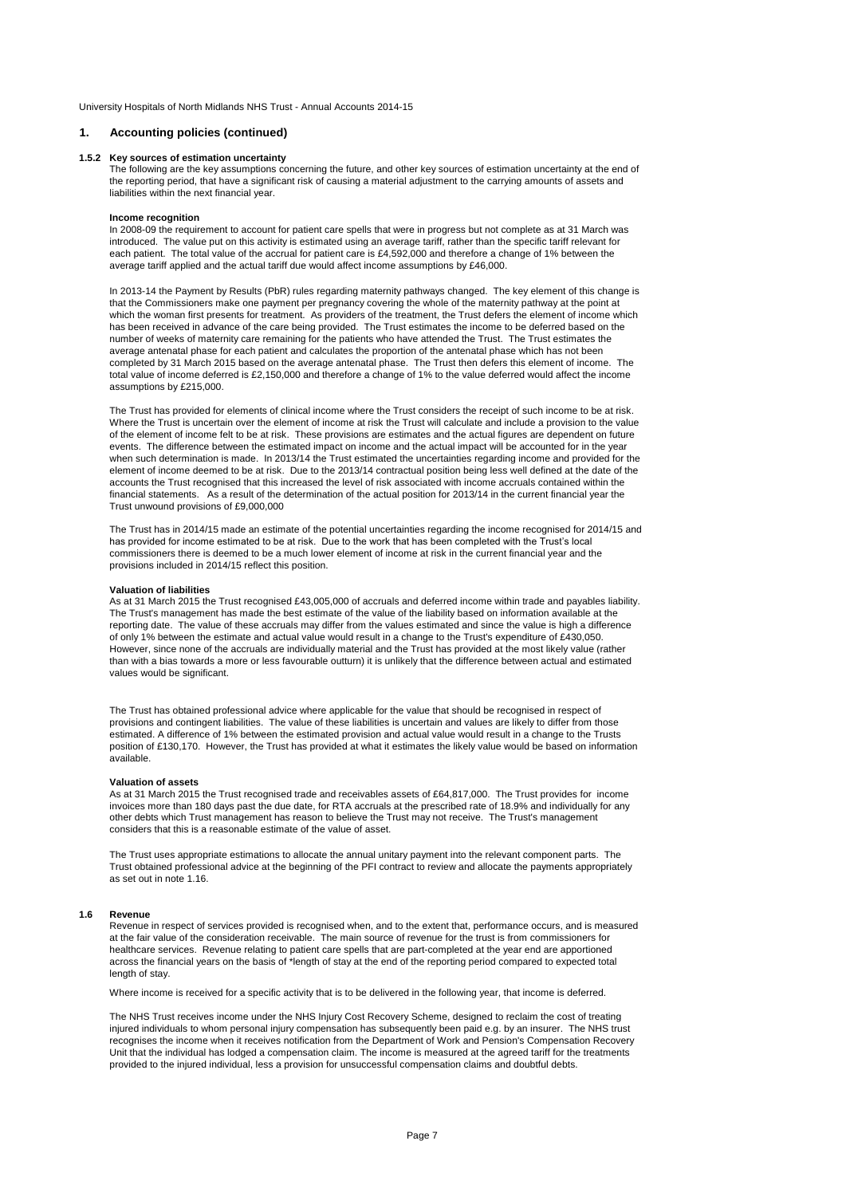# **1. Accounting policies (continued)**

#### **1.5.2 Key sources of estimation uncertainty**

The following are the key assumptions concerning the future, and other key sources of estimation uncertainty at the end of the reporting period, that have a significant risk of causing a material adjustment to the carrying amounts of assets and liabilities within the next financial year.

#### **Income recognition**

In 2008-09 the requirement to account for patient care spells that were in progress but not complete as at 31 March was introduced. The value put on this activity is estimated using an average tariff, rather than the specific tariff relevant for each patient. The total value of the accrual for patient care is £4,592,000 and therefore a change of 1% between the average tariff applied and the actual tariff due would affect income assumptions by £46,000.

In 2013-14 the Payment by Results (PbR) rules regarding maternity pathways changed. The key element of this change is that the Commissioners make one payment per pregnancy covering the whole of the maternity pathway at the point at which the woman first presents for treatment. As providers of the treatment, the Trust defers the element of income which has been received in advance of the care being provided. The Trust estimates the income to be deferred based on the number of weeks of maternity care remaining for the patients who have attended the Trust. The Trust estimates the average antenatal phase for each patient and calculates the proportion of the antenatal phase which has not been completed by 31 March 2015 based on the average antenatal phase. The Trust then defers this element of income. The total value of income deferred is £2,150,000 and therefore a change of 1% to the value deferred would affect the income assumptions by £215,000.

The Trust has provided for elements of clinical income where the Trust considers the receipt of such income to be at risk. Where the Trust is uncertain over the element of income at risk the Trust will calculate and include a provision to the value of the element of income felt to be at risk. These provisions are estimates and the actual figures are dependent on future events. The difference between the estimated impact on income and the actual impact will be accounted for in the year when such determination is made. In 2013/14 the Trust estimated the uncertainties regarding income and provided for the element of income deemed to be at risk. Due to the 2013/14 contractual position being less well defined at the date of the accounts the Trust recognised that this increased the level of risk associated with income accruals contained within the financial statements. As a result of the determination of the actual position for 2013/14 in the current financial year the Trust unwound provisions of £9,000,000

The Trust has in 2014/15 made an estimate of the potential uncertainties regarding the income recognised for 2014/15 and has provided for income estimated to be at risk. Due to the work that has been completed with the Trust's local commissioners there is deemed to be a much lower element of income at risk in the current financial year and the provisions included in 2014/15 reflect this position.

### **Valuation of liabilities**

As at 31 March 2015 the Trust recognised £43,005,000 of accruals and deferred income within trade and payables liability. The Trust's management has made the best estimate of the value of the liability based on information available at the reporting date. The value of these accruals may differ from the values estimated and since the value is high a difference of only 1% between the estimate and actual value would result in a change to the Trust's expenditure of £430,050. However, since none of the accruals are individually material and the Trust has provided at the most likely value (rather than with a bias towards a more or less favourable outturn) it is unlikely that the difference between actual and estimated values would be significant.

The Trust has obtained professional advice where applicable for the value that should be recognised in respect of provisions and contingent liabilities. The value of these liabilities is uncertain and values are likely to differ from those estimated. A difference of 1% between the estimated provision and actual value would result in a change to the Trusts position of £130,170. However, the Trust has provided at what it estimates the likely value would be based on information available.

### **Valuation of assets**

As at 31 March 2015 the Trust recognised trade and receivables assets of £64,817,000. The Trust provides for income invoices more than 180 days past the due date, for RTA accruals at the prescribed rate of 18.9% and individually for any other debts which Trust management has reason to believe the Trust may not receive. The Trust's management considers that this is a reasonable estimate of the value of asset.

The Trust uses appropriate estimations to allocate the annual unitary payment into the relevant component parts. The Trust obtained professional advice at the beginning of the PFI contract to review and allocate the payments appropriately as set out in note 1.16.

#### **1.6 Revenue**

Revenue in respect of services provided is recognised when, and to the extent that, performance occurs, and is measured at the fair value of the consideration receivable. The main source of revenue for the trust is from commissioners for healthcare services. Revenue relating to patient care spells that are part-completed at the year end are apportioned across the financial years on the basis of \*length of stay at the end of the reporting period compared to expected total length of stay.

Where income is received for a specific activity that is to be delivered in the following year, that income is deferred.

The NHS Trust receives income under the NHS Injury Cost Recovery Scheme, designed to reclaim the cost of treating injured individuals to whom personal injury compensation has subsequently been paid e.g. by an insurer. The NHS trust recognises the income when it receives notification from the Department of Work and Pension's Compensation Recovery Unit that the individual has lodged a compensation claim. The income is measured at the agreed tariff for the treatments provided to the injured individual, less a provision for unsuccessful compensation claims and doubtful debts.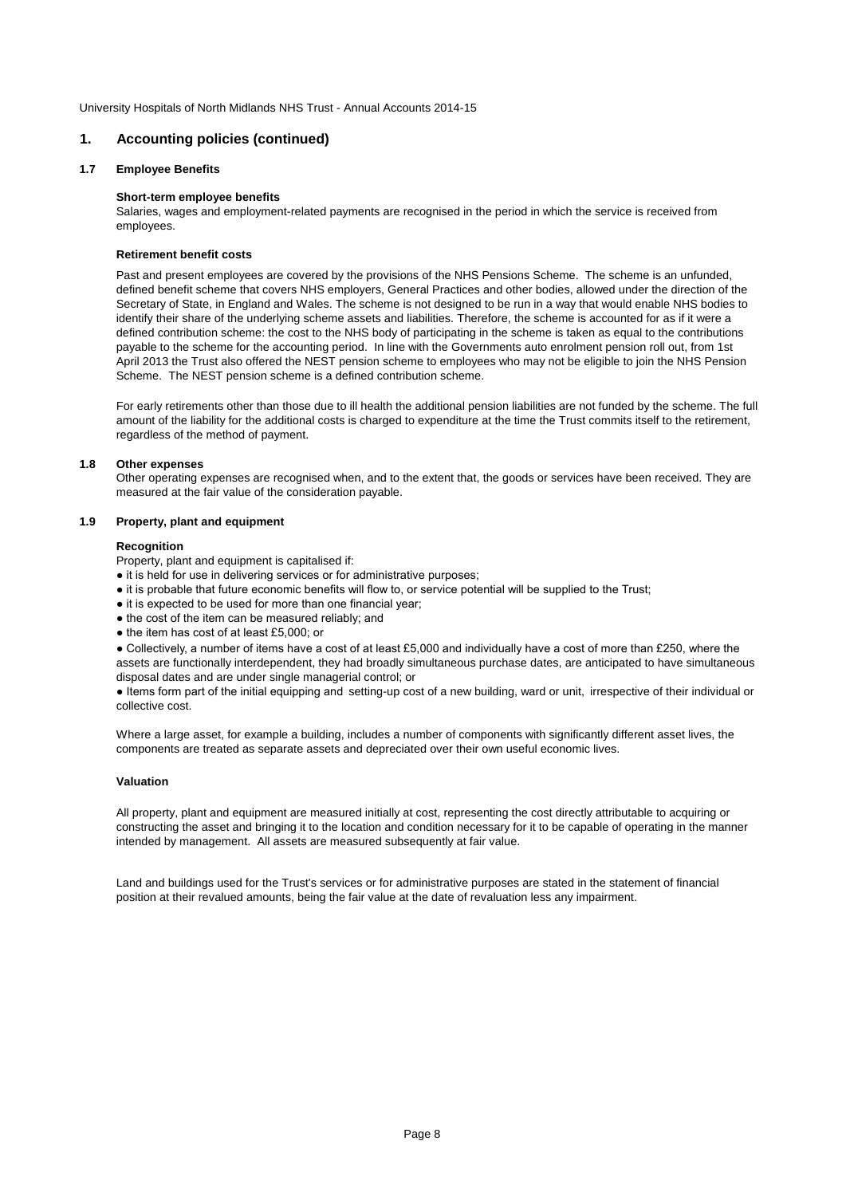# **1. Accounting policies (continued)**

# **1.7 Employee Benefits**

# **Short-term employee benefits**

Salaries, wages and employment-related payments are recognised in the period in which the service is received from employees.

# **Retirement benefit costs**

Past and present employees are covered by the provisions of the NHS Pensions Scheme. The scheme is an unfunded, defined benefit scheme that covers NHS employers, General Practices and other bodies, allowed under the direction of the Secretary of State, in England and Wales. The scheme is not designed to be run in a way that would enable NHS bodies to identify their share of the underlying scheme assets and liabilities. Therefore, the scheme is accounted for as if it were a defined contribution scheme: the cost to the NHS body of participating in the scheme is taken as equal to the contributions payable to the scheme for the accounting period. In line with the Governments auto enrolment pension roll out, from 1st April 2013 the Trust also offered the NEST pension scheme to employees who may not be eligible to join the NHS Pension Scheme. The NEST pension scheme is a defined contribution scheme.

For early retirements other than those due to ill health the additional pension liabilities are not funded by the scheme. The full amount of the liability for the additional costs is charged to expenditure at the time the Trust commits itself to the retirement, regardless of the method of payment.

# **1.8 Other expenses**

Other operating expenses are recognised when, and to the extent that, the goods or services have been received. They are measured at the fair value of the consideration payable.

# **1.9 Property, plant and equipment**

### **Recognition**

Property, plant and equipment is capitalised if:

- it is held for use in delivering services or for administrative purposes:
- it is probable that future economic benefits will flow to, or service potential will be supplied to the Trust;
- it is expected to be used for more than one financial year;
- the cost of the item can be measured reliably; and
- the item has cost of at least £5,000; or

● Collectively, a number of items have a cost of at least £5,000 and individually have a cost of more than £250, where the assets are functionally interdependent, they had broadly simultaneous purchase dates, are anticipated to have simultaneous disposal dates and are under single managerial control; or

● Items form part of the initial equipping and setting-up cost of a new building, ward or unit, irrespective of their individual or collective cost.

Where a large asset, for example a building, includes a number of components with significantly different asset lives, the components are treated as separate assets and depreciated over their own useful economic lives.

# **Valuation**

All property, plant and equipment are measured initially at cost, representing the cost directly attributable to acquiring or constructing the asset and bringing it to the location and condition necessary for it to be capable of operating in the manner intended by management. All assets are measured subsequently at fair value.

Land and buildings used for the Trust's services or for administrative purposes are stated in the statement of financial position at their revalued amounts, being the fair value at the date of revaluation less any impairment.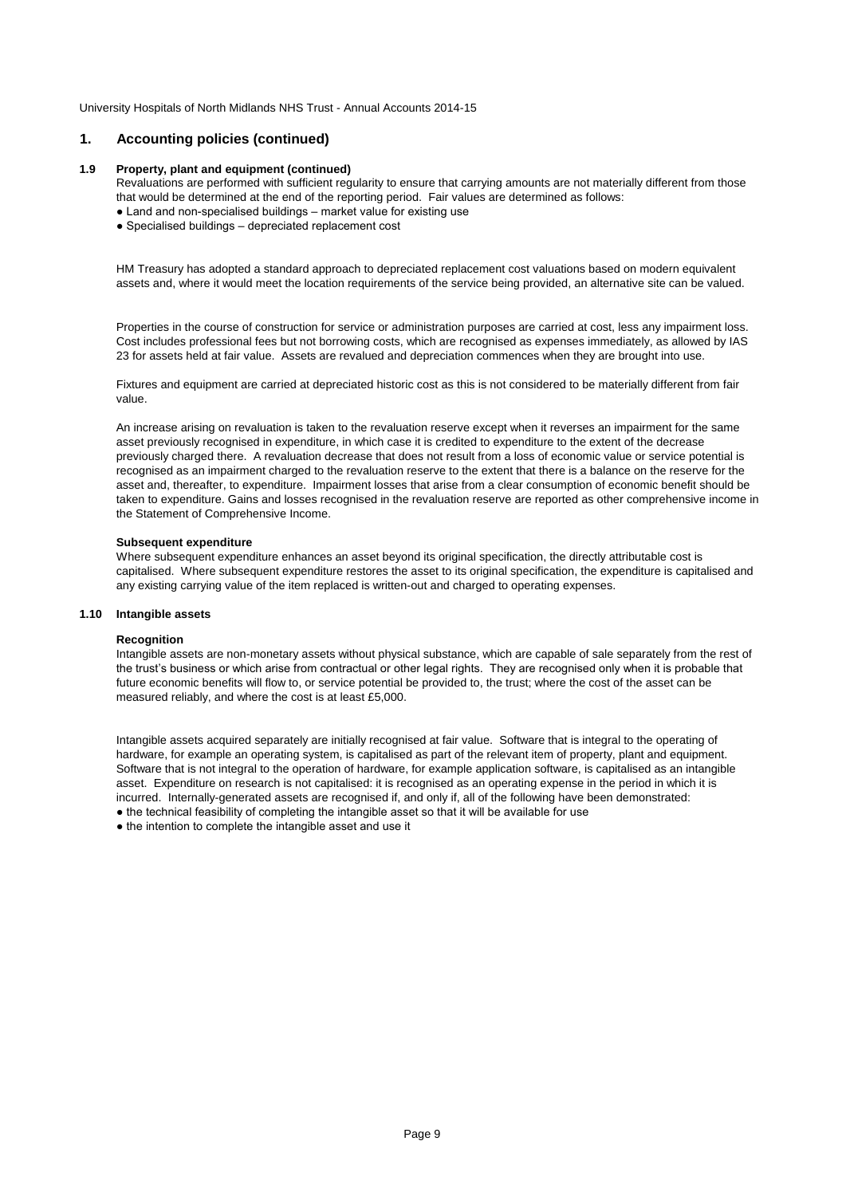# **1. Accounting policies (continued)**

## **1.9 Property, plant and equipment (continued)**

Revaluations are performed with sufficient regularity to ensure that carrying amounts are not materially different from those that would be determined at the end of the reporting period. Fair values are determined as follows:

- Land and non-specialised buildings market value for existing use
- Specialised buildings depreciated replacement cost

HM Treasury has adopted a standard approach to depreciated replacement cost valuations based on modern equivalent assets and, where it would meet the location requirements of the service being provided, an alternative site can be valued.

Properties in the course of construction for service or administration purposes are carried at cost, less any impairment loss. Cost includes professional fees but not borrowing costs, which are recognised as expenses immediately, as allowed by IAS 23 for assets held at fair value. Assets are revalued and depreciation commences when they are brought into use.

Fixtures and equipment are carried at depreciated historic cost as this is not considered to be materially different from fair value.

An increase arising on revaluation is taken to the revaluation reserve except when it reverses an impairment for the same asset previously recognised in expenditure, in which case it is credited to expenditure to the extent of the decrease previously charged there. A revaluation decrease that does not result from a loss of economic value or service potential is recognised as an impairment charged to the revaluation reserve to the extent that there is a balance on the reserve for the asset and, thereafter, to expenditure. Impairment losses that arise from a clear consumption of economic benefit should be taken to expenditure. Gains and losses recognised in the revaluation reserve are reported as other comprehensive income in the Statement of Comprehensive Income.

### **Subsequent expenditure**

Where subsequent expenditure enhances an asset beyond its original specification, the directly attributable cost is capitalised. Where subsequent expenditure restores the asset to its original specification, the expenditure is capitalised and any existing carrying value of the item replaced is written-out and charged to operating expenses.

# **1.10 Intangible assets**

# **Recognition**

Intangible assets are non-monetary assets without physical substance, which are capable of sale separately from the rest of the trust's business or which arise from contractual or other legal rights. They are recognised only when it is probable that future economic benefits will flow to, or service potential be provided to, the trust; where the cost of the asset can be measured reliably, and where the cost is at least £5,000.

Intangible assets acquired separately are initially recognised at fair value. Software that is integral to the operating of hardware, for example an operating system, is capitalised as part of the relevant item of property, plant and equipment. Software that is not integral to the operation of hardware, for example application software, is capitalised as an intangible asset. Expenditure on research is not capitalised: it is recognised as an operating expense in the period in which it is incurred. Internally-generated assets are recognised if, and only if, all of the following have been demonstrated: ● the technical feasibility of completing the intangible asset so that it will be available for use

• the intention to complete the intangible asset and use it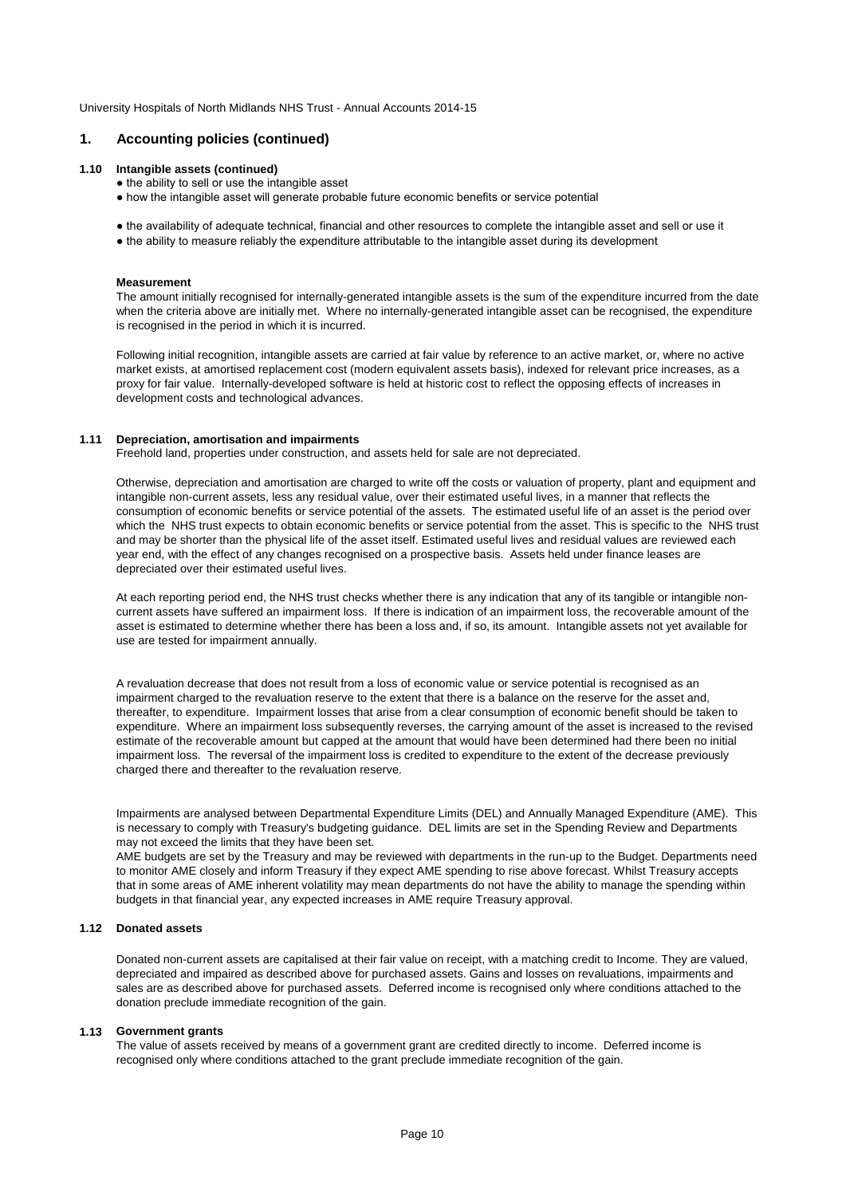# **1. Accounting policies (continued)**

## **1.10 Intangible assets (continued)**

- the ability to sell or use the intangible asset
- how the intangible asset will generate probable future economic benefits or service potential
- the availability of adequate technical, financial and other resources to complete the intangible asset and sell or use it
- the ability to measure reliably the expenditure attributable to the intangible asset during its development

#### **Measurement**

The amount initially recognised for internally-generated intangible assets is the sum of the expenditure incurred from the date when the criteria above are initially met. Where no internally-generated intangible asset can be recognised, the expenditure is recognised in the period in which it is incurred.

Following initial recognition, intangible assets are carried at fair value by reference to an active market, or, where no active market exists, at amortised replacement cost (modern equivalent assets basis), indexed for relevant price increases, as a proxy for fair value. Internally-developed software is held at historic cost to reflect the opposing effects of increases in development costs and technological advances.

# **1.11 Depreciation, amortisation and impairments**

Freehold land, properties under construction, and assets held for sale are not depreciated.

Otherwise, depreciation and amortisation are charged to write off the costs or valuation of property, plant and equipment and intangible non-current assets, less any residual value, over their estimated useful lives, in a manner that reflects the consumption of economic benefits or service potential of the assets. The estimated useful life of an asset is the period over which the NHS trust expects to obtain economic benefits or service potential from the asset. This is specific to the NHS trust and may be shorter than the physical life of the asset itself. Estimated useful lives and residual values are reviewed each year end, with the effect of any changes recognised on a prospective basis. Assets held under finance leases are depreciated over their estimated useful lives.

At each reporting period end, the NHS trust checks whether there is any indication that any of its tangible or intangible noncurrent assets have suffered an impairment loss. If there is indication of an impairment loss, the recoverable amount of the asset is estimated to determine whether there has been a loss and, if so, its amount. Intangible assets not yet available for use are tested for impairment annually.

A revaluation decrease that does not result from a loss of economic value or service potential is recognised as an impairment charged to the revaluation reserve to the extent that there is a balance on the reserve for the asset and, thereafter, to expenditure. Impairment losses that arise from a clear consumption of economic benefit should be taken to expenditure. Where an impairment loss subsequently reverses, the carrying amount of the asset is increased to the revised estimate of the recoverable amount but capped at the amount that would have been determined had there been no initial impairment loss. The reversal of the impairment loss is credited to expenditure to the extent of the decrease previously charged there and thereafter to the revaluation reserve.

Impairments are analysed between Departmental Expenditure Limits (DEL) and Annually Managed Expenditure (AME). This is necessary to comply with Treasury's budgeting guidance. DEL limits are set in the Spending Review and Departments may not exceed the limits that they have been set.

AME budgets are set by the Treasury and may be reviewed with departments in the run-up to the Budget. Departments need to monitor AME closely and inform Treasury if they expect AME spending to rise above forecast. Whilst Treasury accepts that in some areas of AME inherent volatility may mean departments do not have the ability to manage the spending within budgets in that financial year, any expected increases in AME require Treasury approval.

# **1.12 Donated assets**

Donated non-current assets are capitalised at their fair value on receipt, with a matching credit to Income. They are valued, depreciated and impaired as described above for purchased assets. Gains and losses on revaluations, impairments and sales are as described above for purchased assets. Deferred income is recognised only where conditions attached to the donation preclude immediate recognition of the gain.

### **1.13 Government grants**

The value of assets received by means of a government grant are credited directly to income. Deferred income is recognised only where conditions attached to the grant preclude immediate recognition of the gain.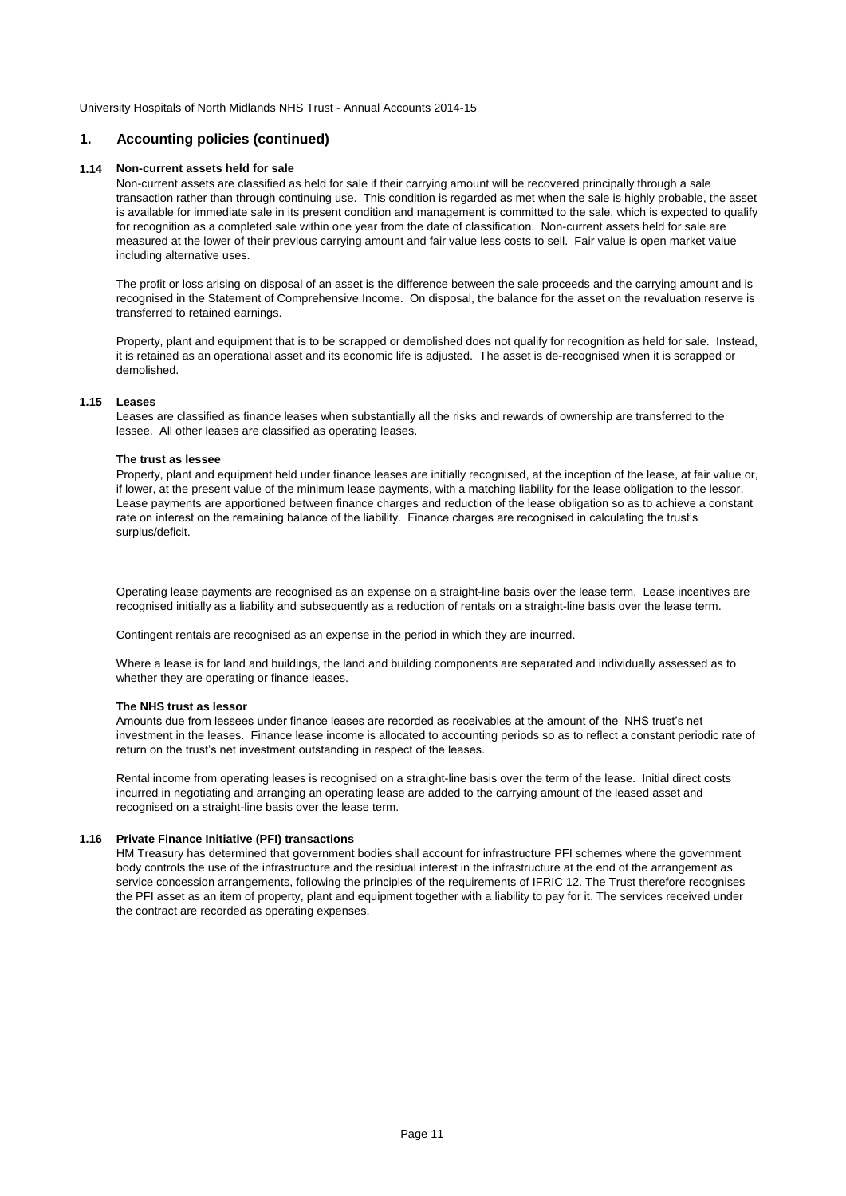# **1. Accounting policies (continued)**

## **1.14 Non-current assets held for sale**

Non-current assets are classified as held for sale if their carrying amount will be recovered principally through a sale transaction rather than through continuing use. This condition is regarded as met when the sale is highly probable, the asset is available for immediate sale in its present condition and management is committed to the sale, which is expected to qualify for recognition as a completed sale within one year from the date of classification. Non-current assets held for sale are measured at the lower of their previous carrying amount and fair value less costs to sell. Fair value is open market value including alternative uses.

The profit or loss arising on disposal of an asset is the difference between the sale proceeds and the carrying amount and is recognised in the Statement of Comprehensive Income. On disposal, the balance for the asset on the revaluation reserve is transferred to retained earnings.

Property, plant and equipment that is to be scrapped or demolished does not qualify for recognition as held for sale. Instead, it is retained as an operational asset and its economic life is adjusted. The asset is de-recognised when it is scrapped or demolished.

## **1.15 Leases**

Leases are classified as finance leases when substantially all the risks and rewards of ownership are transferred to the lessee. All other leases are classified as operating leases.

# **The trust as lessee**

Property, plant and equipment held under finance leases are initially recognised, at the inception of the lease, at fair value or, if lower, at the present value of the minimum lease payments, with a matching liability for the lease obligation to the lessor. Lease payments are apportioned between finance charges and reduction of the lease obligation so as to achieve a constant rate on interest on the remaining balance of the liability. Finance charges are recognised in calculating the trust's surplus/deficit.

Operating lease payments are recognised as an expense on a straight-line basis over the lease term. Lease incentives are recognised initially as a liability and subsequently as a reduction of rentals on a straight-line basis over the lease term.

Contingent rentals are recognised as an expense in the period in which they are incurred.

Where a lease is for land and buildings, the land and building components are separated and individually assessed as to whether they are operating or finance leases.

# **The NHS trust as lessor**

Amounts due from lessees under finance leases are recorded as receivables at the amount of the NHS trust's net investment in the leases. Finance lease income is allocated to accounting periods so as to reflect a constant periodic rate of return on the trust's net investment outstanding in respect of the leases.

Rental income from operating leases is recognised on a straight-line basis over the term of the lease. Initial direct costs incurred in negotiating and arranging an operating lease are added to the carrying amount of the leased asset and recognised on a straight-line basis over the lease term.

# **1.16 Private Finance Initiative (PFI) transactions**

HM Treasury has determined that government bodies shall account for infrastructure PFI schemes where the government body controls the use of the infrastructure and the residual interest in the infrastructure at the end of the arrangement as service concession arrangements, following the principles of the requirements of IFRIC 12. The Trust therefore recognises the PFI asset as an item of property, plant and equipment together with a liability to pay for it. The services received under the contract are recorded as operating expenses.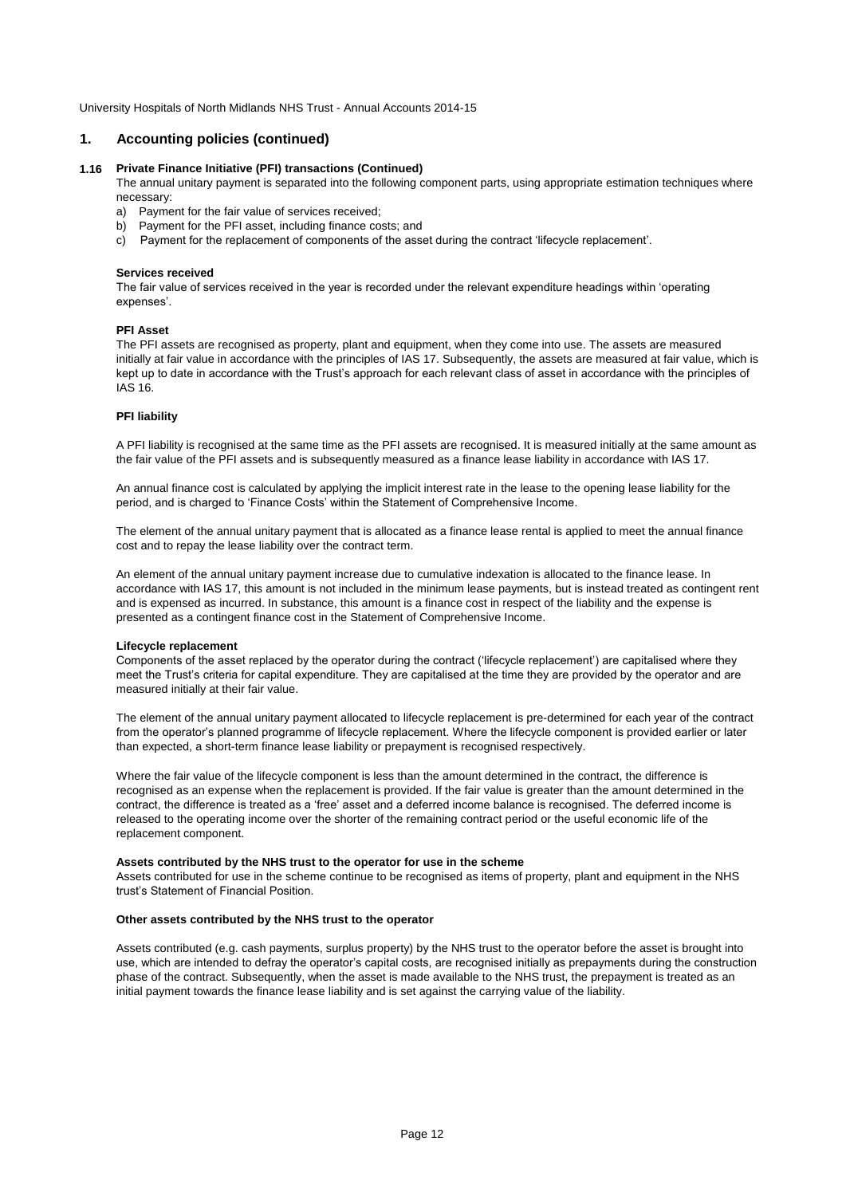# **1. Accounting policies (continued)**

# **1.16 Private Finance Initiative (PFI) transactions (Continued)**

The annual unitary payment is separated into the following component parts, using appropriate estimation techniques where necessary:

- a) Payment for the fair value of services received;
- b) Payment for the PFI asset, including finance costs; and
- c) Payment for the replacement of components of the asset during the contract 'lifecycle replacement'.

### **Services received**

The fair value of services received in the year is recorded under the relevant expenditure headings within 'operating expenses'.

### **PFI Asset**

The PFI assets are recognised as property, plant and equipment, when they come into use. The assets are measured initially at fair value in accordance with the principles of IAS 17. Subsequently, the assets are measured at fair value, which is kept up to date in accordance with the Trust's approach for each relevant class of asset in accordance with the principles of IAS 16.

### **PFI liability**

A PFI liability is recognised at the same time as the PFI assets are recognised. It is measured initially at the same amount as the fair value of the PFI assets and is subsequently measured as a finance lease liability in accordance with IAS 17.

An annual finance cost is calculated by applying the implicit interest rate in the lease to the opening lease liability for the period, and is charged to 'Finance Costs' within the Statement of Comprehensive Income.

The element of the annual unitary payment that is allocated as a finance lease rental is applied to meet the annual finance cost and to repay the lease liability over the contract term.

An element of the annual unitary payment increase due to cumulative indexation is allocated to the finance lease. In accordance with IAS 17, this amount is not included in the minimum lease payments, but is instead treated as contingent rent and is expensed as incurred. In substance, this amount is a finance cost in respect of the liability and the expense is presented as a contingent finance cost in the Statement of Comprehensive Income.

### **Lifecycle replacement**

Components of the asset replaced by the operator during the contract ('lifecycle replacement') are capitalised where they meet the Trust's criteria for capital expenditure. They are capitalised at the time they are provided by the operator and are measured initially at their fair value.

The element of the annual unitary payment allocated to lifecycle replacement is pre-determined for each year of the contract from the operator's planned programme of lifecycle replacement. Where the lifecycle component is provided earlier or later than expected, a short-term finance lease liability or prepayment is recognised respectively.

Where the fair value of the lifecycle component is less than the amount determined in the contract, the difference is recognised as an expense when the replacement is provided. If the fair value is greater than the amount determined in the contract, the difference is treated as a 'free' asset and a deferred income balance is recognised. The deferred income is released to the operating income over the shorter of the remaining contract period or the useful economic life of the replacement component.

## **Assets contributed by the NHS trust to the operator for use in the scheme**

Assets contributed for use in the scheme continue to be recognised as items of property, plant and equipment in the NHS trust's Statement of Financial Position.

# **Other assets contributed by the NHS trust to the operator**

Assets contributed (e.g. cash payments, surplus property) by the NHS trust to the operator before the asset is brought into use, which are intended to defray the operator's capital costs, are recognised initially as prepayments during the construction phase of the contract. Subsequently, when the asset is made available to the NHS trust, the prepayment is treated as an initial payment towards the finance lease liability and is set against the carrying value of the liability.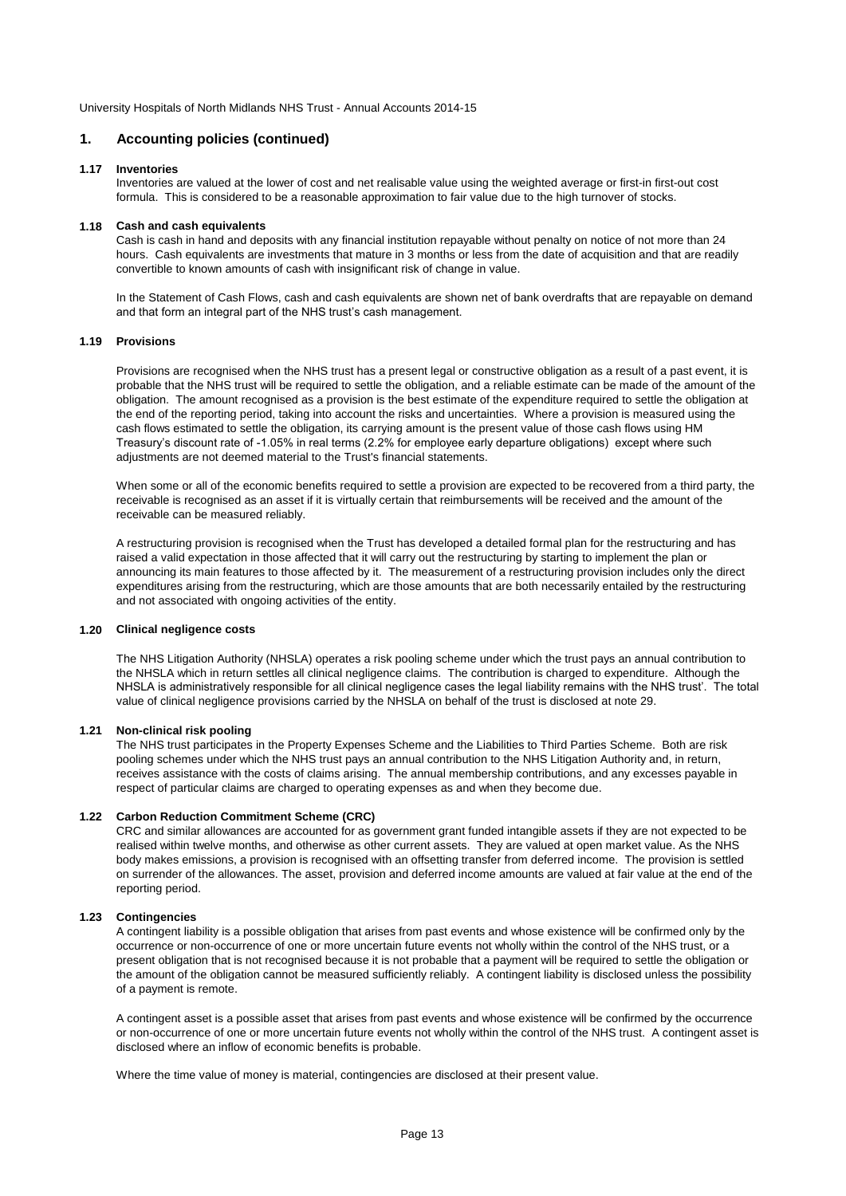# **1. Accounting policies (continued)**

# **1.17 Inventories**

Inventories are valued at the lower of cost and net realisable value using the weighted average or first-in first-out cost formula. This is considered to be a reasonable approximation to fair value due to the high turnover of stocks.

### **1.18 Cash and cash equivalents**

Cash is cash in hand and deposits with any financial institution repayable without penalty on notice of not more than 24 hours. Cash equivalents are investments that mature in 3 months or less from the date of acquisition and that are readily convertible to known amounts of cash with insignificant risk of change in value.

In the Statement of Cash Flows, cash and cash equivalents are shown net of bank overdrafts that are repayable on demand and that form an integral part of the NHS trust's cash management.

# **1.19 Provisions**

Provisions are recognised when the NHS trust has a present legal or constructive obligation as a result of a past event, it is probable that the NHS trust will be required to settle the obligation, and a reliable estimate can be made of the amount of the obligation. The amount recognised as a provision is the best estimate of the expenditure required to settle the obligation at the end of the reporting period, taking into account the risks and uncertainties. Where a provision is measured using the cash flows estimated to settle the obligation, its carrying amount is the present value of those cash flows using HM Treasury's discount rate of -1.05% in real terms (2.2% for employee early departure obligations) except where such adjustments are not deemed material to the Trust's financial statements.

When some or all of the economic benefits required to settle a provision are expected to be recovered from a third party, the receivable is recognised as an asset if it is virtually certain that reimbursements will be received and the amount of the receivable can be measured reliably.

A restructuring provision is recognised when the Trust has developed a detailed formal plan for the restructuring and has raised a valid expectation in those affected that it will carry out the restructuring by starting to implement the plan or announcing its main features to those affected by it. The measurement of a restructuring provision includes only the direct expenditures arising from the restructuring, which are those amounts that are both necessarily entailed by the restructuring and not associated with ongoing activities of the entity.

# **1.20 Clinical negligence costs**

The NHS Litigation Authority (NHSLA) operates a risk pooling scheme under which the trust pays an annual contribution to the NHSLA which in return settles all clinical negligence claims. The contribution is charged to expenditure. Although the NHSLA is administratively responsible for all clinical negligence cases the legal liability remains with the NHS trust'. The total value of clinical negligence provisions carried by the NHSLA on behalf of the trust is disclosed at note 29.

# **1.21 Non-clinical risk pooling**

The NHS trust participates in the Property Expenses Scheme and the Liabilities to Third Parties Scheme. Both are risk pooling schemes under which the NHS trust pays an annual contribution to the NHS Litigation Authority and, in return, receives assistance with the costs of claims arising. The annual membership contributions, and any excesses payable in respect of particular claims are charged to operating expenses as and when they become due.

# **1.22 Carbon Reduction Commitment Scheme (CRC)**

CRC and similar allowances are accounted for as government grant funded intangible assets if they are not expected to be realised within twelve months, and otherwise as other current assets. They are valued at open market value. As the NHS body makes emissions, a provision is recognised with an offsetting transfer from deferred income. The provision is settled on surrender of the allowances. The asset, provision and deferred income amounts are valued at fair value at the end of the reporting period.

# **1.23 Contingencies**

A contingent liability is a possible obligation that arises from past events and whose existence will be confirmed only by the occurrence or non-occurrence of one or more uncertain future events not wholly within the control of the NHS trust, or a present obligation that is not recognised because it is not probable that a payment will be required to settle the obligation or the amount of the obligation cannot be measured sufficiently reliably. A contingent liability is disclosed unless the possibility of a payment is remote.

A contingent asset is a possible asset that arises from past events and whose existence will be confirmed by the occurrence or non-occurrence of one or more uncertain future events not wholly within the control of the NHS trust. A contingent asset is disclosed where an inflow of economic benefits is probable.

Where the time value of money is material, contingencies are disclosed at their present value.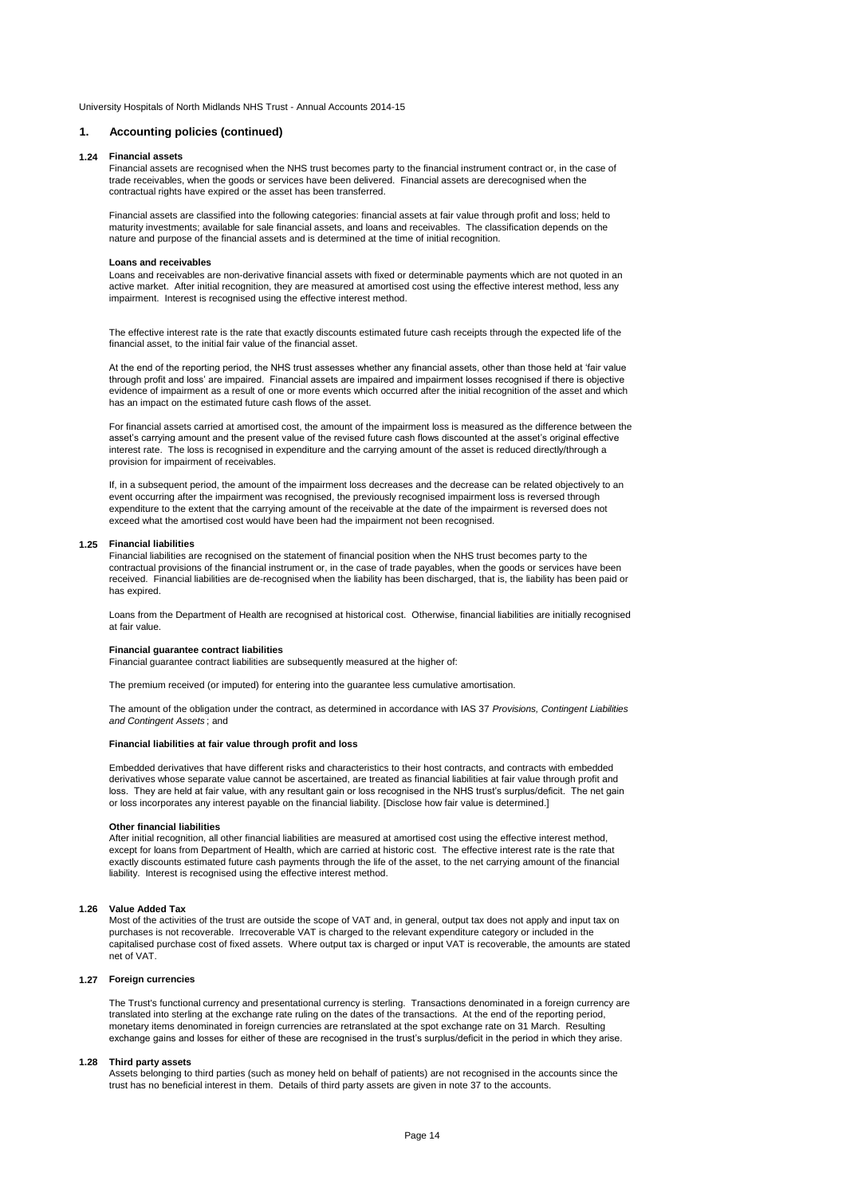### **1. Accounting policies (continued)**

#### **1.24 Financial assets**

Financial assets are recognised when the NHS trust becomes party to the financial instrument contract or, in the case of trade receivables, when the goods or services have been delivered. Financial assets are derecognised when the contractual rights have expired or the asset has been transferred.

Financial assets are classified into the following categories: financial assets at fair value through profit and loss; held to maturity investments; available for sale financial assets, and loans and receivables. The classification depends on the nature and purpose of the financial assets and is determined at the time of initial recognition.

#### **Loans and receivables**

Loans and receivables are non-derivative financial assets with fixed or determinable payments which are not quoted in an active market. After initial recognition, they are measured at amortised cost using the effective interest method, less any impairment. Interest is recognised using the effective interest method.

The effective interest rate is the rate that exactly discounts estimated future cash receipts through the expected life of the financial asset, to the initial fair value of the financial asset.

At the end of the reporting period, the NHS trust assesses whether any financial assets, other than those held at 'fair value through profit and loss' are impaired. Financial assets are impaired and impairment losses recognised if there is objective evidence of impairment as a result of one or more events which occurred after the initial recognition of the asset and which has an impact on the estimated future cash flows of the asset.

For financial assets carried at amortised cost, the amount of the impairment loss is measured as the difference between the asset's carrying amount and the present value of the revised future cash flows discounted at the asset's original effective interest rate. The loss is recognised in expenditure and the carrying amount of the asset is reduced directly/through a provision for impairment of receivables.

If, in a subsequent period, the amount of the impairment loss decreases and the decrease can be related objectively to an event occurring after the impairment was recognised, the previously recognised impairment loss is reversed through expenditure to the extent that the carrying amount of the receivable at the date of the impairment is reversed does not exceed what the amortised cost would have been had the impairment not been recognised.

#### **1.25 Financial liabilities**

Financial liabilities are recognised on the statement of financial position when the NHS trust becomes party to the contractual provisions of the financial instrument or, in the case of trade payables, when the goods or services have been received. Financial liabilities are de-recognised when the liability has been discharged, that is, the liability has been paid or has expired.

Loans from the Department of Health are recognised at historical cost. Otherwise, financial liabilities are initially recognised at fair value.

#### **Financial guarantee contract liabilities**

Financial guarantee contract liabilities are subsequently measured at the higher of:

The premium received (or imputed) for entering into the guarantee less cumulative amortisation.

The amount of the obligation under the contract, as determined in accordance with IAS 37 *Provisions, Contingent Liabilities and Contingent Assets* ; and

#### **Financial liabilities at fair value through profit and loss**

Embedded derivatives that have different risks and characteristics to their host contracts, and contracts with embedded derivatives whose separate value cannot be ascertained, are treated as financial liabilities at fair value through profit and loss. They are held at fair value, with any resultant gain or loss recognised in the NHS trust's surplus/deficit. The net gain or loss incorporates any interest payable on the financial liability. [Disclose how fair value is determined.]

#### **Other financial liabilities**

After initial recognition, all other financial liabilities are measured at amortised cost using the effective interest method, except for loans from Department of Health, which are carried at historic cost. The effective interest rate is the rate that exactly discounts estimated future cash payments through the life of the asset, to the net carrying amount of the financial liability. Interest is recognised using the effective interest method.

#### **1.26 Value Added Tax**

Most of the activities of the trust are outside the scope of VAT and, in general, output tax does not apply and input tax on purchases is not recoverable. Irrecoverable VAT is charged to the relevant expenditure category or included in the capitalised purchase cost of fixed assets. Where output tax is charged or input VAT is recoverable, the amounts are stated net of VAT.

#### **1.27 Foreign currencies**

The Trust's functional currency and presentational currency is sterling. Transactions denominated in a foreign currency are translated into sterling at the exchange rate ruling on the dates of the transactions. At the end of the reporting period, monetary items denominated in foreign currencies are retranslated at the spot exchange rate on 31 March. Resulting exchange gains and losses for either of these are recognised in the trust's surplus/deficit in the period in which they arise.

#### **1.28 Third party assets**

Assets belonging to third parties (such as money held on behalf of patients) are not recognised in the accounts since the trust has no beneficial interest in them. Details of third party assets are given in note 37 to the accounts.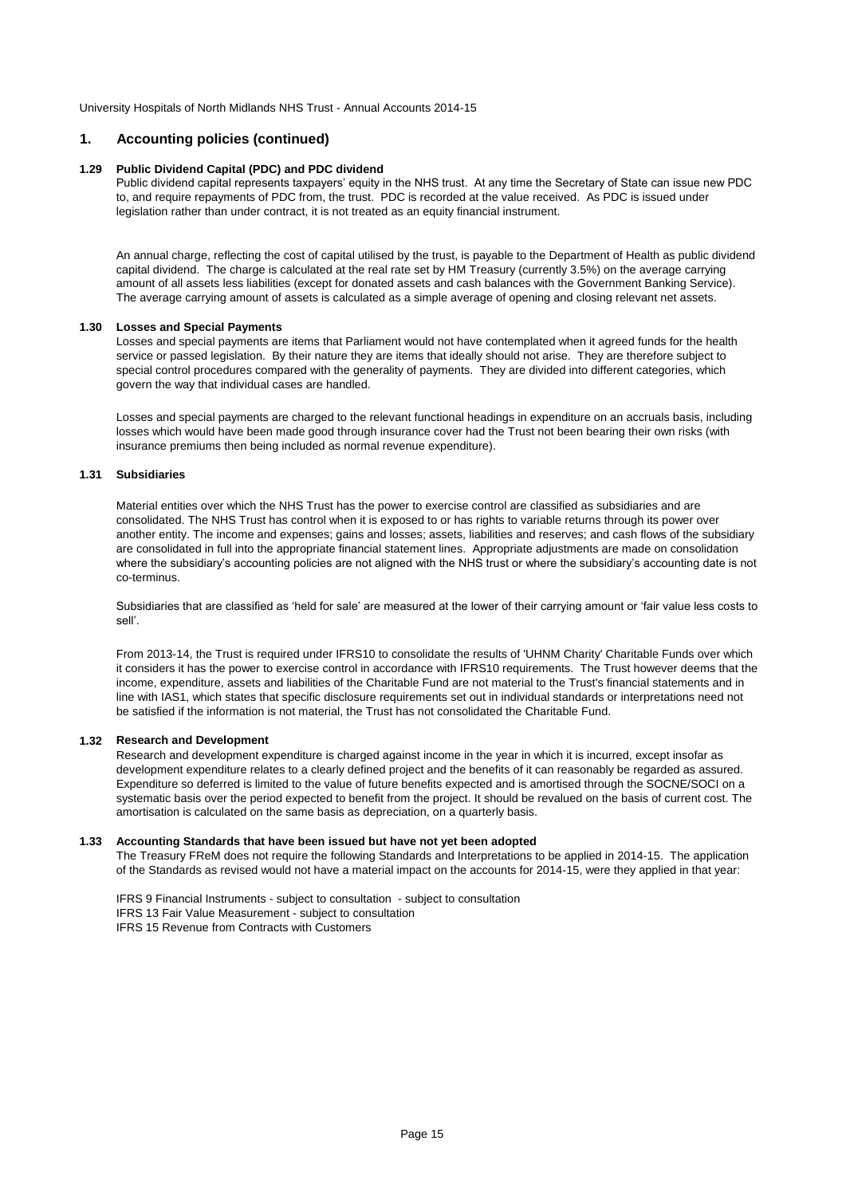# **1. Accounting policies (continued)**

## **1.29 Public Dividend Capital (PDC) and PDC dividend**

Public dividend capital represents taxpayers' equity in the NHS trust. At any time the Secretary of State can issue new PDC to, and require repayments of PDC from, the trust. PDC is recorded at the value received. As PDC is issued under legislation rather than under contract, it is not treated as an equity financial instrument.

An annual charge, reflecting the cost of capital utilised by the trust, is payable to the Department of Health as public dividend capital dividend. The charge is calculated at the real rate set by HM Treasury (currently 3.5%) on the average carrying amount of all assets less liabilities (except for donated assets and cash balances with the Government Banking Service). The average carrying amount of assets is calculated as a simple average of opening and closing relevant net assets.

# **1.30 Losses and Special Payments**

Losses and special payments are items that Parliament would not have contemplated when it agreed funds for the health service or passed legislation. By their nature they are items that ideally should not arise. They are therefore subject to special control procedures compared with the generality of payments. They are divided into different categories, which govern the way that individual cases are handled.

Losses and special payments are charged to the relevant functional headings in expenditure on an accruals basis, including losses which would have been made good through insurance cover had the Trust not been bearing their own risks (with insurance premiums then being included as normal revenue expenditure).

# **1.31 Subsidiaries**

Material entities over which the NHS Trust has the power to exercise control are classified as subsidiaries and are consolidated. The NHS Trust has control when it is exposed to or has rights to variable returns through its power over another entity. The income and expenses; gains and losses; assets, liabilities and reserves; and cash flows of the subsidiary are consolidated in full into the appropriate financial statement lines. Appropriate adjustments are made on consolidation where the subsidiary's accounting policies are not aligned with the NHS trust or where the subsidiary's accounting date is not co-terminus.

Subsidiaries that are classified as 'held for sale' are measured at the lower of their carrying amount or 'fair value less costs to sell'.

From 2013-14, the Trust is required under IFRS10 to consolidate the results of 'UHNM Charity' Charitable Funds over which it considers it has the power to exercise control in accordance with IFRS10 requirements. The Trust however deems that the income, expenditure, assets and liabilities of the Charitable Fund are not material to the Trust's financial statements and in line with IAS1, which states that specific disclosure requirements set out in individual standards or interpretations need not be satisfied if the information is not material, the Trust has not consolidated the Charitable Fund.

# **1.32 Research and Development**

Research and development expenditure is charged against income in the year in which it is incurred, except insofar as development expenditure relates to a clearly defined project and the benefits of it can reasonably be regarded as assured. Expenditure so deferred is limited to the value of future benefits expected and is amortised through the SOCNE/SOCI on a systematic basis over the period expected to benefit from the project. It should be revalued on the basis of current cost. The amortisation is calculated on the same basis as depreciation, on a quarterly basis.

# **1.33 Accounting Standards that have been issued but have not yet been adopted**

The Treasury FReM does not require the following Standards and Interpretations to be applied in 2014-15. The application of the Standards as revised would not have a material impact on the accounts for 2014-15, were they applied in that year:

IFRS 9 Financial Instruments - subject to consultation - subject to consultation IFRS 13 Fair Value Measurement - subject to consultation IFRS 15 Revenue from Contracts with Customers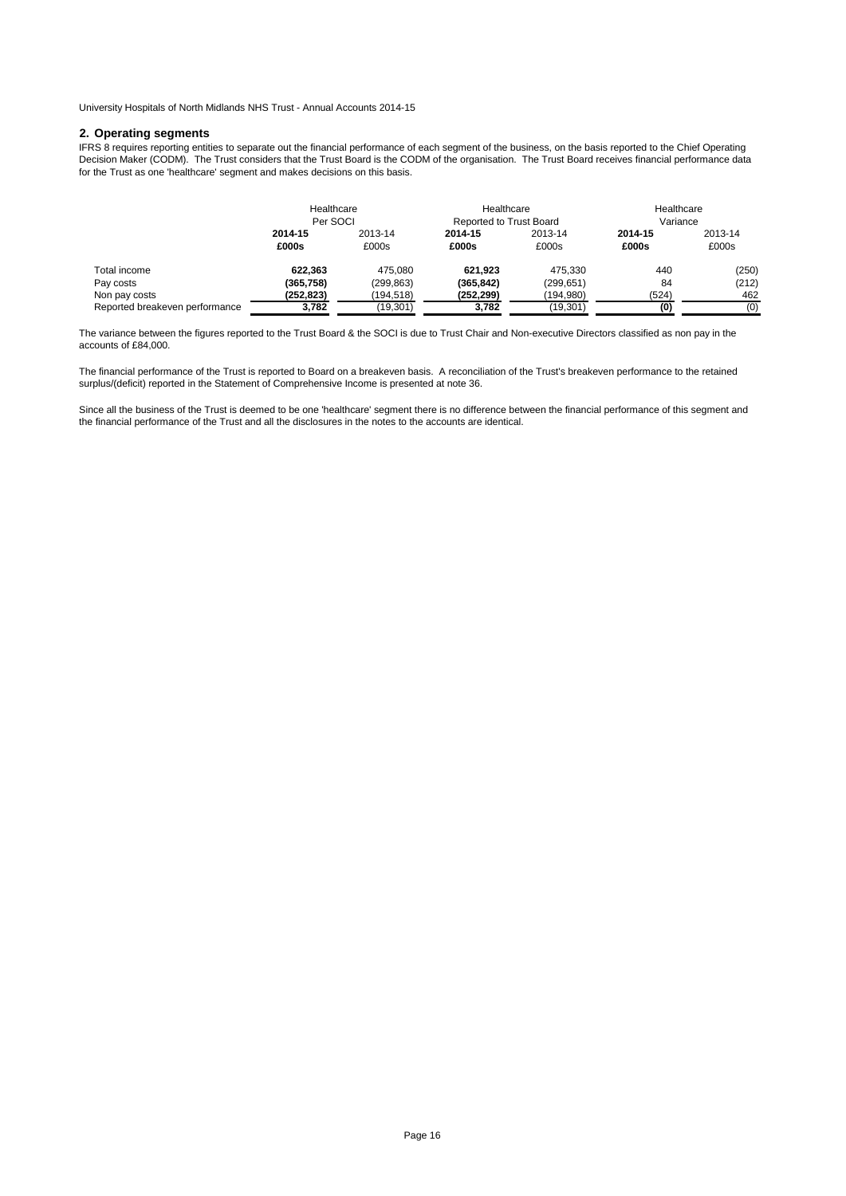### **2. Operating segments**

IFRS 8 requires reporting entities to separate out the financial performance of each segment of the business, on the basis reported to the Chief Operating Decision Maker (CODM). The Trust considers that the Trust Board is the CODM of the organisation. The Trust Board receives financial performance data for the Trust as one 'healthcare' segment and makes decisions on this basis.

|                                | Healthcare<br>Per SOCI |                  | Healthcare<br><b>Reported to Trust Board</b> |                  | Healthcare<br>Variance |                  |
|--------------------------------|------------------------|------------------|----------------------------------------------|------------------|------------------------|------------------|
|                                | 2014-15<br>£000s       | 2013-14<br>£000s | 2014-15<br>£000s                             | 2013-14<br>£000s | 2014-15<br>£000s       | 2013-14<br>£000s |
| Total income                   | 622.363                | 475.080          | 621.923                                      | 475.330          | 440                    | (250)            |
| Pay costs                      | (365, 758)             | (299.863)        | (365, 842)                                   | (299, 651)       | 84                     | (212)            |
| Non pay costs                  | (252,823)              | (194,518)        | (252,299)                                    | (194,980)        | (524)                  | 462              |
| Reported breakeven performance | 3,782                  | (19, 301)        | 3,782                                        | (19,301)         | (0)                    | (0)              |

The variance between the figures reported to the Trust Board & the SOCI is due to Trust Chair and Non-executive Directors classified as non pay in the accounts of £84,000.

The financial performance of the Trust is reported to Board on a breakeven basis. A reconciliation of the Trust's breakeven performance to the retained surplus/(deficit) reported in the Statement of Comprehensive Income is presented at note 36.

Since all the business of the Trust is deemed to be one 'healthcare' segment there is no difference between the financial performance of this segment and the financial performance of the Trust and all the disclosures in the notes to the accounts are identical.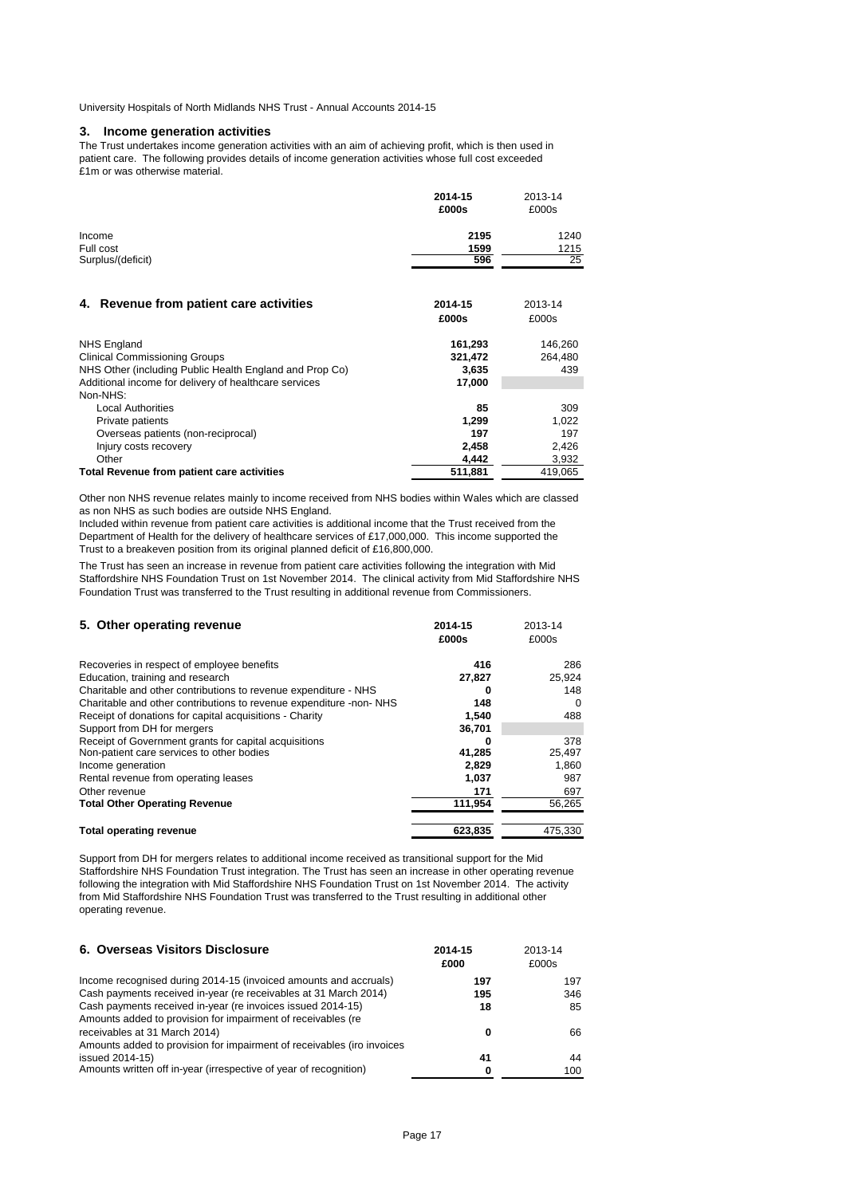# **3. Income generation activities**

The Trust undertakes income generation activities with an aim of achieving profit, which is then used in patient care. The following provides details of income generation activities whose full cost exceeded £1m or was otherwise material.

|                   | 2014-15 | 2013-14 |
|-------------------|---------|---------|
|                   | £000s   | £000s   |
| Income            | 2195    | 1240    |
| Full cost         | 1599    | 1215    |
| Surplus/(deficit) | 596     | 25      |
|                   |         |         |

| 4. Revenue from patient care activities                 | 2014-15 | 2013-14 |
|---------------------------------------------------------|---------|---------|
|                                                         | £000s   | £000s   |
| <b>NHS England</b>                                      | 161,293 | 146.260 |
| <b>Clinical Commissioning Groups</b>                    | 321.472 | 264.480 |
| NHS Other (including Public Health England and Prop Co) | 3.635   | 439     |
| Additional income for delivery of healthcare services   | 17,000  |         |
| Non-NHS:                                                |         |         |
| <b>Local Authorities</b>                                | 85      | 309     |
| Private patients                                        | 1.299   | 1.022   |
| Overseas patients (non-reciprocal)                      | 197     | 197     |
| Injury costs recovery                                   | 2.458   | 2.426   |
| Other                                                   | 4.442   | 3,932   |
| Total Revenue from patient care activities              | 511.881 | 419,065 |

Other non NHS revenue relates mainly to income received from NHS bodies within Wales which are classed as non NHS as such bodies are outside NHS England.

Included within revenue from patient care activities is additional income that the Trust received from the Department of Health for the delivery of healthcare services of £17,000,000. This income supported the Trust to a breakeven position from its original planned deficit of £16,800,000.

The Trust has seen an increase in revenue from patient care activities following the integration with Mid Staffordshire NHS Foundation Trust on 1st November 2014. The clinical activity from Mid Staffordshire NHS Foundation Trust was transferred to the Trust resulting in additional revenue from Commissioners.

| 5. Other operating revenue                                         | 2014-15<br>£000s | 2013-14<br>£000s |
|--------------------------------------------------------------------|------------------|------------------|
| Recoveries in respect of employee benefits                         | 416              | 286              |
| Education, training and research                                   | 27,827           | 25,924           |
| Charitable and other contributions to revenue expenditure - NHS    | 0                | 148              |
| Charitable and other contributions to revenue expenditure -non-NHS | 148              | $\Omega$         |
| Receipt of donations for capital acquisitions - Charity            | 1,540            | 488              |
| Support from DH for mergers                                        | 36,701           |                  |
| Receipt of Government grants for capital acquisitions              | o                | 378              |
| Non-patient care services to other bodies                          | 41,285           | 25,497           |
| Income generation                                                  | 2.829            | 1,860            |
| Rental revenue from operating leases                               | 1.037            | 987              |
| Other revenue                                                      | 171              | 697              |
| <b>Total Other Operating Revenue</b>                               | 111,954          | 56,265           |
| <b>Total operating revenue</b>                                     | 623.835          | 475.330          |

Support from DH for mergers relates to additional income received as transitional support for the Mid Staffordshire NHS Foundation Trust integration. The Trust has seen an increase in other operating revenue following the integration with Mid Staffordshire NHS Foundation Trust on 1st November 2014. The activity from Mid Staffordshire NHS Foundation Trust was transferred to the Trust resulting in additional other operating revenue.

| 6. Overseas Visitors Disclosure                                        | 2014-15<br>£000 | 2013-14<br>£000s |
|------------------------------------------------------------------------|-----------------|------------------|
| Income recognised during 2014-15 (invoiced amounts and accruals)       | 197             | 197              |
| Cash payments received in-year (re receivables at 31 March 2014)       | 195             | 346              |
| Cash payments received in-year (re invoices issued 2014-15)            | 18              | 85               |
| Amounts added to provision for impairment of receivables (re           |                 |                  |
| receivables at 31 March 2014)                                          | 0               | 66               |
| Amounts added to provision for impairment of receivables (iro invoices |                 |                  |
| issued 2014-15)                                                        | 41              | 44               |
| Amounts written off in-year (irrespective of year of recognition)      | 0               | 100              |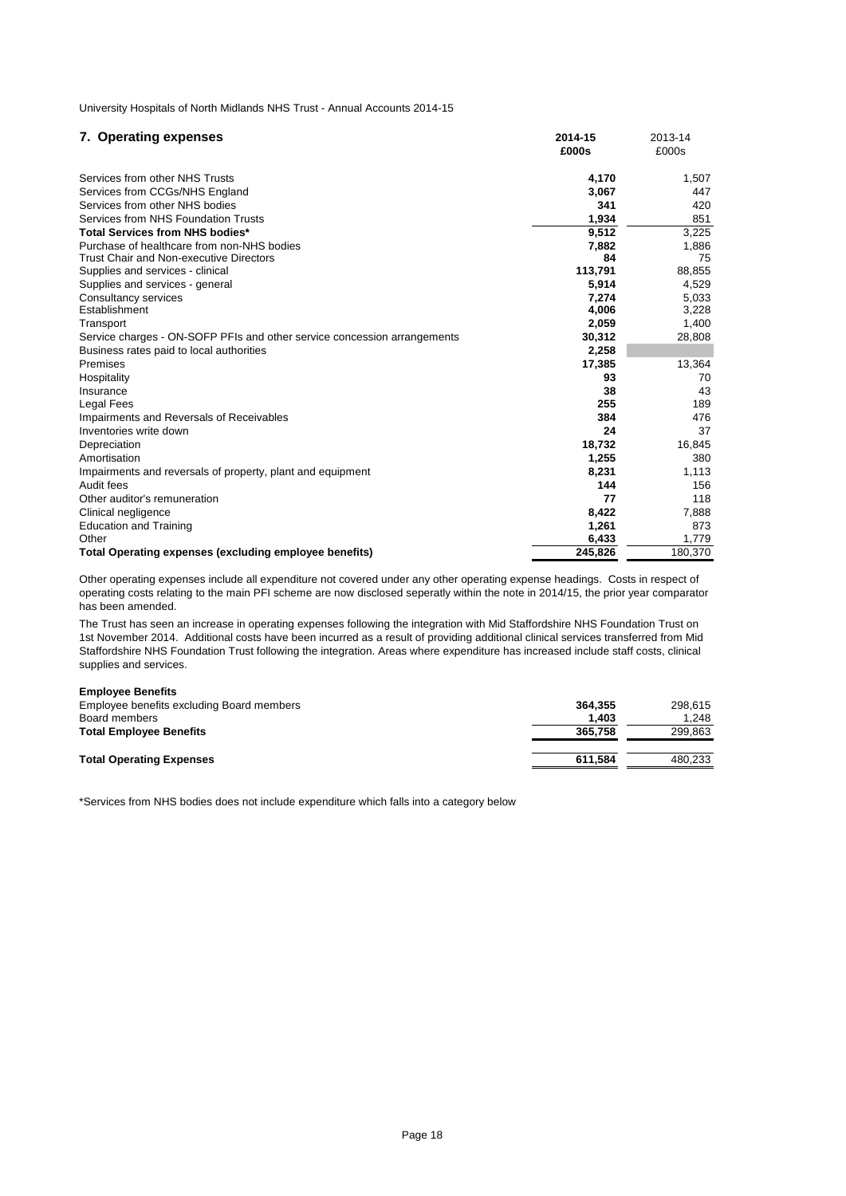| 7. Operating expenses                                                    | 2014-15 | 2013-14 |
|--------------------------------------------------------------------------|---------|---------|
|                                                                          | £000s   | £000s   |
| Services from other NHS Trusts                                           | 4,170   | 1,507   |
| Services from CCGs/NHS England                                           | 3,067   | 447     |
| Services from other NHS bodies                                           | 341     | 420     |
| Services from NHS Foundation Trusts                                      | 1,934   | 851     |
| <b>Total Services from NHS bodies*</b>                                   | 9,512   | 3,225   |
| Purchase of healthcare from non-NHS bodies                               | 7,882   | 1,886   |
| Trust Chair and Non-executive Directors                                  | 84      | 75      |
| Supplies and services - clinical                                         | 113,791 | 88,855  |
| Supplies and services - general                                          | 5,914   | 4,529   |
| Consultancy services                                                     | 7,274   | 5,033   |
| Establishment                                                            | 4,006   | 3,228   |
| Transport                                                                | 2,059   | 1,400   |
| Service charges - ON-SOFP PFIs and other service concession arrangements | 30,312  | 28,808  |
| Business rates paid to local authorities                                 | 2.258   |         |
| Premises                                                                 | 17,385  | 13,364  |
| Hospitality                                                              | 93      | 70      |
| Insurance                                                                | 38      | 43      |
| <b>Legal Fees</b>                                                        | 255     | 189     |
| Impairments and Reversals of Receivables                                 | 384     | 476     |
| Inventories write down                                                   | 24      | 37      |
| Depreciation                                                             | 18,732  | 16,845  |
| Amortisation                                                             | 1,255   | 380     |
| Impairments and reversals of property, plant and equipment               | 8,231   | 1,113   |
| Audit fees                                                               | 144     | 156     |
| Other auditor's remuneration                                             | 77      | 118     |
| Clinical negligence                                                      | 8,422   | 7,888   |
| <b>Education and Training</b>                                            | 1,261   | 873     |
| Other                                                                    | 6,433   | 1,779   |
| Total Operating expenses (excluding employee benefits)                   | 245.826 | 180,370 |

Other operating expenses include all expenditure not covered under any other operating expense headings. Costs in respect of operating costs relating to the main PFI scheme are now disclosed seperatly within the note in 2014/15, the prior year comparator has been amended.

The Trust has seen an increase in operating expenses following the integration with Mid Staffordshire NHS Foundation Trust on 1st November 2014. Additional costs have been incurred as a result of providing additional clinical services transferred from Mid Staffordshire NHS Foundation Trust following the integration. Areas where expenditure has increased include staff costs, clinical supplies and services.

# **Employee Benefits**

| Employee benefits excluding Board members | 364.355 | 298.615 |
|-------------------------------------------|---------|---------|
| Board members                             | 1.403   | 1.248   |
| <b>Total Employee Benefits</b>            | 365,758 | 299.863 |
|                                           |         |         |
| <b>Total Operating Expenses</b>           | 611.584 | 480.233 |

\*Services from NHS bodies does not include expenditure which falls into a category below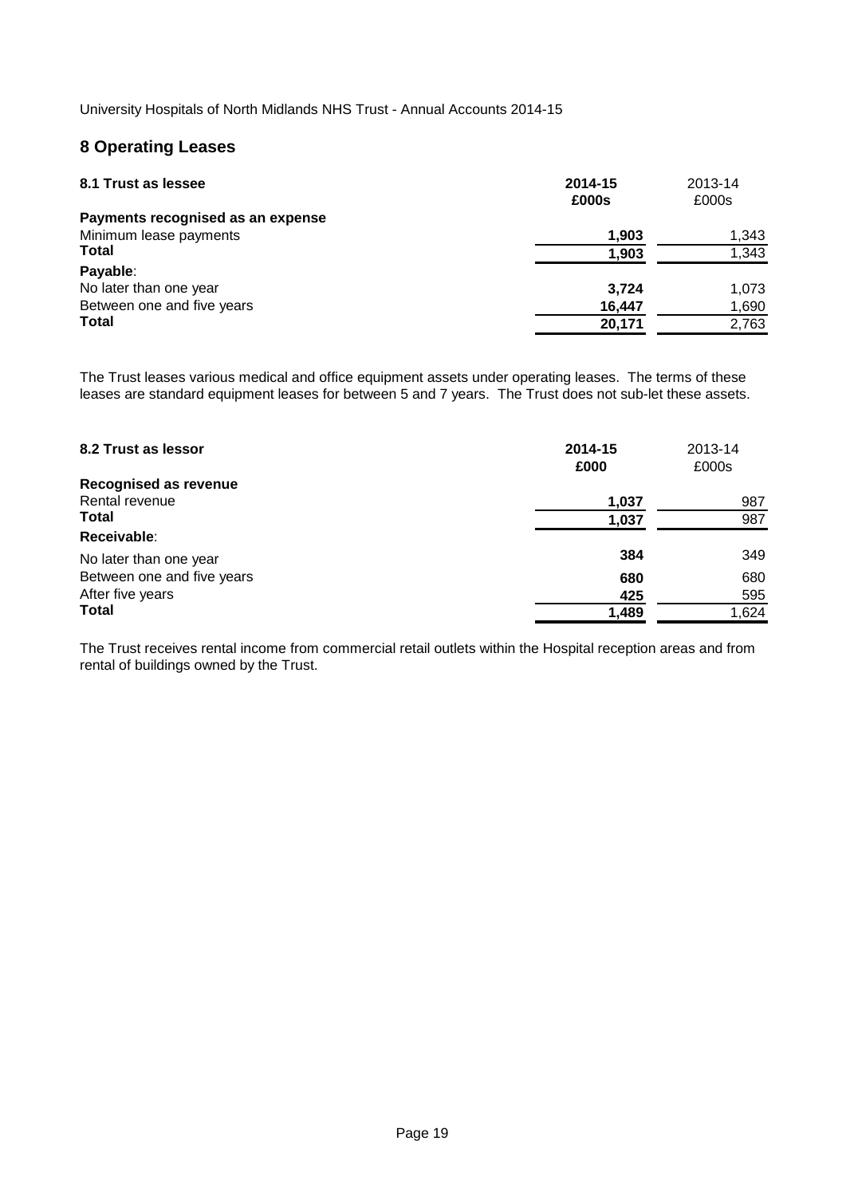# **8 Operating Leases**

| 8.1 Trust as lessee               | 2014-15<br>£000s | 2013-14<br>£000s |
|-----------------------------------|------------------|------------------|
| Payments recognised as an expense |                  |                  |
| Minimum lease payments            | 1,903            | 1,343            |
| <b>Total</b>                      | 1,903            | 1,343            |
| Payable:                          |                  |                  |
| No later than one year            | 3.724            | 1.073            |
| Between one and five years        | 16,447           | 1,690            |
| <b>Total</b>                      | 20,171           | 2,763            |

The Trust leases various medical and office equipment assets under operating leases. The terms of these leases are standard equipment leases for between 5 and 7 years. The Trust does not sub-let these assets.

| 8.2 Trust as lessor<br><b>Recognised as revenue</b> | 2014-15<br>£000 | 2013-14<br>£000s |
|-----------------------------------------------------|-----------------|------------------|
| Rental revenue                                      | 1,037           | 987              |
| <b>Total</b>                                        | 1,037           | 987              |
| Receivable:                                         |                 |                  |
| No later than one year                              | 384             | 349              |
| Between one and five years                          | 680             | 680              |
| After five years                                    | 425             | 595              |
| <b>Total</b>                                        | 1,489           | 1,624            |

The Trust receives rental income from commercial retail outlets within the Hospital reception areas and from rental of buildings owned by the Trust.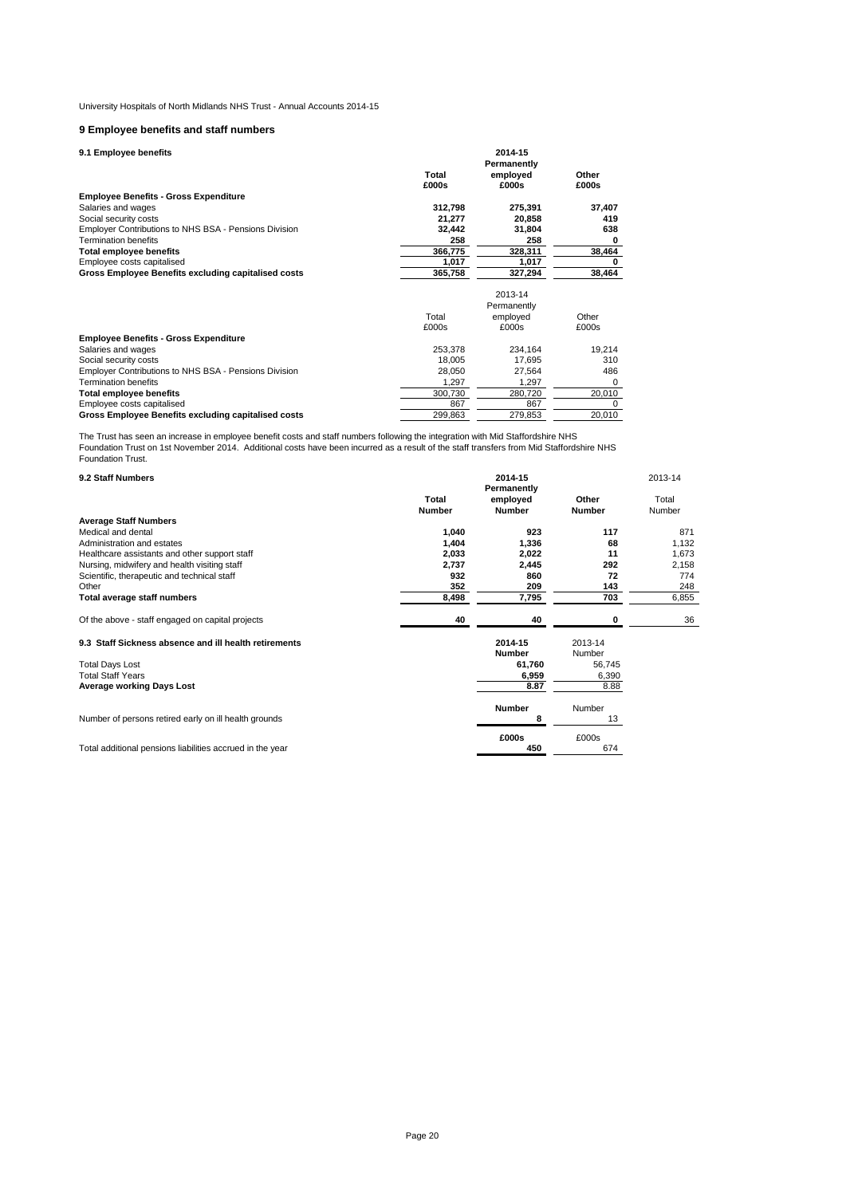# **9 Employee benefits and staff numbers**

**9.1 Employee benefits**

| 9.1 Employee benefits                                 | 2014-15<br>Permanently |             |          |  |  |  |
|-------------------------------------------------------|------------------------|-------------|----------|--|--|--|
|                                                       | Total                  | employed    | Other    |  |  |  |
|                                                       | £000s                  | £000s       | £000s    |  |  |  |
| <b>Employee Benefits - Gross Expenditure</b>          |                        |             |          |  |  |  |
| Salaries and wages                                    | 312,798                | 275,391     | 37,407   |  |  |  |
| Social security costs                                 | 21,277                 | 20,858      | 419      |  |  |  |
| Employer Contributions to NHS BSA - Pensions Division | 32,442                 | 31,804      | 638      |  |  |  |
| <b>Termination benefits</b>                           | 258                    | 258         | 0        |  |  |  |
| <b>Total employee benefits</b>                        | 366,775                | 328,311     | 38,464   |  |  |  |
| Employee costs capitalised                            | 1,017                  | 1,017       | 0        |  |  |  |
| Gross Employee Benefits excluding capitalised costs   | 365,758                | 327,294     | 38,464   |  |  |  |
|                                                       |                        | 2013-14     |          |  |  |  |
|                                                       |                        | Permanently |          |  |  |  |
|                                                       | Total                  | employed    | Other    |  |  |  |
|                                                       | £000s                  | £000s       | £000s    |  |  |  |
| <b>Employee Benefits - Gross Expenditure</b>          |                        |             |          |  |  |  |
| Salaries and wages                                    | 253,378                | 234,164     | 19,214   |  |  |  |
| Social security costs                                 | 18,005                 | 17,695      | 310      |  |  |  |
| Employer Contributions to NHS BSA - Pensions Division | 28,050                 | 27,564      | 486      |  |  |  |
| <b>Termination benefits</b>                           | 1,297                  | 1,297       | $\Omega$ |  |  |  |
| Total employee benefits                               | 300,730                | 280,720     | 20,010   |  |  |  |
| Employee costs capitalised                            | 867                    | 867         | $\Omega$ |  |  |  |
| Gross Employee Benefits excluding capitalised costs   | 299,863                | 279,853     | 20,010   |  |  |  |

The Trust has seen an increase in employee benefit costs and staff numbers following the integration with Mid Staffordshire NHS<br>Foundation Trust on 1st November 2014. Additional costs have been incurred as a result of the Foundation Trust.

| 9.2 Staff Numbers                                         |                        |                           | 2013-14                |                 |
|-----------------------------------------------------------|------------------------|---------------------------|------------------------|-----------------|
|                                                           | Total<br><b>Number</b> | employed<br><b>Number</b> | Other<br><b>Number</b> | Total<br>Number |
| <b>Average Staff Numbers</b>                              |                        |                           |                        |                 |
| Medical and dental                                        | 1,040                  | 923                       | 117                    | 871             |
| Administration and estates                                | 1,404                  | 1,336                     | 68                     | 1,132           |
| Healthcare assistants and other support staff             | 2,033                  | 2,022                     | 11                     | 1,673           |
| Nursing, midwifery and health visiting staff              | 2,737                  | 2,445                     | 292                    | 2,158           |
| Scientific, therapeutic and technical staff               | 932                    | 860                       | 72                     | 774             |
| Other                                                     | 352                    | 209                       | 143                    | 248             |
| Total average staff numbers                               | 8,498                  | 7,795                     | 703                    | 6,855           |
|                                                           |                        |                           |                        |                 |
| Of the above - staff engaged on capital projects          | 40                     | 40                        | 0                      | 36              |
| 9.3 Staff Sickness absence and ill health retirements     |                        | 2014-15                   | 2013-14                |                 |
|                                                           |                        | <b>Number</b>             | Number                 |                 |
| <b>Total Days Lost</b>                                    |                        | 61,760                    | 56,745                 |                 |
| <b>Total Staff Years</b>                                  |                        | 6,959                     | 6,390                  |                 |
| <b>Average working Days Lost</b>                          |                        | 8.87                      | 8.88                   |                 |
|                                                           |                        | <b>Number</b>             | Number                 |                 |
| Number of persons retired early on ill health grounds     |                        | 8                         | 13                     |                 |
|                                                           |                        | £000s                     | £000s                  |                 |
| Total additional pensions liabilities accrued in the year |                        | 450                       | 674                    |                 |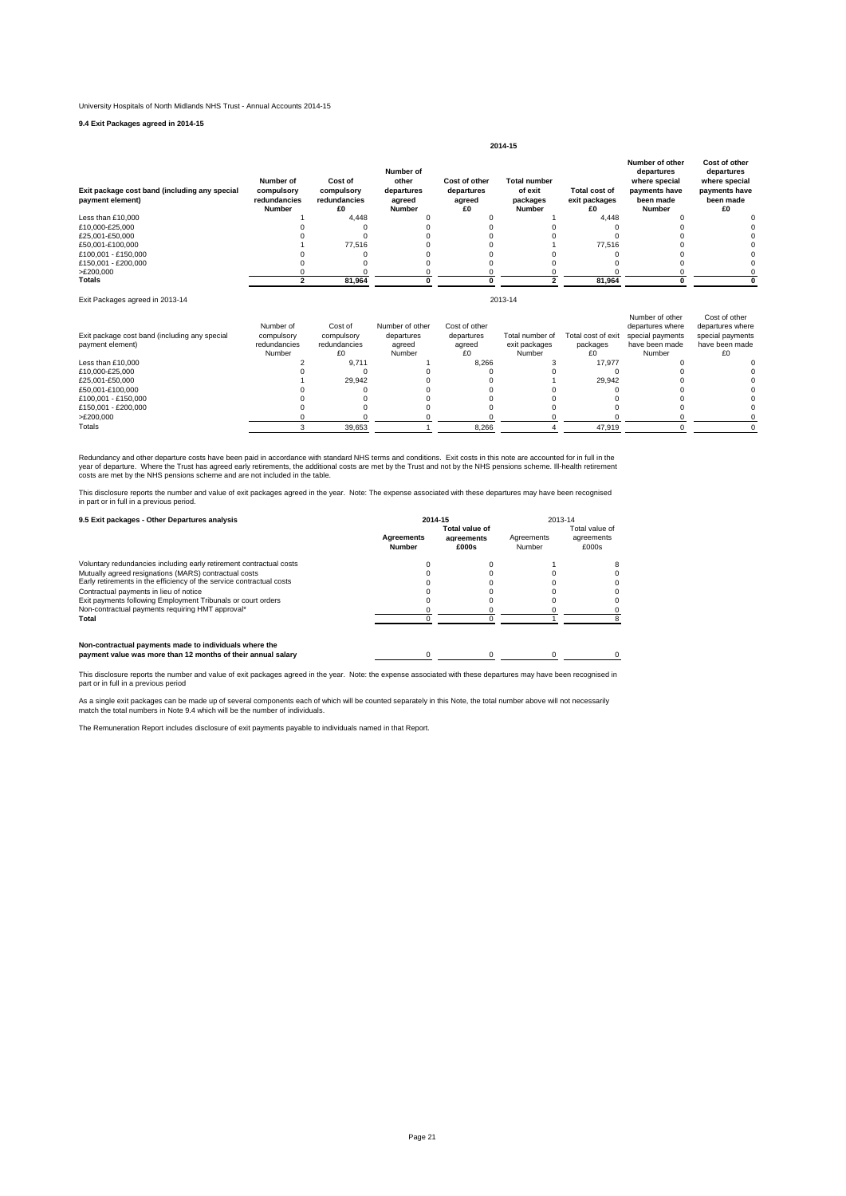**9.4 Exit Packages agreed in 2014-15**

| Exit package cost band (including any special<br>payment element) | Number of<br>compulsory<br>redundancies<br><b>Number</b> | Cost of<br>compulsory<br>redundancies<br>£O | Number of<br>other<br>departures<br>agreed<br>Number | Cost of other<br>departures<br>agreed<br>£0 | <b>Total number</b><br>of exit<br>packages<br><b>Number</b> | <b>Total cost of</b><br>exit packages<br>£O | Number of other<br>departures<br>where special<br>payments have<br>been made<br><b>Number</b> | Cost of other<br>departures<br>where special<br>payments have<br>been made<br>£0 |
|-------------------------------------------------------------------|----------------------------------------------------------|---------------------------------------------|------------------------------------------------------|---------------------------------------------|-------------------------------------------------------------|---------------------------------------------|-----------------------------------------------------------------------------------------------|----------------------------------------------------------------------------------|
| Less than £10,000                                                 |                                                          | 4.448                                       |                                                      |                                             |                                                             | 4.448                                       |                                                                                               |                                                                                  |
| £10.000-£25.000                                                   |                                                          |                                             |                                                      |                                             |                                                             |                                             |                                                                                               |                                                                                  |
| £25.001-£50.000                                                   |                                                          |                                             |                                                      |                                             |                                                             |                                             |                                                                                               |                                                                                  |
| £50.001-£100.000                                                  |                                                          | 77.516                                      |                                                      |                                             |                                                             | 77.516                                      |                                                                                               |                                                                                  |
| £100.001 - £150.000                                               |                                                          |                                             |                                                      |                                             |                                                             |                                             |                                                                                               |                                                                                  |
| £150.001 - £200.000                                               |                                                          |                                             |                                                      |                                             |                                                             |                                             |                                                                                               |                                                                                  |
| >E200,000                                                         |                                                          |                                             |                                                      |                                             |                                                             |                                             |                                                                                               |                                                                                  |
| Totals                                                            |                                                          | 81,964                                      |                                                      |                                             |                                                             | 81,964                                      |                                                                                               |                                                                                  |

**2014-15**

2013-14

Exit Packages agreed in 2013-14

| Exit package cost band (including any special<br>payment element) | Number of<br>compulsory<br>redundancies<br>Number | Cost of<br>compulsory<br>redundancies<br>£0 | Number of other<br>departures<br>agreed<br>Number | Cost of other<br>departures<br>agreed<br>£0 | Total number of<br>exit packages<br>Number | Total cost of exit<br>packages<br>£0 | Number of other<br>departures where<br>special payments<br>have been made<br>Number | Cost of other<br>departures where<br>special payments<br>have been made<br>£Ο |
|-------------------------------------------------------------------|---------------------------------------------------|---------------------------------------------|---------------------------------------------------|---------------------------------------------|--------------------------------------------|--------------------------------------|-------------------------------------------------------------------------------------|-------------------------------------------------------------------------------|
| Less than £10,000                                                 |                                                   | 9.711                                       |                                                   | 8.266                                       |                                            | 17.977                               |                                                                                     |                                                                               |
| £10.000-£25.000                                                   |                                                   |                                             |                                                   |                                             |                                            |                                      |                                                                                     |                                                                               |
| £25.001-£50.000                                                   |                                                   | 29.942                                      |                                                   |                                             |                                            | 29.942                               |                                                                                     |                                                                               |
| £50.001-£100.000                                                  |                                                   |                                             |                                                   |                                             |                                            |                                      |                                                                                     |                                                                               |
| £100.001 - £150.000                                               |                                                   |                                             |                                                   |                                             |                                            |                                      |                                                                                     |                                                                               |
| £150.001 - £200.000                                               |                                                   |                                             |                                                   |                                             |                                            |                                      |                                                                                     |                                                                               |
| >E200.000                                                         |                                                   |                                             |                                                   |                                             |                                            |                                      |                                                                                     |                                                                               |
| Totals                                                            |                                                   | 39.653                                      |                                                   | 8.266                                       |                                            | 47.919                               |                                                                                     |                                                                               |

Redundancy and other departure costs have been paid in accordance with standard NHS terms and conditions. Exit costs in this note are accounted for in full in the<br>year of departure. Where the Trust has agreed early retirem

This disclosure reports the number and value of exit packages agreed in the year. Note: The expense associated with these departures may have been recognised<br>in part or in full in a previous period.

| 9.5 Exit packages - Other Departures analysis                                                                          | 2014-15                            |                                       | 2013-14              |                                       |  |
|------------------------------------------------------------------------------------------------------------------------|------------------------------------|---------------------------------------|----------------------|---------------------------------------|--|
|                                                                                                                        | <b>Agreements</b><br><b>Number</b> | Total value of<br>agreements<br>£000s | Agreements<br>Number | Total value of<br>agreements<br>£000s |  |
| Voluntary redundancies including early retirement contractual costs                                                    |                                    |                                       |                      |                                       |  |
| Mutually agreed resignations (MARS) contractual costs                                                                  |                                    |                                       |                      |                                       |  |
| Early retirements in the efficiency of the service contractual costs                                                   |                                    |                                       |                      |                                       |  |
| Contractual payments in lieu of notice                                                                                 |                                    |                                       |                      |                                       |  |
| Exit payments following Employment Tribunals or court orders                                                           |                                    |                                       |                      |                                       |  |
| Non-contractual payments requiring HMT approval*                                                                       |                                    |                                       |                      |                                       |  |
| Total                                                                                                                  |                                    |                                       |                      |                                       |  |
| Non-contractual payments made to individuals where the<br>payment value was more than 12 months of their annual salary |                                    |                                       |                      |                                       |  |
|                                                                                                                        |                                    |                                       |                      |                                       |  |

This disclosure reports the number and value of exit packages agreed in the year. Note: the expense associated with these departures may have been recognised in part or in full in a previous period

As a single exit packages can be made up of several components each of which will be counted separately in this Note, the total number above will not necessarily<br>match the total numbers in Note 9.4 which will be the number

The Remuneration Report includes disclosure of exit payments payable to individuals named in that Report.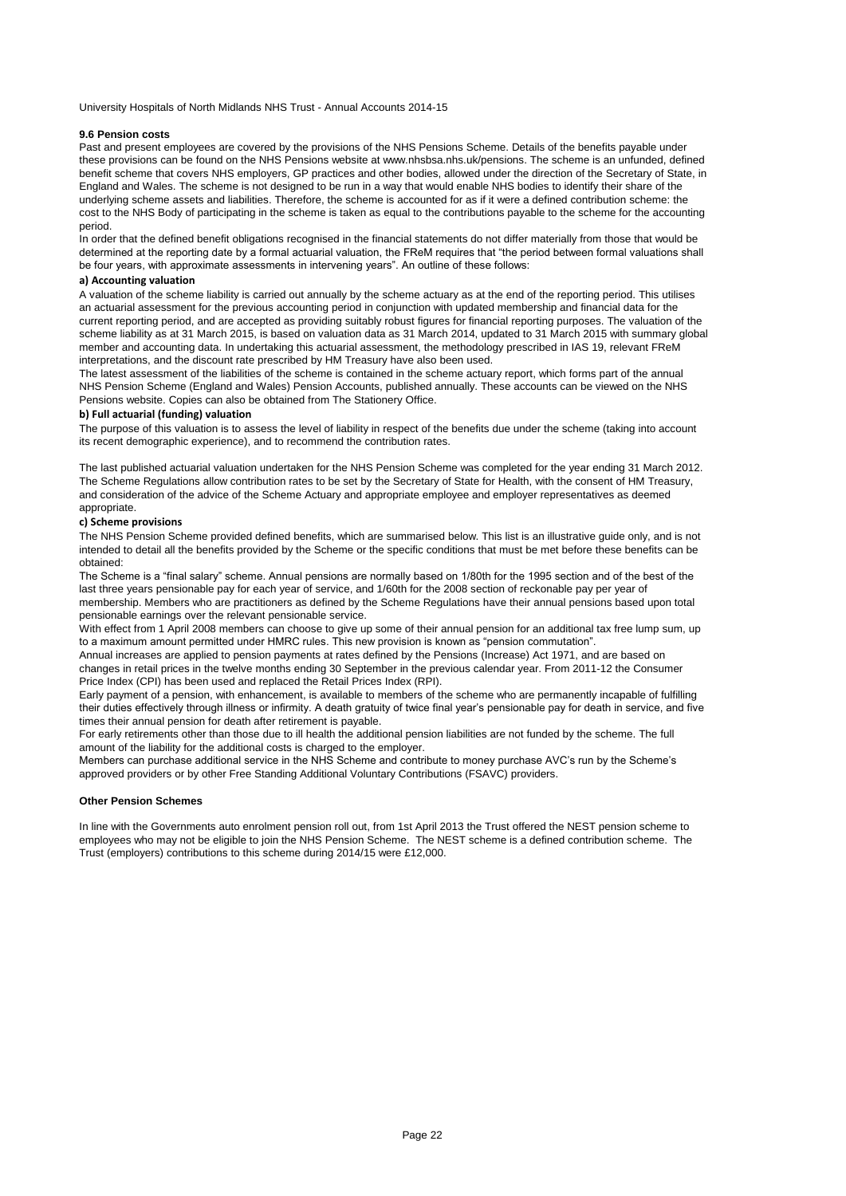### **9.6 Pension costs**

Past and present employees are covered by the provisions of the NHS Pensions Scheme. Details of the benefits payable under these provisions can be found on the NHS Pensions website at www.nhsbsa.nhs.uk/pensions. The scheme is an unfunded, defined benefit scheme that covers NHS employers, GP practices and other bodies, allowed under the direction of the Secretary of State, in England and Wales. The scheme is not designed to be run in a way that would enable NHS bodies to identify their share of the underlying scheme assets and liabilities. Therefore, the scheme is accounted for as if it were a defined contribution scheme: the cost to the NHS Body of participating in the scheme is taken as equal to the contributions payable to the scheme for the accounting period.

In order that the defined benefit obligations recognised in the financial statements do not differ materially from those that would be determined at the reporting date by a formal actuarial valuation, the FReM requires that "the period between formal valuations shall be four years, with approximate assessments in intervening years". An outline of these follows:

# **a) Accounting valuation**

A valuation of the scheme liability is carried out annually by the scheme actuary as at the end of the reporting period. This utilises an actuarial assessment for the previous accounting period in conjunction with updated membership and financial data for the current reporting period, and are accepted as providing suitably robust figures for financial reporting purposes. The valuation of the scheme liability as at 31 March 2015, is based on valuation data as 31 March 2014, updated to 31 March 2015 with summary global member and accounting data. In undertaking this actuarial assessment, the methodology prescribed in IAS 19, relevant FReM interpretations, and the discount rate prescribed by HM Treasury have also been used.

The latest assessment of the liabilities of the scheme is contained in the scheme actuary report, which forms part of the annual NHS Pension Scheme (England and Wales) Pension Accounts, published annually. These accounts can be viewed on the NHS Pensions website. Copies can also be obtained from The Stationery Office.

# **b) Full actuarial (funding) valuation**

The purpose of this valuation is to assess the level of liability in respect of the benefits due under the scheme (taking into account its recent demographic experience), and to recommend the contribution rates.

The last published actuarial valuation undertaken for the NHS Pension Scheme was completed for the year ending 31 March 2012. The Scheme Regulations allow contribution rates to be set by the Secretary of State for Health, with the consent of HM Treasury, and consideration of the advice of the Scheme Actuary and appropriate employee and employer representatives as deemed appropriate.

## **c) Scheme provisions**

The NHS Pension Scheme provided defined benefits, which are summarised below. This list is an illustrative guide only, and is not intended to detail all the benefits provided by the Scheme or the specific conditions that must be met before these benefits can be obtained:

The Scheme is a "final salary" scheme. Annual pensions are normally based on 1/80th for the 1995 section and of the best of the last three years pensionable pay for each year of service, and 1/60th for the 2008 section of reckonable pay per year of membership. Members who are practitioners as defined by the Scheme Regulations have their annual pensions based upon total pensionable earnings over the relevant pensionable service.

With effect from 1 April 2008 members can choose to give up some of their annual pension for an additional tax free lump sum, up to a maximum amount permitted under HMRC rules. This new provision is known as "pension commutation".

Annual increases are applied to pension payments at rates defined by the Pensions (Increase) Act 1971, and are based on changes in retail prices in the twelve months ending 30 September in the previous calendar year. From 2011-12 the Consumer Price Index (CPI) has been used and replaced the Retail Prices Index (RPI).

Early payment of a pension, with enhancement, is available to members of the scheme who are permanently incapable of fulfilling their duties effectively through illness or infirmity. A death gratuity of twice final year's pensionable pay for death in service, and five times their annual pension for death after retirement is payable.

For early retirements other than those due to ill health the additional pension liabilities are not funded by the scheme. The full amount of the liability for the additional costs is charged to the employer.

Members can purchase additional service in the NHS Scheme and contribute to money purchase AVC's run by the Scheme's approved providers or by other Free Standing Additional Voluntary Contributions (FSAVC) providers.

# **Other Pension Schemes**

In line with the Governments auto enrolment pension roll out, from 1st April 2013 the Trust offered the NEST pension scheme to employees who may not be eligible to join the NHS Pension Scheme. The NEST scheme is a defined contribution scheme. The Trust (employers) contributions to this scheme during 2014/15 were £12,000.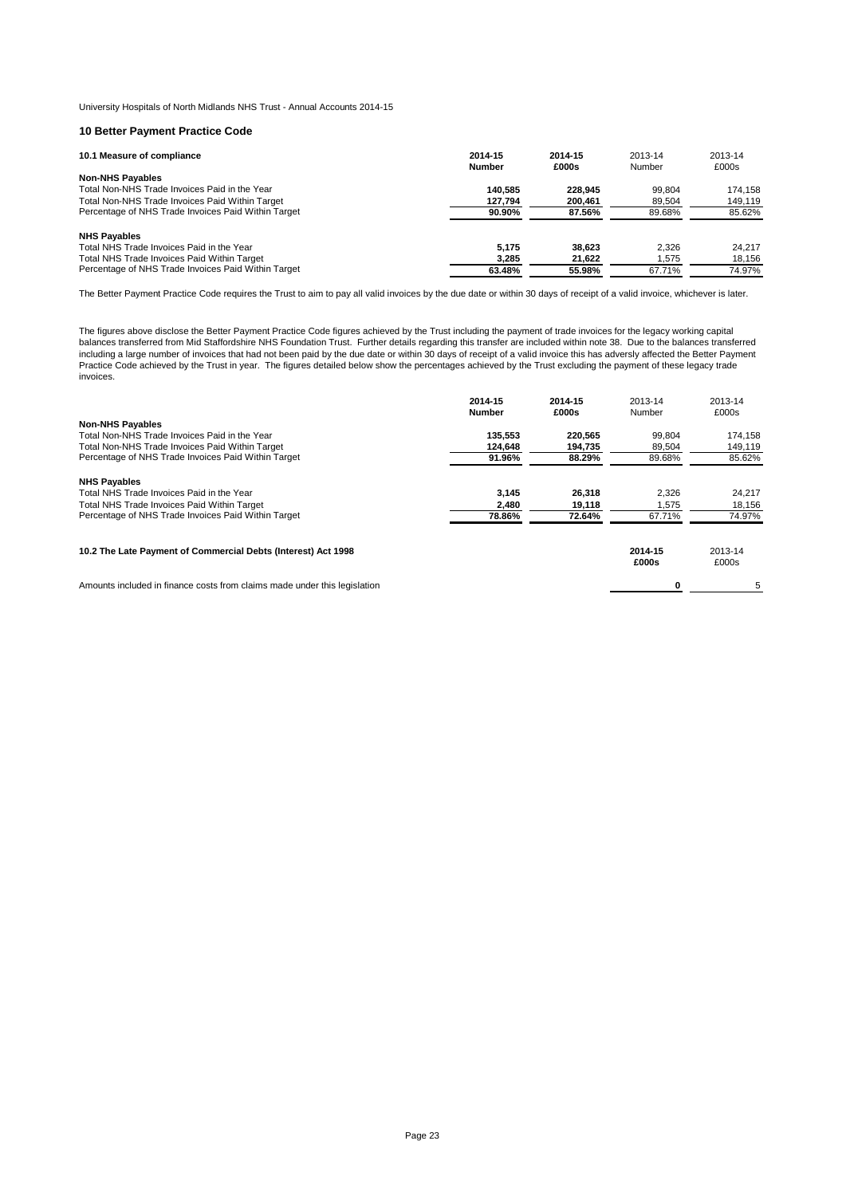## **10 Better Payment Practice Code**

| 10.1 Measure of compliance                          | 2014-15<br><b>Number</b> | 2014-15<br>£000s | 2013-14<br>Number | 2013-14<br>£000s |
|-----------------------------------------------------|--------------------------|------------------|-------------------|------------------|
| <b>Non-NHS Payables</b>                             |                          |                  |                   |                  |
| Total Non-NHS Trade Invoices Paid in the Year       | 140.585                  | 228.945          | 99.804            | 174.158          |
| Total Non-NHS Trade Invoices Paid Within Target     | 127.794                  | 200.461          | 89.504            | 149.119          |
| Percentage of NHS Trade Invoices Paid Within Target | 90.90%                   | 87.56%           | 89.68%            | 85.62%           |
| <b>NHS Payables</b>                                 |                          |                  |                   |                  |
| Total NHS Trade Invoices Paid in the Year           | 5.175                    | 38.623           | 2.326             | 24.217           |
| Total NHS Trade Invoices Paid Within Target         | 3,285                    | 21.622           | 1.575             | 18,156           |
| Percentage of NHS Trade Invoices Paid Within Target | 63.48%                   | 55.98%           | 67.71%            | 74.97%           |

The Better Payment Practice Code requires the Trust to aim to pay all valid invoices by the due date or within 30 days of receipt of a valid invoice, whichever is later.

The figures above disclose the Better Payment Practice Code figures achieved by the Trust including the payment of trade invoices for the legacy working capital balances transferred from Mid Staffordshire NHS Foundation Trust. Further details regarding this transfer are included within note 38. Due to the balances transferred including a large number of invoices that had not been paid by the due date or within 30 days of receipt of a valid invoice this has adversly affected the Better Payment Practice Code achieved by the Trust in year. The figures detailed below show the percentages achieved by the Trust excluding the payment of these legacy trade invoices.

|                                                                           | 2014-15<br><b>Number</b> | 2014-15<br>£000s | 2013-14<br>Number | 2013-14<br>£000s |
|---------------------------------------------------------------------------|--------------------------|------------------|-------------------|------------------|
| <b>Non-NHS Payables</b>                                                   |                          |                  |                   |                  |
| Total Non-NHS Trade Invoices Paid in the Year                             | 135.553                  | 220.565          | 99.804            | 174.158          |
| Total Non-NHS Trade Invoices Paid Within Target                           | 124.648                  | 194,735          | 89.504            | 149,119          |
| Percentage of NHS Trade Invoices Paid Within Target                       | 91.96%                   | 88.29%           | 89.68%            | 85.62%           |
| <b>NHS Payables</b>                                                       |                          |                  |                   |                  |
| Total NHS Trade Invoices Paid in the Year                                 | 3,145                    | 26,318           | 2,326             | 24,217           |
| Total NHS Trade Invoices Paid Within Target                               | 2,480                    | 19,118           | 1.575             | 18,156           |
| Percentage of NHS Trade Invoices Paid Within Target                       | 78.86%                   | 72.64%           | 67.71%            | 74.97%           |
| 10.2 The Late Payment of Commercial Debts (Interest) Act 1998             |                          |                  | 2014-15<br>£000s  | 2013-14<br>£000s |
| Amounts included in finance costs from claims made under this legislation |                          |                  |                   | 5                |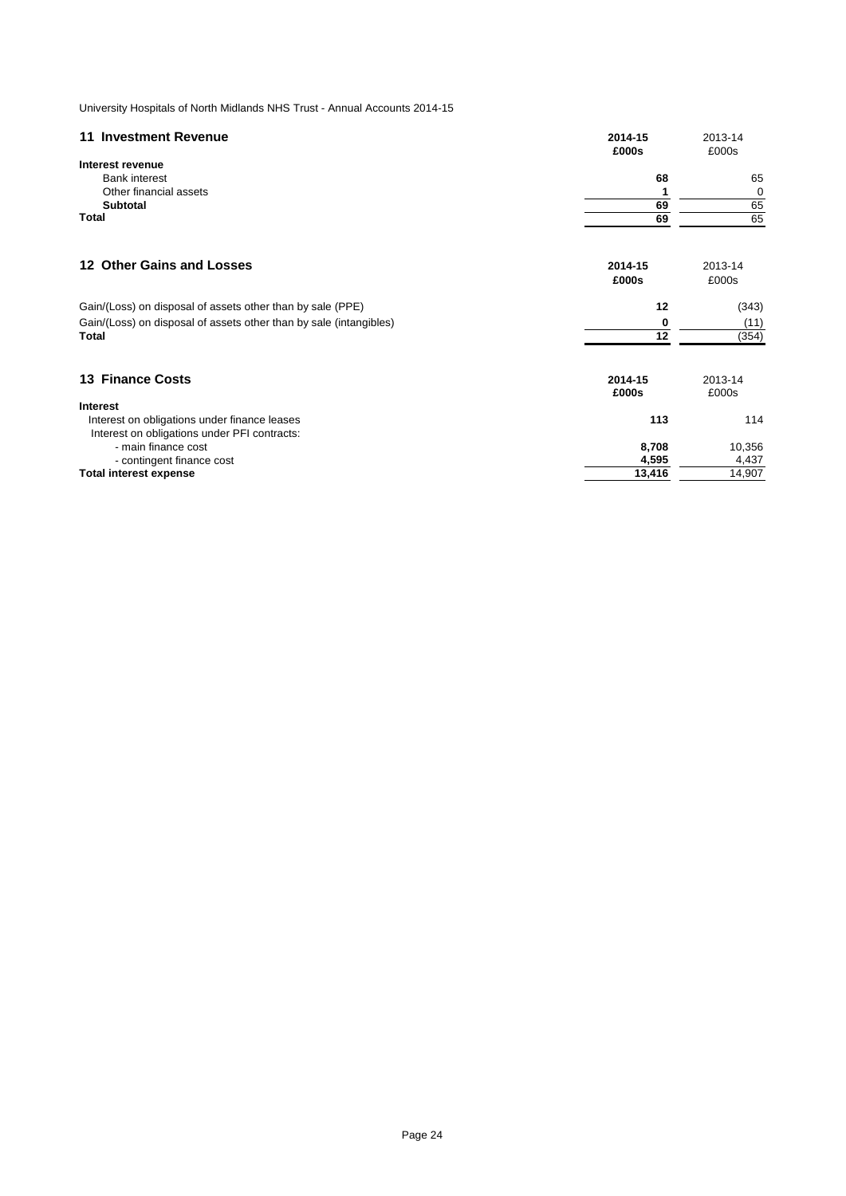| 11 Investment Revenue                                              | 2014-15<br>£000s | 2013-14<br>£000s |
|--------------------------------------------------------------------|------------------|------------------|
| Interest revenue                                                   |                  |                  |
| <b>Bank interest</b>                                               | 68               | 65               |
| Other financial assets                                             |                  | 0                |
| <b>Subtotal</b>                                                    | 69               | 65               |
| Total                                                              | 69               | 65               |
| 12 Other Gains and Losses                                          | 2014-15          | 2013-14          |
|                                                                    | £000s            | £000s            |
| Gain/(Loss) on disposal of assets other than by sale (PPE)         | 12               | (343)            |
| Gain/(Loss) on disposal of assets other than by sale (intangibles) | 0                | (11)             |
| Total                                                              | 12               | (354)            |
| <b>13 Finance Costs</b>                                            | 2014-15<br>£000s | 2013-14<br>£000s |
| <b>Interest</b>                                                    |                  |                  |
| Interest on obligations under finance leases                       | 113              | 114              |
| Interest on obligations under PFI contracts:                       |                  |                  |
| - main finance cost                                                | 8,708            | 10,356           |
| - contingent finance cost                                          | 4,595            | 4,437            |
| <b>Total interest expense</b>                                      | 13,416           | 14,907           |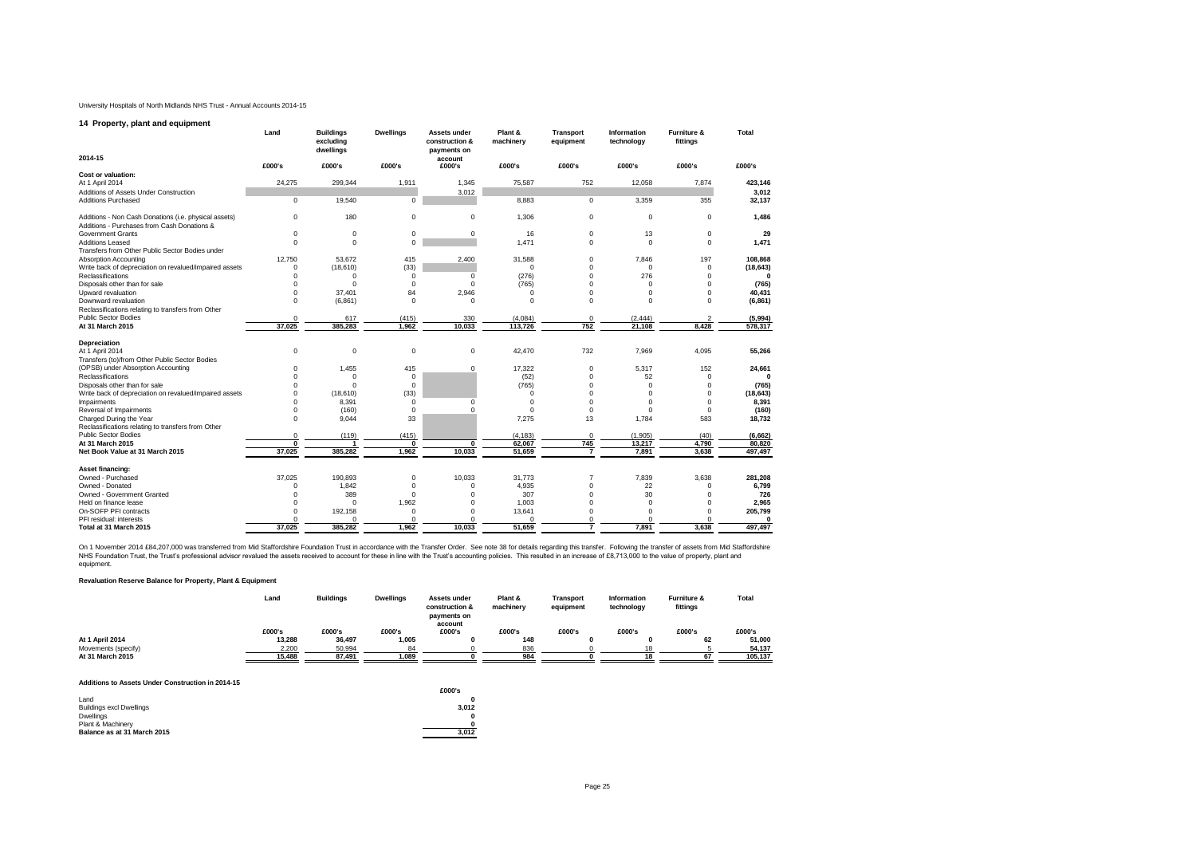#### **14 Property, plant and equipment**

|                                                                                                      | Land     | <b>Buildings</b><br>excluding<br>dwellings | <b>Dwellings</b> | Assets under<br>construction &<br>payments on | Plant &<br>machinery | <b>Transport</b><br>equipment | Information<br>technology | Furniture &<br>fittings | <b>Total</b> |
|------------------------------------------------------------------------------------------------------|----------|--------------------------------------------|------------------|-----------------------------------------------|----------------------|-------------------------------|---------------------------|-------------------------|--------------|
| 2014-15                                                                                              | £000's   | £000's                                     | £000's           | account<br>£000's                             | £000's               | £000's                        | £000's                    | £000's                  | £000's       |
| <b>Cost or valuation:</b>                                                                            |          |                                            |                  |                                               |                      |                               |                           |                         |              |
| At 1 April 2014                                                                                      | 24,275   | 299,344                                    | 1,911            | 1,345                                         | 75,587               | 752                           | 12,058                    | 7,874                   | 423,146      |
| Additions of Assets Under Construction                                                               |          |                                            |                  | 3,012                                         |                      |                               |                           |                         | 3,012        |
| <b>Additions Purchased</b>                                                                           | 0        | 19,540                                     | $\mathbf 0$      |                                               | 8.883                | $\mathbf 0$                   | 3,359                     | 355                     | 32,137       |
| Additions - Non Cash Donations (i.e. physical assets)<br>Additions - Purchases from Cash Donations & | 0        | 180                                        | $\mathbf 0$      | 0                                             | 1,306                | 0                             | 0                         | $\Omega$                | 1,486        |
| <b>Government Grants</b>                                                                             | 0        | $\mathbf 0$                                | $\mathbf 0$      | 0                                             | 16                   | $\mathbf 0$                   | 13                        | $\mathbf 0$             | 29           |
| <b>Additions Leased</b>                                                                              | $\Omega$ | $\Omega$                                   | $\Omega$         |                                               | 1,471                | $\Omega$                      | $\Omega$                  | $\Omega$                | 1,471        |
| Transfers from Other Public Sector Bodies under                                                      |          |                                            |                  |                                               |                      |                               |                           |                         |              |
| <b>Absorption Accounting</b>                                                                         | 12.750   | 53.672                                     | 415              | 2,400                                         | 31,588               | $^{\circ}$                    | 7.846                     | 197                     | 108,868      |
| Write back of depreciation on revalued/impaired assets                                               | 0        | (18, 610)                                  | (33)             |                                               | $\Omega$             | $\mathbf 0$                   | $\mathbf 0$               | $\Omega$                | (18, 643)    |
| Reclassifications                                                                                    | 0        | $\Omega$                                   | $^{\circ}$       | 0                                             | (276)                | $\Omega$                      | 276                       | $\Omega$                | $\mathbf{0}$ |
| Disposals other than for sale                                                                        | $\Omega$ | $\Omega$                                   | $\mathbf 0$      | 0                                             | (765)                | $\Omega$                      | $\Omega$                  | $\Omega$                | (765)        |
| Upward revaluation                                                                                   | 0        | 37.401                                     | 84               | 2.946                                         | $\Omega$             | $\Omega$                      | 0                         | $\Omega$                | 40,431       |
| Downward revaluation                                                                                 | $\Omega$ | (6, 861)                                   | $^{\circ}$       | 0                                             | $\Omega$             | $\Omega$                      | $\Omega$                  | $\Omega$                | (6, 861)     |
| Reclassifications relating to transfers from Other                                                   |          |                                            |                  |                                               |                      |                               |                           |                         |              |
| <b>Public Sector Bodies</b>                                                                          | $\Omega$ | 617                                        | (415)            | 330                                           | (4,084)              | $^{\circ}$                    | (2, 444)                  |                         | (5,994)      |
| At 31 March 2015                                                                                     | 37.025   | 385,283                                    | 1.962            | 10.033                                        | 113,726              | 752                           | 21.108                    | 8.428                   | 578,317      |
| Depreciation                                                                                         |          |                                            |                  |                                               |                      |                               |                           |                         |              |
| At 1 April 2014                                                                                      | 0        | $\Omega$                                   | $\mathbf 0$      | 0                                             | 42.470               | 732                           | 7.969                     | 4,095                   | 55,266       |
| Transfers (to)/from Other Public Sector Bodies                                                       |          |                                            |                  |                                               |                      |                               |                           |                         |              |
| (OPSB) under Absorption Accounting                                                                   | $\Omega$ | 1,455                                      | 415              | $\mathbf 0$                                   | 17,322               | $\mathbf 0$                   | 5,317                     | 152                     | 24,661       |
| Reclassifications                                                                                    | U        | $\Omega$                                   | $\mathbf 0$      |                                               | (52)                 | $\mathbf 0$                   | 52                        | $\Omega$                | $\Omega$     |
| Disposals other than for sale                                                                        | 0        | $\Omega$                                   | $^{\circ}$       |                                               | (765)                | $\Omega$                      | $\Omega$                  | $\Omega$                | (765)        |
| Write back of depreciation on revalued/impaired assets                                               | O        | (18,610)                                   | (33)             |                                               |                      | $\Omega$                      | $\Omega$                  | $\Omega$                | (18, 643)    |
| Impairments                                                                                          | 0        | 8,391                                      | $\Omega$         | $\Omega$                                      | $\Omega$             | $\Omega$                      | $\Omega$                  | $\Omega$                | 8,391        |
| Reversal of Impairments                                                                              | $\Omega$ | (160)                                      | $\mathbf 0$      | $\Omega$                                      | $\Omega$             | $\Omega$                      | $\Omega$                  | $\Omega$                | (160)        |
| Charged During the Year<br>Reclassifications relating to transfers from Other                        | 0        | 9.044                                      | 33               |                                               | 7.275                | 13                            | 1,784                     | 583                     | 18.732       |
| <b>Public Sector Bodies</b>                                                                          | $\Omega$ | (119)                                      | (415)            |                                               | (4, 183)             | $\Omega$                      | (1,905)                   | (40)                    | (6, 662)     |
| At 31 March 2015                                                                                     | 0        | ٠                                          | $\mathbf{0}$     | 0                                             | 62.067               | 745                           | 13,217                    | 4,790                   | 80.820       |
| Net Book Value at 31 March 2015                                                                      | 37,025   | 385,282                                    | 1,962            | 10,033                                        | 51,659               |                               | 7,891                     | 3,638                   | 497,497      |
| <b>Asset financing:</b>                                                                              |          |                                            |                  |                                               |                      |                               |                           |                         |              |
| Owned - Purchased                                                                                    | 37,025   | 190,893                                    | $\mathbf 0$      | 10,033                                        | 31,773               | 7                             | 7,839                     | 3,638                   | 281,208      |
| Owned - Donated                                                                                      | n        | 1,842                                      | $\mathbf 0$      | $\Omega$                                      | 4,935                | $\Omega$                      | 22                        | $\Omega$                | 6,799        |
| Owned - Government Granted                                                                           |          | 389                                        | $\Omega$         | O                                             | 307                  | $\Omega$                      | 30                        |                         | 726          |
| Held on finance lease                                                                                |          | $\Omega$                                   | 1,962            | 0                                             | 1,003                | $\Omega$                      | $\Omega$                  | $\Omega$                | 2,965        |
| On-SOFP PFI contracts                                                                                |          | 192.158                                    | $\Omega$         | 0                                             | 13,641               | $\Omega$                      | $\Omega$                  | $\Omega$                | 205,799      |
| PFI residual: interests                                                                              |          | $\Omega$                                   | $\Omega$         | $\Omega$                                      | $\Omega$             | $\Omega$                      | O                         | $\Omega$                | 0            |
| Total at 31 March 2015                                                                               | 37,025   | 385,282                                    | 1.962            | 10.033                                        | 51.659               | 7                             | 7.891                     | 3.638                   | 497,497      |

On 1 November 2014 £84,207,000 was transferred from Mid Staffordshire Foundation Trust in accordance with the Transfer Order. See note 38 for details regarding this transfer. Following the transfer Distributed in an increa equipment.

#### **Revaluation Reserve Balance for Property, Plant & Equipment**

|                     | Land   | <b>Buildings</b> | <b>Dwellings</b> | Assets under<br>construction &<br>payments on | Plant &<br>machinery | Transport<br>equipment | Information<br>technology | <b>Furniture &amp;</b><br>fittings | Total   |
|---------------------|--------|------------------|------------------|-----------------------------------------------|----------------------|------------------------|---------------------------|------------------------------------|---------|
|                     | £000's | £000's           | £000's           | account<br>£000's                             | £000's               | £000's                 | £000's                    | £000's                             | £000's  |
| At 1 April 2014     | 13.288 | 36,497           | 1.005            |                                               | 148                  |                        |                           | 62                                 | 51.000  |
| Movements (specify) | 2.200  | 50.994           | 84               |                                               | 836                  |                        |                           |                                    | 54.137  |
| At 31 March 2015    | 15.488 | 87.491           | 1.089            |                                               | 984                  |                        |                           |                                    | 105.137 |

#### **Additions to Assets Under Construction in 2014-15**

| Additions to Assets Under Construction in 2014-15 | £000's |
|---------------------------------------------------|--------|
| Land                                              |        |
| <b>Buildings excl Dwellings</b>                   | 3.012  |
| Dwellings                                         |        |
| Plant & Machinery                                 |        |
| Balance as at 31 March 2015                       | 3.012  |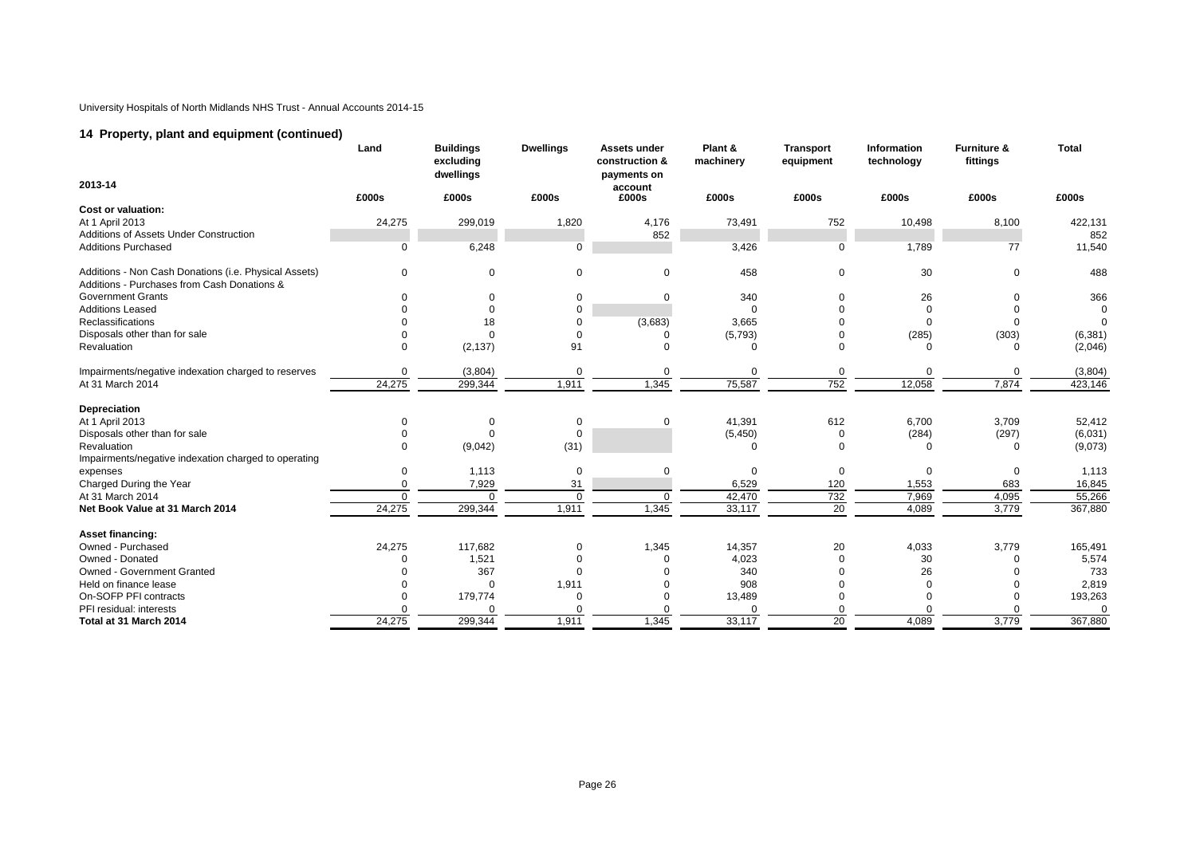# **14 Property, plant and equipment (continued)**

|                                                       | Land        | <b>Buildings</b><br>excluding<br>dwellings | <b>Dwellings</b> | Assets under<br>construction &<br>payments on | Plant &<br>machinery | <b>Transport</b><br>equipment | Information<br>technology | <b>Furniture &amp;</b><br>fittings | Total    |
|-------------------------------------------------------|-------------|--------------------------------------------|------------------|-----------------------------------------------|----------------------|-------------------------------|---------------------------|------------------------------------|----------|
| 2013-14                                               |             |                                            |                  | account                                       |                      |                               |                           |                                    |          |
| Cost or valuation:                                    | £000s       | £000s                                      | £000s            | £000s                                         | £000s                | £000s                         | £000s                     | £000s                              | £000s    |
| At 1 April 2013                                       | 24,275      | 299,019                                    | 1,820            | 4,176                                         | 73,491               | 752                           | 10,498                    | 8,100                              | 422,131  |
| Additions of Assets Under Construction                |             |                                            |                  | 852                                           |                      |                               |                           |                                    | 852      |
| <b>Additions Purchased</b>                            | 0           | 6,248                                      | $\Omega$         |                                               | 3,426                | 0                             | 1,789                     | 77                                 | 11,540   |
|                                                       |             |                                            |                  |                                               |                      |                               |                           |                                    |          |
| Additions - Non Cash Donations (i.e. Physical Assets) | $\Omega$    | $\mathbf 0$                                | $\Omega$         | $\mathbf 0$                                   | 458                  | 0                             | 30                        | 0                                  | 488      |
| Additions - Purchases from Cash Donations &           |             |                                            |                  |                                               |                      |                               |                           |                                    |          |
| <b>Government Grants</b>                              | $\Omega$    | 0                                          | $\Omega$         | $\Omega$                                      | 340                  | $\Omega$                      | 26                        | 0                                  | 366      |
| <b>Additions Leased</b>                               |             | $\mathbf 0$                                | $\Omega$         |                                               |                      | $\Omega$                      |                           | $\Omega$                           | $\Omega$ |
| Reclassifications                                     |             | 18                                         | $\Omega$         | (3,683)                                       | 3,665                |                               |                           | $\Omega$                           | $\Omega$ |
| Disposals other than for sale                         |             | $\Omega$                                   |                  | -0                                            | (5,793)              |                               | (285)                     | (303)                              | (6, 381) |
| Revaluation                                           | $\Omega$    | (2, 137)                                   | 91               | $\Omega$                                      | O                    | $\Omega$                      |                           | $\Omega$                           | (2,046)  |
| Impairments/negative indexation charged to reserves   | $\mathbf 0$ | (3,804)                                    | $\mathbf 0$      | 0                                             | 0                    | 0                             | $\Omega$                  | 0                                  | (3,804)  |
| At 31 March 2014                                      | 24,275      | 299,344                                    | 1,911            | 1,345                                         | 75,587               | 752                           | 12,058                    | 7,874                              | 423,146  |
| Depreciation                                          |             |                                            |                  |                                               |                      |                               |                           |                                    |          |
| At 1 April 2013                                       | $\Omega$    | 0                                          | $\mathbf 0$      | 0                                             | 41,391               | 612                           | 6,700                     | 3,709                              | 52,412   |
| Disposals other than for sale                         |             | $\mathbf 0$                                | $\Omega$         |                                               | (5, 450)             | 0                             | (284)                     | (297)                              | (6,031)  |
| Revaluation                                           | $\Omega$    | (9,042)                                    | (31)             |                                               | n                    | $\Omega$                      |                           | 0                                  | (9,073)  |
| Impairments/negative indexation charged to operating  |             |                                            |                  |                                               |                      |                               |                           |                                    |          |
| expenses                                              | $\Omega$    | 1,113                                      | $\Omega$         | 0                                             | $\Omega$             | 0                             | $\Omega$                  | 0                                  | 1,113    |
| Charged During the Year                               | $\Omega$    | 7,929                                      | 31               |                                               | 6,529                | 120                           | 1,553                     | 683                                | 16,845   |
| At 31 March 2014                                      | $\mathbf 0$ | $\Omega$                                   | $\Omega$         | $\Omega$                                      | 42,470               | 732                           | 7,969                     | 4,095                              | 55,266   |
| Net Book Value at 31 March 2014                       | 24,275      | 299,344                                    | 1,911            | 1,345                                         | 33,117               | $\overline{20}$               | 4,089                     | 3,779                              | 367,880  |
| Asset financing:                                      |             |                                            |                  |                                               |                      |                               |                           |                                    |          |
| Owned - Purchased                                     | 24,275      | 117,682                                    | $\Omega$         | 1,345                                         | 14,357               | 20                            | 4,033                     | 3,779                              | 165,491  |
| Owned - Donated                                       |             | 1,521                                      |                  | $\Omega$                                      | 4,023                | $\Omega$                      | 30                        | $\Omega$                           | 5,574    |
| Owned - Government Granted                            |             | 367                                        |                  | 0                                             | 340                  |                               | 26                        |                                    | 733      |
| Held on finance lease                                 |             | $\Omega$                                   | 1,911            | $\Omega$                                      | 908                  |                               |                           | 0                                  | 2,819    |
| On-SOFP PFI contracts                                 |             | 179,774                                    |                  | 0                                             | 13,489               |                               |                           | 0                                  | 193,263  |
| PFI residual: interests                               |             |                                            |                  |                                               |                      |                               |                           |                                    | $\Omega$ |
| Total at 31 March 2014                                | 24,275      | 299,344                                    | 1,911            | 1,345                                         | 33,117               | 20                            | 4,089                     | 3,779                              | 367,880  |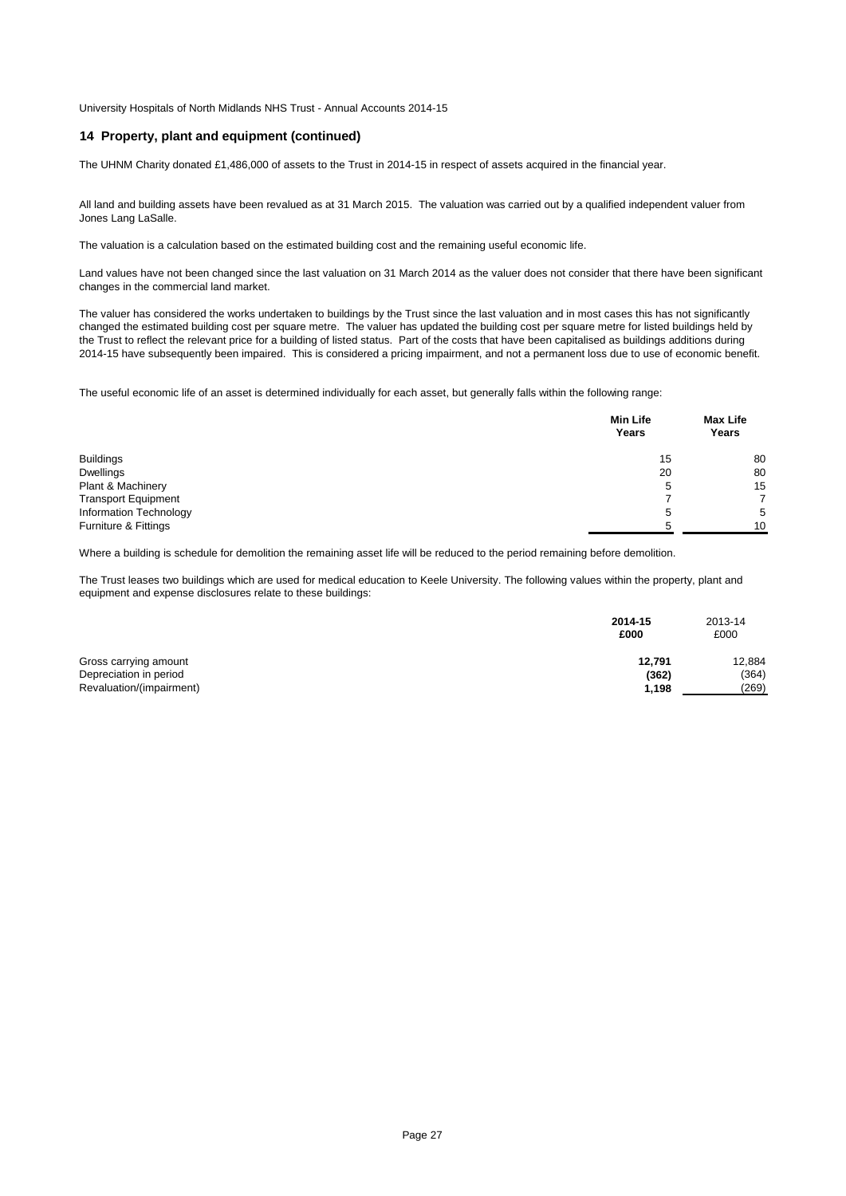# **14 Property, plant and equipment (continued)**

The UHNM Charity donated £1,486,000 of assets to the Trust in 2014-15 in respect of assets acquired in the financial year.

All land and building assets have been revalued as at 31 March 2015. The valuation was carried out by a qualified independent valuer from Jones Lang LaSalle.

The valuation is a calculation based on the estimated building cost and the remaining useful economic life.

Land values have not been changed since the last valuation on 31 March 2014 as the valuer does not consider that there have been significant changes in the commercial land market.

The valuer has considered the works undertaken to buildings by the Trust since the last valuation and in most cases this has not significantly changed the estimated building cost per square metre. The valuer has updated the building cost per square metre for listed buildings held by the Trust to reflect the relevant price for a building of listed status. Part of the costs that have been capitalised as buildings additions during 2014-15 have subsequently been impaired. This is considered a pricing impairment, and not a permanent loss due to use of economic benefit.

The useful economic life of an asset is determined individually for each asset, but generally falls within the following range:

|                            | <b>Min Life</b><br>Years | <b>Max Life</b><br>Years |
|----------------------------|--------------------------|--------------------------|
| <b>Buildings</b>           | 15                       | 80                       |
| <b>Dwellings</b>           | 20                       | 80                       |
| Plant & Machinery          | 5                        | 15                       |
| <b>Transport Equipment</b> |                          | 7                        |
| Information Technology     | 5                        | 5                        |
| Furniture & Fittings       | h                        | 10                       |

Where a building is schedule for demolition the remaining asset life will be reduced to the period remaining before demolition.

The Trust leases two buildings which are used for medical education to Keele University. The following values within the property, plant and equipment and expense disclosures relate to these buildings:

|                          | 2014-15<br>£000 | 2013-14<br>£000 |
|--------------------------|-----------------|-----------------|
| Gross carrying amount    | 12.791          | 12,884          |
| Depreciation in period   | (362)           | (364)           |
| Revaluation/(impairment) | 1,198           | (269)           |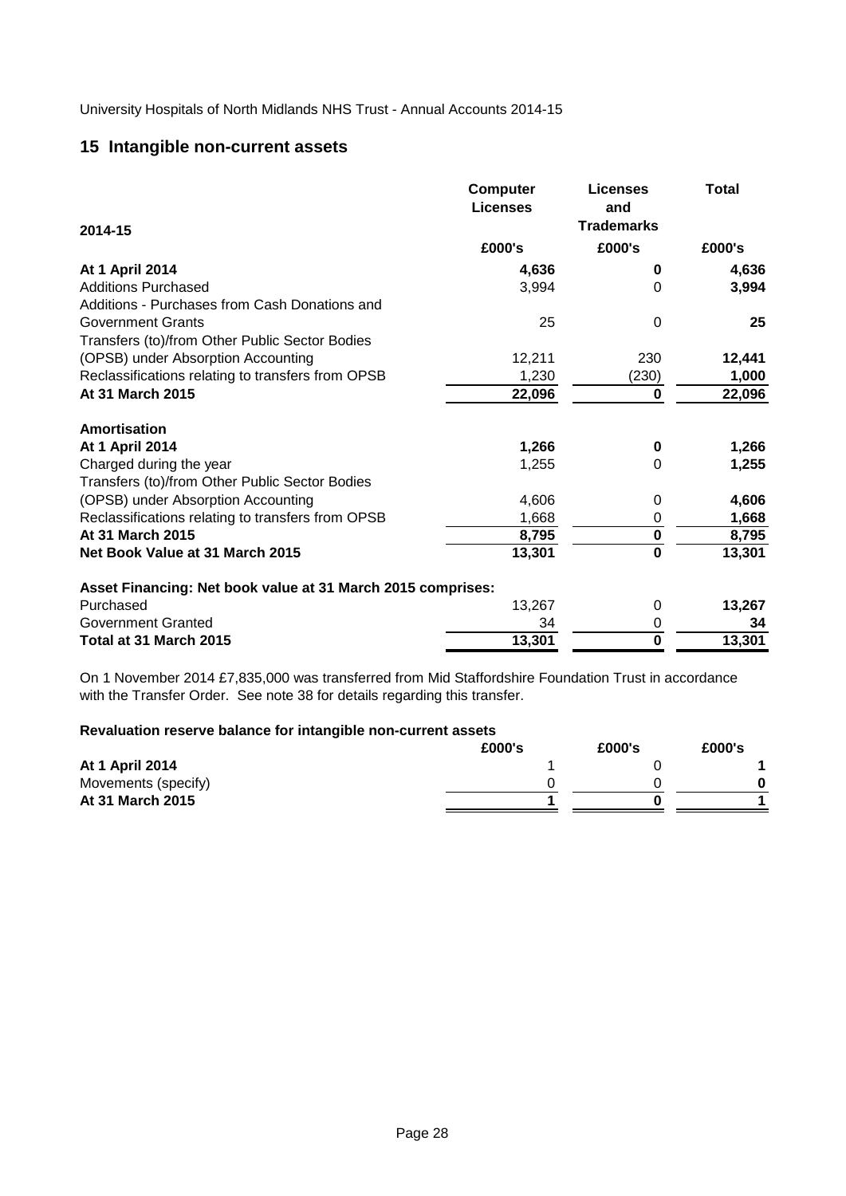# **15 Intangible non-current assets**

|                                                             | <b>Computer</b><br><b>Licenses</b> | <b>Licenses</b><br>and  | <b>Total</b> |
|-------------------------------------------------------------|------------------------------------|-------------------------|--------------|
| 2014-15                                                     |                                    | <b>Trademarks</b>       |              |
|                                                             | £000's                             | £000's                  | £000's       |
| At 1 April 2014                                             | 4,636                              | 0                       | 4,636        |
| <b>Additions Purchased</b>                                  | 3,994                              | $\overline{0}$          | 3,994        |
| Additions - Purchases from Cash Donations and               |                                    |                         |              |
| <b>Government Grants</b>                                    | 25                                 | 0                       | 25           |
| Transfers (to)/from Other Public Sector Bodies              |                                    |                         |              |
| (OPSB) under Absorption Accounting                          | 12,211                             | 230                     | 12,441       |
| Reclassifications relating to transfers from OPSB           | 1,230                              | (230)                   | 1,000        |
| At 31 March 2015                                            | 22,096                             | $\bf{0}$                | 22,096       |
| <b>Amortisation</b>                                         |                                    |                         |              |
| At 1 April 2014                                             | 1,266                              | $\bf{0}$                | 1,266        |
| Charged during the year                                     | 1,255                              | $\Omega$                | 1,255        |
| Transfers (to)/from Other Public Sector Bodies              |                                    |                         |              |
| (OPSB) under Absorption Accounting                          | 4,606                              | 0                       | 4,606        |
| Reclassifications relating to transfers from OPSB           | 1,668                              | $\pmb{0}$               | 1,668        |
| At 31 March 2015                                            | 8,795                              | $\pmb{0}$               | 8,795        |
| Net Book Value at 31 March 2015                             | 13,301                             | $\mathbf 0$             | 13,301       |
| Asset Financing: Net book value at 31 March 2015 comprises: |                                    |                         |              |
| Purchased                                                   | 13,267                             | 0                       | 13,267       |
| <b>Government Granted</b>                                   | 34                                 | $\mathbf 0$             | 34           |
| Total at 31 March 2015                                      | 13,301                             | $\overline{\mathbf{0}}$ | 13,301       |

On 1 November 2014 £7,835,000 was transferred from Mid Staffordshire Foundation Trust in accordance with the Transfer Order. See note 38 for details regarding this transfer.

# **Revaluation reserve balance for intangible non-current assets**

|                        | £000's | £000's | £000's |
|------------------------|--------|--------|--------|
| <b>At 1 April 2014</b> |        |        |        |
| Movements (specify)    |        |        |        |
| At 31 March 2015       |        |        |        |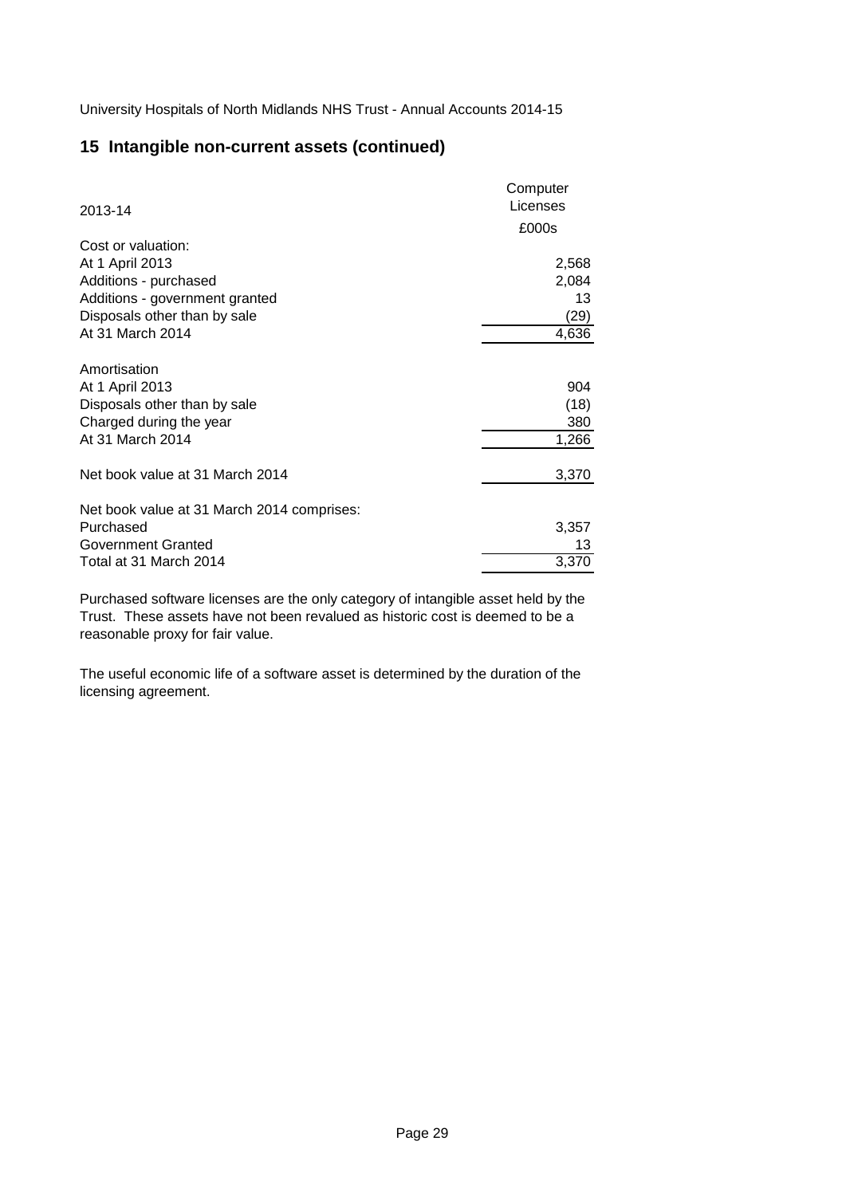# **15 Intangible non-current assets (continued)**

| 2013-14                                    | Computer<br>Licenses |
|--------------------------------------------|----------------------|
|                                            | £000s                |
| Cost or valuation:                         |                      |
| At 1 April 2013                            | 2,568                |
| Additions - purchased                      | 2,084                |
| Additions - government granted             | 13                   |
| Disposals other than by sale               | (29)                 |
| At 31 March 2014                           | 4,636                |
| Amortisation                               |                      |
| At 1 April 2013                            | 904                  |
| Disposals other than by sale               | (18)                 |
| Charged during the year                    | 380                  |
| At 31 March 2014                           | 1,266                |
| Net book value at 31 March 2014            | 3,370                |
| Net book value at 31 March 2014 comprises: |                      |
| Purchased                                  | 3,357                |
| Government Granted                         | 13                   |
| Total at 31 March 2014                     | 3,370                |
|                                            |                      |

Purchased software licenses are the only category of intangible asset held by the Trust. These assets have not been revalued as historic cost is deemed to be a reasonable proxy for fair value.

The useful economic life of a software asset is determined by the duration of the licensing agreement.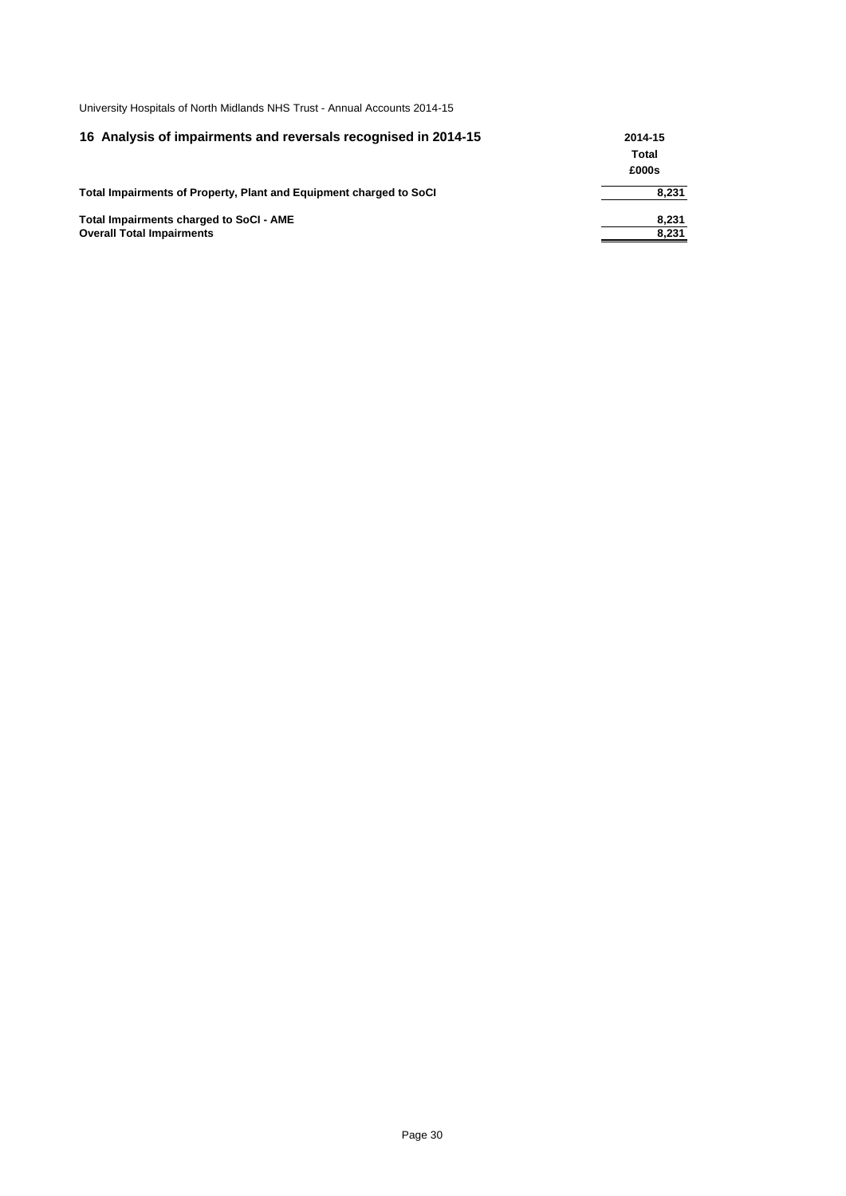| 16 Analysis of impairments and reversals recognised in 2014-15     | 2014-15 |  |
|--------------------------------------------------------------------|---------|--|
|                                                                    | Total   |  |
|                                                                    | £000s   |  |
| Total Impairments of Property, Plant and Equipment charged to SoCI | 8,231   |  |
| Total Impairments charged to SoCI - AME                            | 8,231   |  |
| <b>Overall Total Impairments</b>                                   | 8,231   |  |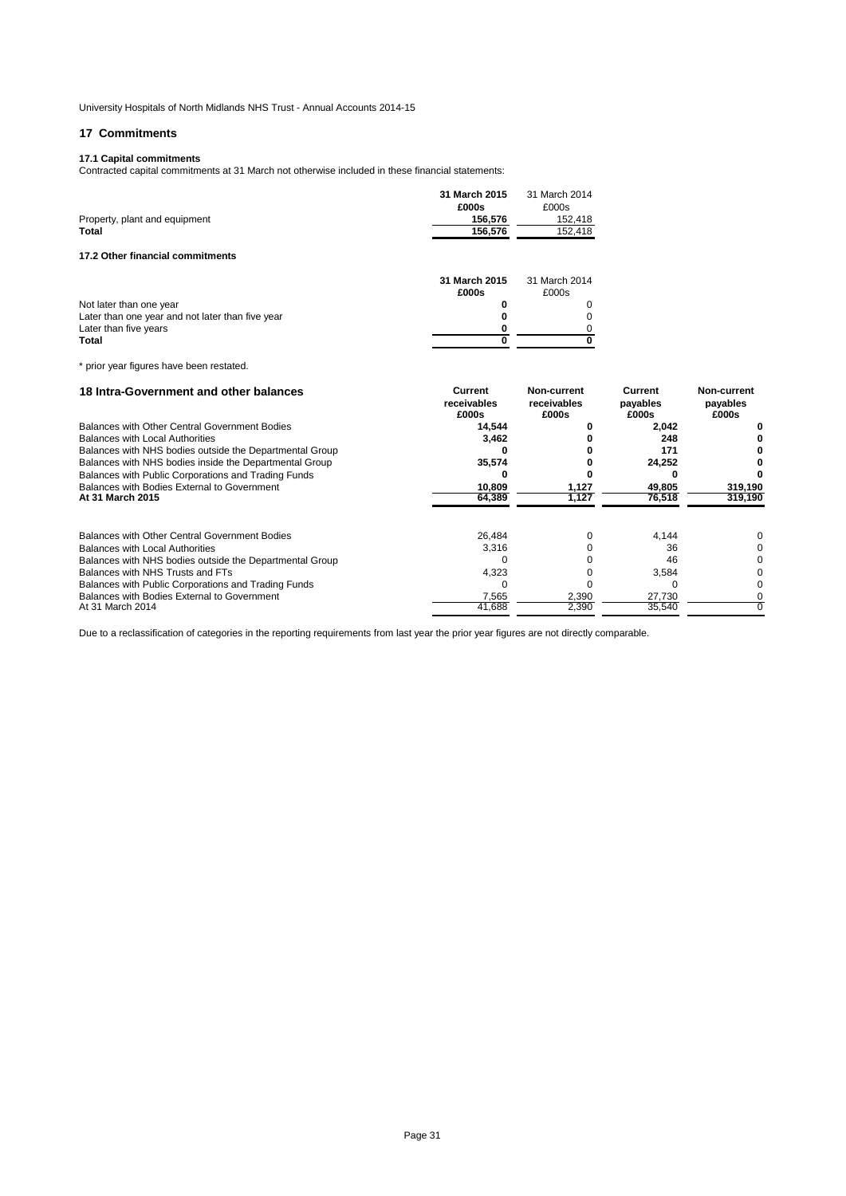# **17 Commitments**

# **17.1 Capital commitments**

Contracted capital commitments at 31 March not otherwise included in these financial statements:

|                                  | 31 March 2015<br>£000s | 31 March 2014<br>£000s |
|----------------------------------|------------------------|------------------------|
| Property, plant and equipment    | 156.576                | 152.418                |
| <b>Total</b>                     | 156.576                | 152.418                |
| 17.2 Other financial commitments |                        |                        |

|                                                  | 31 March 2015 | 31 March 2014 |  |
|--------------------------------------------------|---------------|---------------|--|
|                                                  | £000s         | £000s         |  |
| Not later than one year                          |               |               |  |
| Later than one year and not later than five year |               |               |  |
| Later than five years                            |               |               |  |
| Total                                            |               |               |  |

\* prior year figures have been restated.

| 18 Intra-Government and other balances                  | Current<br>receivables<br>£000s | Non-current<br>receivables<br>£000s | Current<br>payables<br>£000s | Non-current<br>payables<br>£000s |
|---------------------------------------------------------|---------------------------------|-------------------------------------|------------------------------|----------------------------------|
| Balances with Other Central Government Bodies           | 14.544                          |                                     | 2,042                        |                                  |
| <b>Balances with Local Authorities</b>                  | 3.462                           |                                     | 248                          |                                  |
| Balances with NHS bodies outside the Departmental Group |                                 |                                     | 171                          |                                  |
| Balances with NHS bodies inside the Departmental Group  | 35,574                          |                                     | 24,252                       |                                  |
| Balances with Public Corporations and Trading Funds     |                                 |                                     |                              |                                  |
| Balances with Bodies External to Government             | 10,809                          | 1,127                               | 49,805                       | 319,190                          |
| At 31 March 2015                                        | 64,389                          | 1,127                               | 76,518                       | 319,190                          |
| <b>Balances with Other Central Government Bodies</b>    | 26.484                          |                                     | 4.144                        |                                  |
| <b>Balances with Local Authorities</b>                  | 3.316                           |                                     | 36                           |                                  |
| Balances with NHS bodies outside the Departmental Group |                                 |                                     | 46                           |                                  |
| Balances with NHS Trusts and FTs                        | 4,323                           |                                     | 3,584                        |                                  |
| Balances with Public Corporations and Trading Funds     |                                 |                                     |                              |                                  |
| Balances with Bodies External to Government             | 7,565                           | 2,390                               | 27,730                       |                                  |
| At 31 March 2014                                        | 41.688                          | 2,390                               | 35,540                       |                                  |

Due to a reclassification of categories in the reporting requirements from last year the prior year figures are not directly comparable.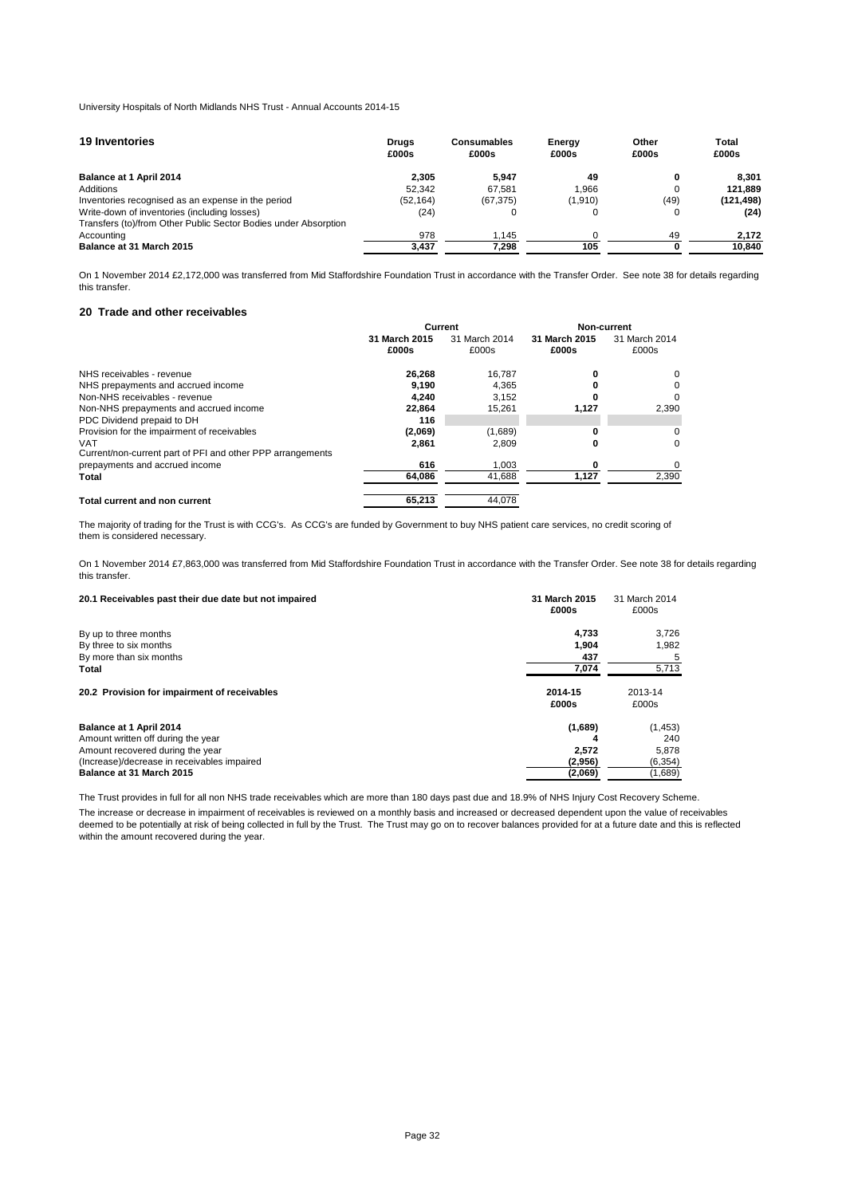| <b>19 Inventories</b>                                                                                           | Drugs<br>£000s | <b>Consumables</b><br>£000s | Energy<br>£000s | Other<br>£000s | Total<br>£000s |
|-----------------------------------------------------------------------------------------------------------------|----------------|-----------------------------|-----------------|----------------|----------------|
| Balance at 1 April 2014                                                                                         | 2.305          | 5.947                       | 49              |                | 8.301          |
| Additions                                                                                                       | 52.342         | 67.581                      | .966            |                | 121.889        |
| Inventories recognised as an expense in the period                                                              | (52, 164)      | (67, 375)                   | (1, 910)        | (49)           | (121, 498)     |
| Write-down of inventories (including losses)<br>Transfers (to)/from Other Public Sector Bodies under Absorption | (24)           |                             | 0               |                | (24)           |
| Accounting                                                                                                      | 978            | 1.145                       |                 | 49             | 2.172          |
| Balance at 31 March 2015                                                                                        | 3.437          | 7.298                       | 105             |                | 10.840         |

On 1 November 2014 £2,172,000 was transferred from Mid Staffordshire Foundation Trust in accordance with the Transfer Order. See note 38 for details regarding this transfer.

# **20 Trade and other receivables**

|                                                                          | <b>Current</b> |         |       | Non-current   |               |               |
|--------------------------------------------------------------------------|----------------|---------|-------|---------------|---------------|---------------|
|                                                                          | 31 March 2015  |         |       | 31 March 2014 | 31 March 2015 | 31 March 2014 |
|                                                                          | £000s          | £000s   | £000s | £000s         |               |               |
| NHS receivables - revenue                                                | 26.268         | 16.787  |       | 0             |               |               |
| NHS prepayments and accrued income                                       | 9.190          | 4.365   |       | 0             |               |               |
| Non-NHS receivables - revenue                                            | 4.240          | 3.152   |       | $\Omega$      |               |               |
| Non-NHS prepayments and accrued income                                   | 22.864         | 15.261  | 1,127 | 2,390         |               |               |
| PDC Dividend prepaid to DH                                               | 116            |         |       |               |               |               |
| Provision for the impairment of receivables                              | (2,069)        | (1,689) | o     | 0             |               |               |
| <b>VAT</b><br>Current/non-current part of PFI and other PPP arrangements | 2,861          | 2.809   | 0     | 0             |               |               |
| prepayments and accrued income                                           | 616            | 1.003   |       | 0             |               |               |
| Total                                                                    | 64.086         | 41.688  | 1.127 | 2,390         |               |               |
| <b>Total current and non current</b>                                     | 65.213         | 44.078  |       |               |               |               |

The majority of trading for the Trust is with CCG's. As CCG's are funded by Government to buy NHS patient care services, no credit scoring of them is considered necessary.

On 1 November 2014 £7,863,000 was transferred from Mid Staffordshire Foundation Trust in accordance with the Transfer Order. See note 38 for details regarding this transfer.

| 20.1 Receivables past their due date but not impaired | 31 March 2015<br>£000s | 31 March 2014<br>£000s |
|-------------------------------------------------------|------------------------|------------------------|
| By up to three months                                 | 4.733                  | 3.726                  |
| By three to six months                                | 1.904                  | 1,982                  |
| By more than six months                               | 437                    |                        |
| Total                                                 | 7.074                  | 5,713                  |
| 20.2 Provision for impairment of receivables          | 2014-15<br>£000s       | 2013-14<br>£000s       |
| Balance at 1 April 2014                               | (1,689)                | (1, 453)               |
| Amount written off during the year                    |                        | 240                    |
| Amount recovered during the year                      | 2.572                  | 5,878                  |
| (Increase)/decrease in receivables impaired           | (2,956)                | (6, 354)               |
| Balance at 31 March 2015                              | (2,069)                | (1,689)                |

The Trust provides in full for all non NHS trade receivables which are more than 180 days past due and 18.9% of NHS Injury Cost Recovery Scheme.

The increase or decrease in impairment of receivables is reviewed on a monthly basis and increased or decreased dependent upon the value of receivables deemed to be potentially at risk of being collected in full by the Trust. The Trust may go on to recover balances provided for at a future date and this is reflected within the amount recovered during the year.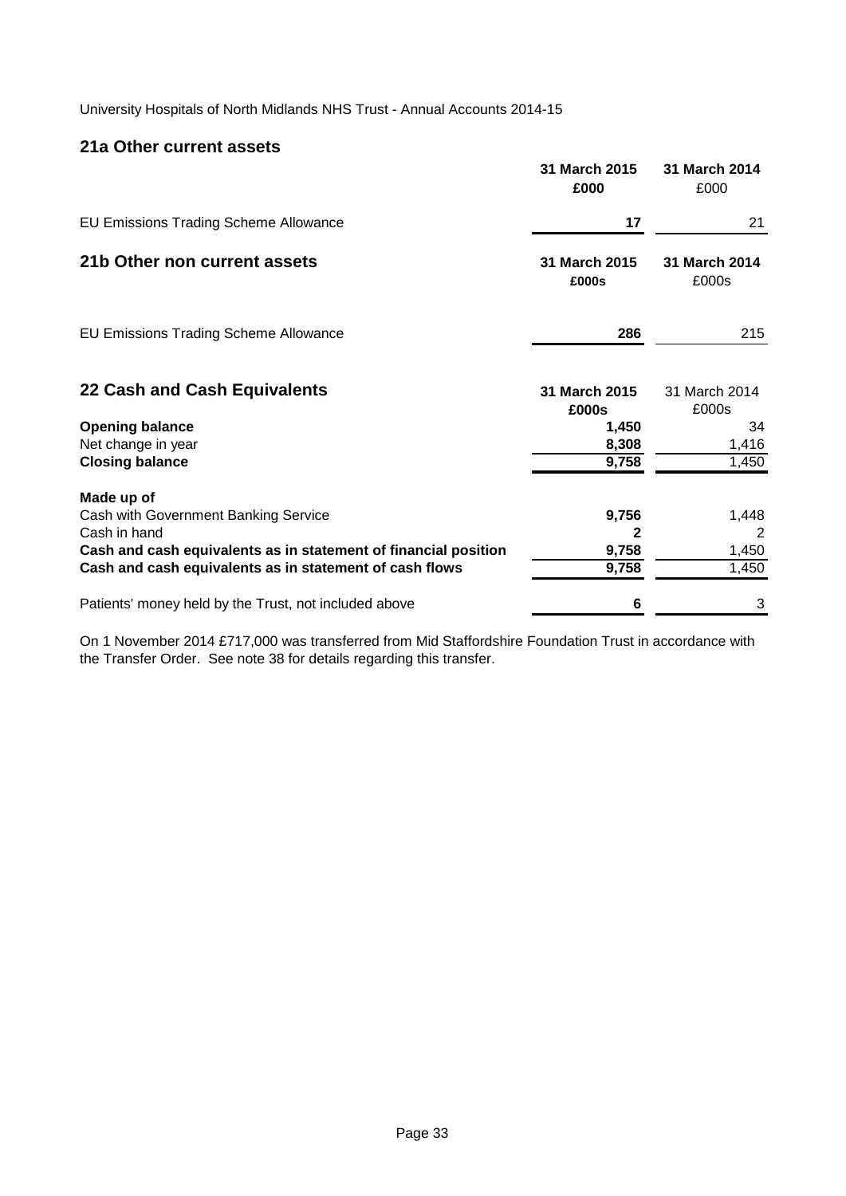# **21a Other current assets**

|                                                                 | 31 March 2015<br>£000  | 31 March 2014<br>£000  |
|-----------------------------------------------------------------|------------------------|------------------------|
| <b>EU Emissions Trading Scheme Allowance</b>                    | 17                     | 21                     |
| 21b Other non current assets                                    | 31 March 2015<br>£000s | 31 March 2014<br>£000s |
| <b>EU Emissions Trading Scheme Allowance</b>                    | 286                    | 215                    |
| 22 Cash and Cash Equivalents                                    | 31 March 2015<br>£000s | 31 March 2014<br>£000s |
| <b>Opening balance</b><br>Net change in year                    | 1,450<br>8,308         | 34<br>1,416            |
| <b>Closing balance</b>                                          | 9,758                  | 1,450                  |
| Made up of                                                      |                        |                        |
| Cash with Government Banking Service<br>Cash in hand            | 9,756<br>2             | 1,448<br>2             |
| Cash and cash equivalents as in statement of financial position | 9,758                  | 1,450                  |
| Cash and cash equivalents as in statement of cash flows         | 9,758                  | 1,450                  |
| Patients' money held by the Trust, not included above           | 6                      | 3                      |

On 1 November 2014 £717,000 was transferred from Mid Staffordshire Foundation Trust in accordance with the Transfer Order. See note 38 for details regarding this transfer.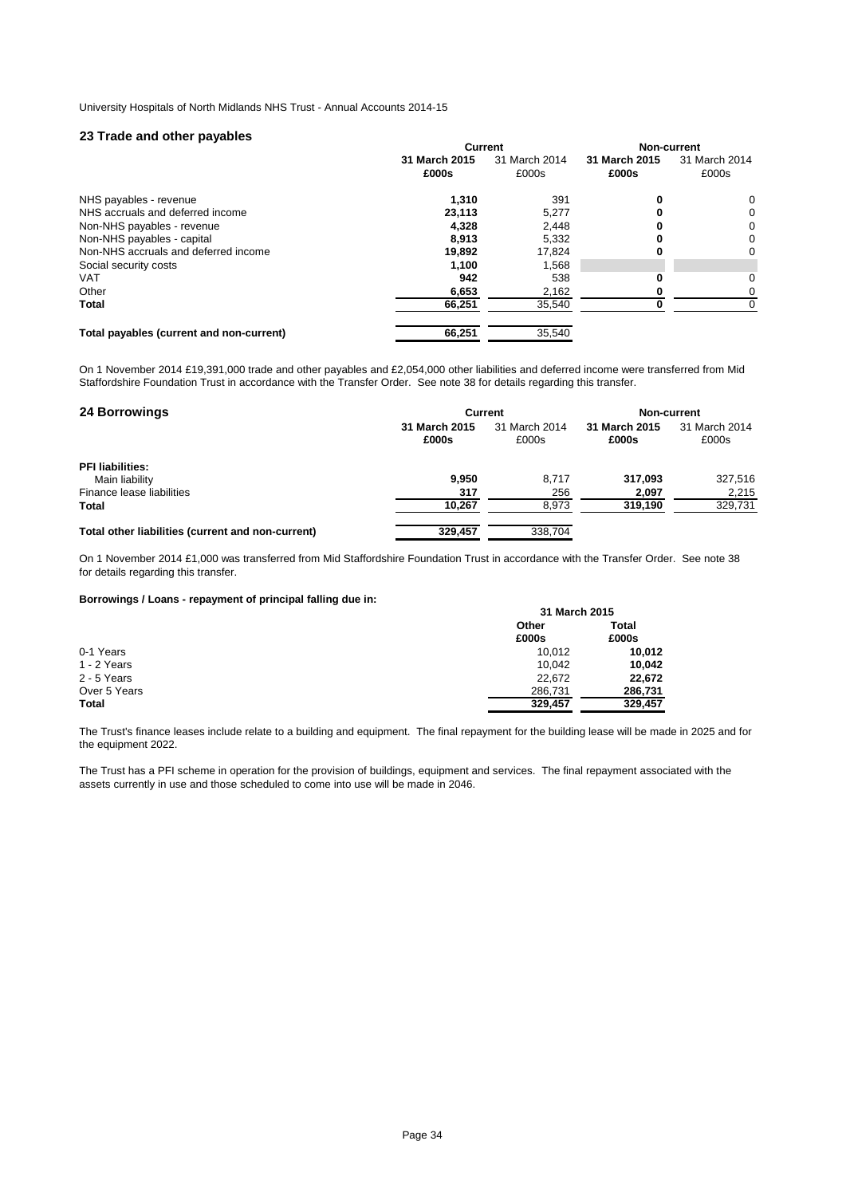# **23 Trade and other payables**

| . .                                      | <b>Current</b> |               | Non-current   |               |
|------------------------------------------|----------------|---------------|---------------|---------------|
|                                          | 31 March 2015  | 31 March 2014 | 31 March 2015 | 31 March 2014 |
|                                          | £000s          | £000s         | £000s         | £000s         |
| NHS payables - revenue                   | 1,310          | 391           | 0             | 0             |
| NHS accruals and deferred income         | 23.113         | 5.277         | 0             | 0             |
| Non-NHS payables - revenue               | 4,328          | 2,448         | 0             | 0             |
| Non-NHS payables - capital               | 8.913          | 5.332         | 0             | 0             |
| Non-NHS accruals and deferred income     | 19,892         | 17,824        | 0             | 0             |
| Social security costs                    | 1.100          | 1,568         |               |               |
| <b>VAT</b>                               | 942            | 538           |               | 0             |
| Other                                    | 6,653          | 2,162         | 0             | 0             |
| <b>Total</b>                             | 66,251         | 35,540        |               | 0             |
| Total payables (current and non-current) | 66,251         | 35.540        |               |               |

On 1 November 2014 £19,391,000 trade and other payables and £2,054,000 other liabilities and deferred income were transferred from Mid Staffordshire Foundation Trust in accordance with the Transfer Order. See note 38 for details regarding this transfer.

| <b>24 Borrowings</b>                              |                        | <b>Current</b>         | Non-current            |                        |  |
|---------------------------------------------------|------------------------|------------------------|------------------------|------------------------|--|
|                                                   | 31 March 2015<br>£000s | 31 March 2014<br>£000s | 31 March 2015<br>£000s | 31 March 2014<br>£000s |  |
| <b>PFI</b> liabilities:                           |                        |                        |                        |                        |  |
| Main liability                                    | 9.950                  | 8.717                  | 317.093                | 327,516                |  |
| Finance lease liabilities                         | 317                    | 256                    | 2.097                  | 2.215                  |  |
| <b>Total</b>                                      | 10,267                 | 8,973                  | 319,190                | 329,731                |  |
| Total other liabilities (current and non-current) | 329,457                | 338.704                |                        |                        |  |

On 1 November 2014 £1,000 was transferred from Mid Staffordshire Foundation Trust in accordance with the Transfer Order. See note 38 for details regarding this transfer.

**Borrowings / Loans - repayment of principal falling due in:**

| 31 March 2015 |         |  |
|---------------|---------|--|
| Other         | Total   |  |
| £000s         | £000s   |  |
| 10.012        | 10.012  |  |
| 10.042        | 10.042  |  |
| 22.672        | 22.672  |  |
| 286.731       | 286,731 |  |
| 329.457       | 329.457 |  |
|               |         |  |

The Trust's finance leases include relate to a building and equipment. The final repayment for the building lease will be made in 2025 and for the equipment 2022.

The Trust has a PFI scheme in operation for the provision of buildings, equipment and services. The final repayment associated with the assets currently in use and those scheduled to come into use will be made in 2046.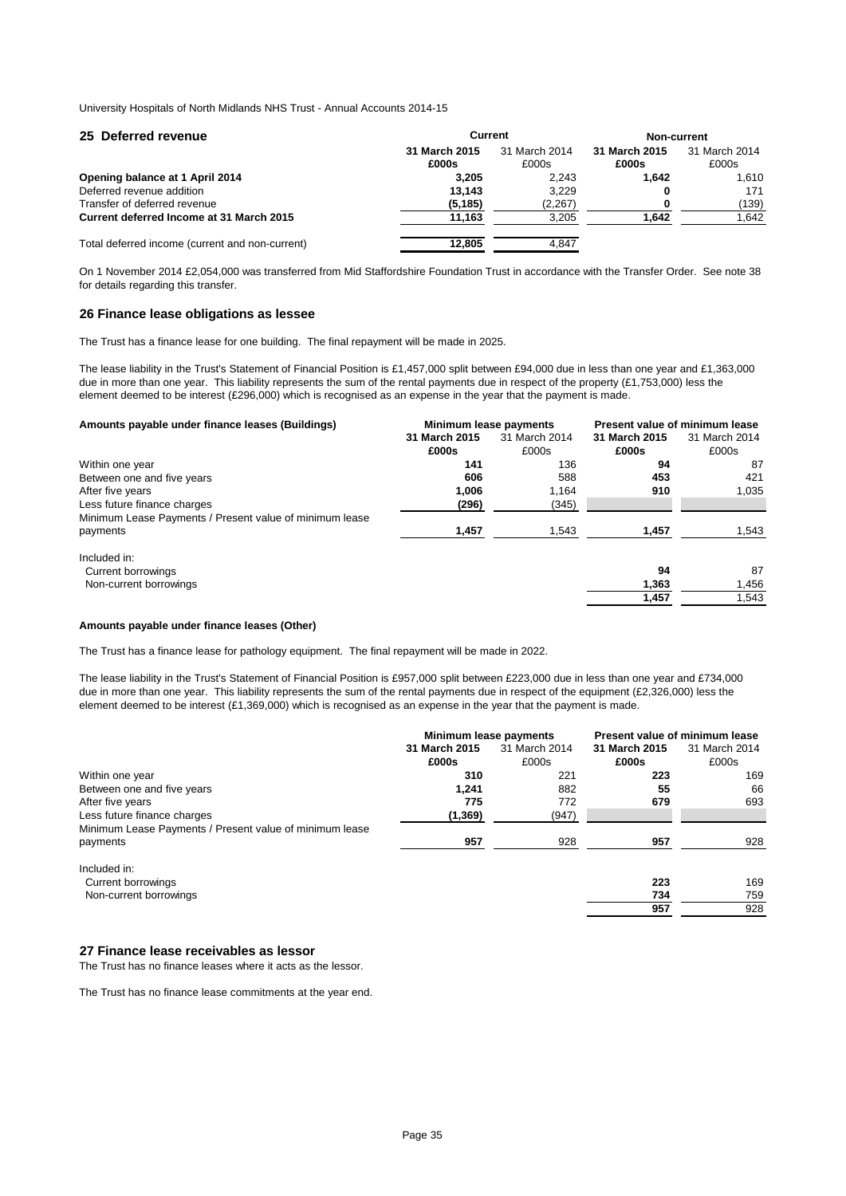| 25 Deferred revenue                             | <b>Current</b>         |                        | Non-current            |                        |
|-------------------------------------------------|------------------------|------------------------|------------------------|------------------------|
|                                                 | 31 March 2015<br>£000s | 31 March 2014<br>£000s | 31 March 2015<br>£000s | 31 March 2014<br>£000s |
| Opening balance at 1 April 2014                 | 3.205                  | 2.243                  | 1.642                  | 1.610                  |
| Deferred revenue addition                       | 13.143                 | 3.229                  | 0                      | 171                    |
| Transfer of deferred revenue                    | (5, 185)               | (2,267)                |                        | (139)                  |
| Current deferred Income at 31 March 2015        | 11,163                 | 3.205                  | 1.642                  | 1.642                  |
| Total deferred income (current and non-current) | 12,805                 | 4.847                  |                        |                        |

On 1 November 2014 £2,054,000 was transferred from Mid Staffordshire Foundation Trust in accordance with the Transfer Order. See note 38 for details regarding this transfer.

# **26 Finance lease obligations as lessee**

The Trust has a finance lease for one building. The final repayment will be made in 2025.

The lease liability in the Trust's Statement of Financial Position is £1,457,000 split between £94,000 due in less than one year and £1,363,000 due in more than one year. This liability represents the sum of the rental payments due in respect of the property (£1,753,000) less the element deemed to be interest (£296,000) which is recognised as an expense in the year that the payment is made.

|               |               | Present value of minimum lease |               |
|---------------|---------------|--------------------------------|---------------|
| 31 March 2015 | 31 March 2014 | 31 March 2015                  | 31 March 2014 |
| £000s         | £000s         | £000s                          | £000s         |
| 141           | 136           | 94                             | 87            |
| 606           | 588           | 453                            | 421           |
| 1.006         | 1.164         | 910                            | 1,035         |
| (296)         | (345)         |                                |               |
|               |               |                                |               |
| 1,457         | 1,543         | 1,457                          | 1,543         |
|               |               |                                |               |
|               |               | 94                             | 87            |
|               |               | 1,363                          | 1,456         |
|               |               | 1,457                          | 1,543         |
|               |               | Minimum lease payments         |               |

### **Amounts payable under finance leases (Other)**

The Trust has a finance lease for pathology equipment. The final repayment will be made in 2022.

The lease liability in the Trust's Statement of Financial Position is £957,000 split between £223,000 due in less than one year and £734,000 due in more than one year. This liability represents the sum of the rental payments due in respect of the equipment (£2,326,000) less the element deemed to be interest (£1,369,000) which is recognised as an expense in the year that the payment is made.

|                                                         | Minimum lease payments |               | Present value of minimum lease |               |
|---------------------------------------------------------|------------------------|---------------|--------------------------------|---------------|
|                                                         | 31 March 2015          | 31 March 2014 | 31 March 2015                  | 31 March 2014 |
|                                                         | £000s                  | £000s         | £000s                          | £000s         |
| Within one year                                         | 310                    | 221           | 223                            | 169           |
| Between one and five years                              | 1,241                  | 882           | 55                             | 66            |
| After five years                                        | 775                    | 772           | 679                            | 693           |
| Less future finance charges                             | (1, 369)               | (947)         |                                |               |
| Minimum Lease Payments / Present value of minimum lease |                        |               |                                |               |
| payments                                                | 957                    | 928           | 957                            | 928           |
| Included in:                                            |                        |               |                                |               |
| Current borrowings                                      |                        |               | 223                            | 169           |
| Non-current borrowings                                  |                        |               | 734                            | 759           |
|                                                         |                        |               | 957                            | 928           |
|                                                         |                        |               |                                |               |

# **27 Finance lease receivables as lessor**

The Trust has no finance leases where it acts as the lessor.

The Trust has no finance lease commitments at the year end.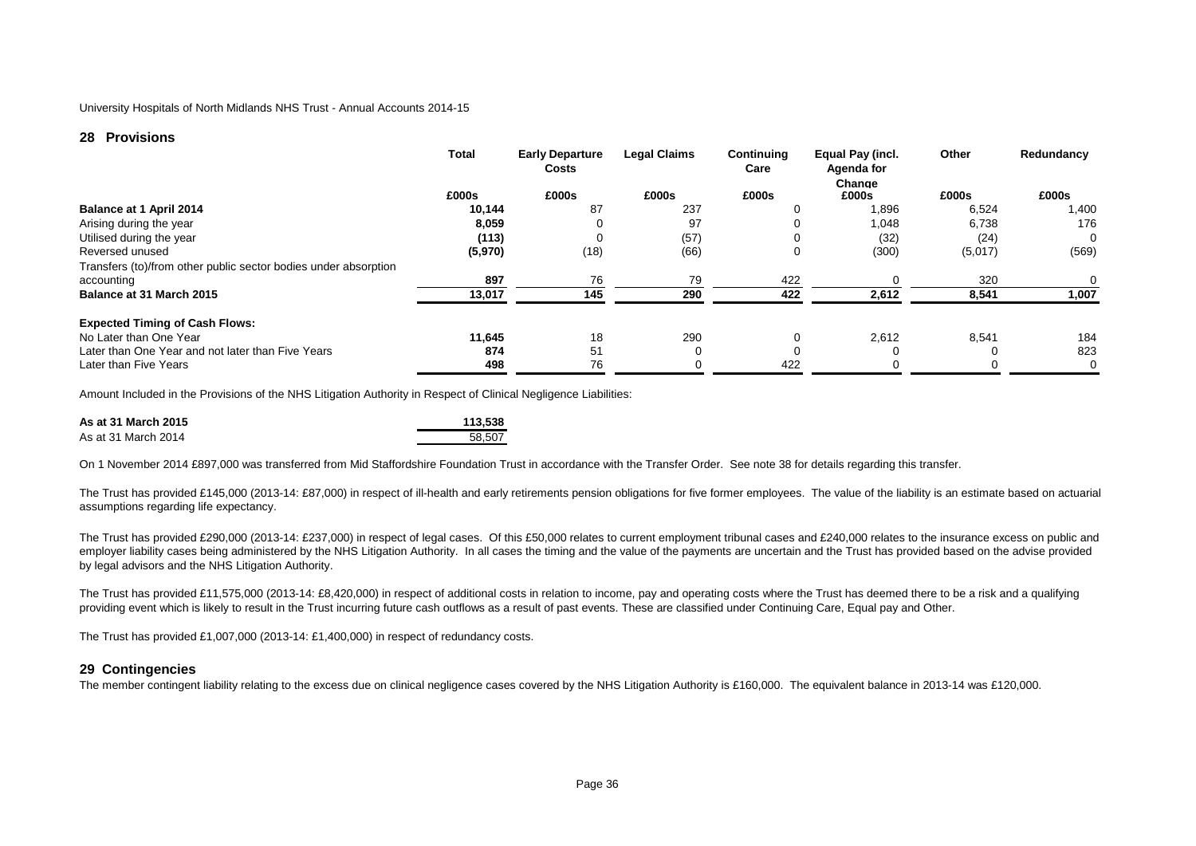# **28 Provisions**

|                                                                 | <b>Total</b> | <b>Early Departure</b><br>Costs | <b>Legal Claims</b> | Continuing<br>Care | Equal Pay (incl.<br>Agenda for<br>Change | Other   | Redundancy |
|-----------------------------------------------------------------|--------------|---------------------------------|---------------------|--------------------|------------------------------------------|---------|------------|
|                                                                 | £000s        | £000s                           | £000s               | £000s              | £000s                                    | £000s   | £000s      |
| Balance at 1 April 2014                                         | 10,144       | 87                              | 237                 | 0                  | 896.                                     | 6,524   | .400       |
| Arising during the year                                         | 8,059        |                                 | 97                  | 0                  | 1,048                                    | 6,738   | 176        |
| Utilised during the year                                        | (113)        |                                 | (57)                | 0                  | (32)                                     | (24)    | 0          |
| Reversed unused                                                 | (5,970)      | (18)                            | (66)                | 0                  | (300)                                    | (5,017) | (569)      |
| Transfers (to)/from other public sector bodies under absorption |              |                                 |                     |                    |                                          |         |            |
| accounting                                                      | 897          | 76                              | 79                  | 422                |                                          | 320     | 0          |
| Balance at 31 March 2015                                        | 13,017       | 145                             | 290                 | 422                | 2,612                                    | 8,541   | 1,007      |
| <b>Expected Timing of Cash Flows:</b>                           |              |                                 |                     |                    |                                          |         |            |
| No Later than One Year                                          | 11.645       | 18                              | 290                 | 0                  | 2,612                                    | 8,541   | 184        |
| Later than One Year and not later than Five Years               | 874          | 51                              |                     | 0                  |                                          |         | 823        |
| Later than Five Years                                           | 498          | 76                              |                     | 422                |                                          |         | 0          |

Amount Included in the Provisions of the NHS Litigation Authority in Respect of Clinical Negligence Liabilities:

| As at 31 March 2015 | 113.538 |
|---------------------|---------|
| As at 31 March 2014 | 58.507  |

On 1 November 2014 £897,000 was transferred from Mid Staffordshire Foundation Trust in accordance with the Transfer Order. See note 38 for details regarding this transfer.

The Trust has provided £145,000 (2013-14: £87,000) in respect of ill-health and early retirements pension obligations for five former employees. The value of the liability is an estimate based on actuarial assumptions regarding life expectancy.

The Trust has provided £290,000 (2013-14: £237,000) in respect of legal cases. Of this £50,000 relates to current employment tribunal cases and £240,000 relates to the insurance excess on public and employer liability cases being administered by the NHS Litigation Authority. In all cases the timing and the value of the payments are uncertain and the Trust has provided based on the advise provided by legal advisors and the NHS Litigation Authority.

The Trust has provided £11,575,000 (2013-14: £8,420,000) in respect of additional costs in relation to income, pay and operating costs where the Trust has deemed there to be a risk and a qualifying providing event which is likely to result in the Trust incurring future cash outflows as a result of past events. These are classified under Continuing Care, Equal pay and Other.

The Trust has provided  $£1,007,000$  (2013-14:  $£1,400,000$ ) in respect of redundancy costs.

# **29 Contingencies**

The member contingent liability relating to the excess due on clinical negligence cases covered by the NHS Litigation Authority is £160,000. The equivalent balance in 2013-14 was £120,000.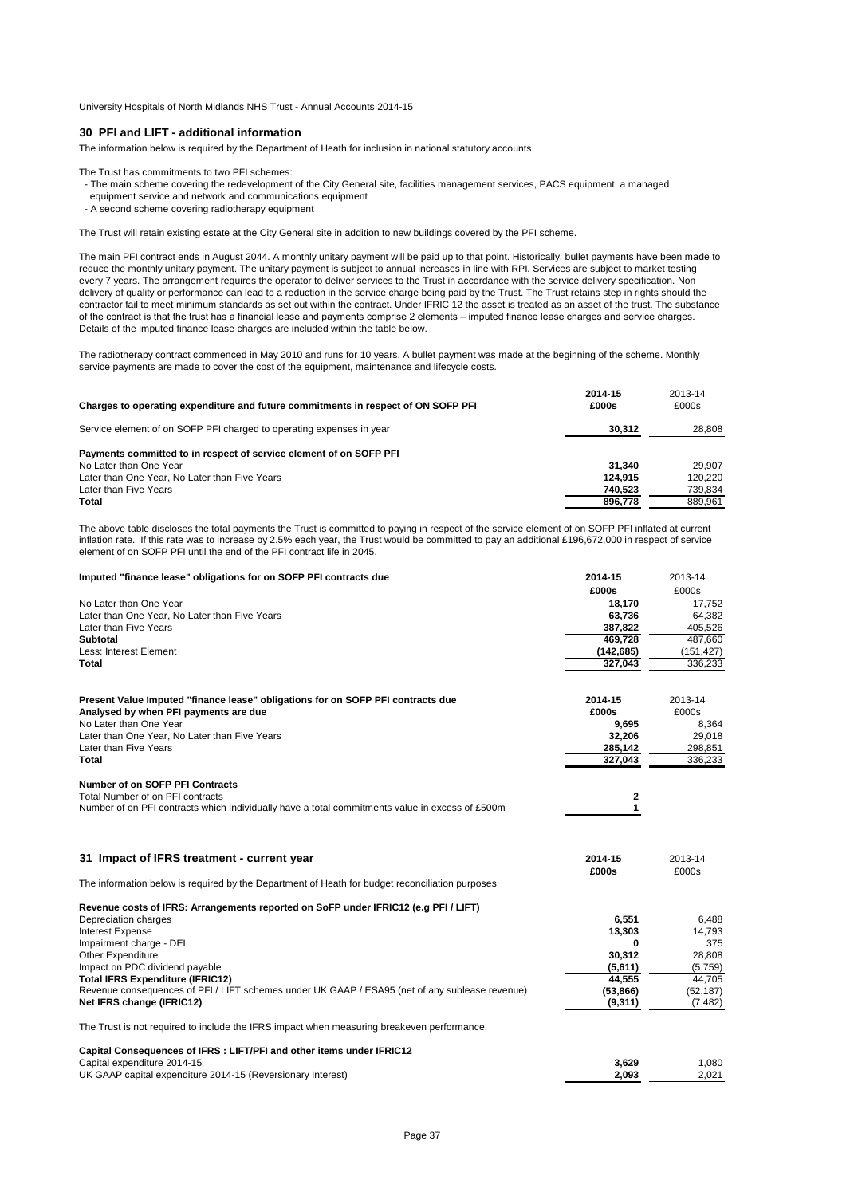# **30 PFI and LIFT - additional information**

The information below is required by the Department of Heath for inclusion in national statutory accounts

- The Trust has commitments to two PFI schemes:
- The main scheme covering the redevelopment of the City General site, facilities management services, PACS equipment, a managed
- equipment service and network and communications equipment
- A second scheme covering radiotherapy equipment

The Trust will retain existing estate at the City General site in addition to new buildings covered by the PFI scheme.

The main PFI contract ends in August 2044. A monthly unitary payment will be paid up to that point. Historically, bullet payments have been made to reduce the monthly unitary payment. The unitary payment is subject to annual increases in line with RPI. Services are subject to market testing every 7 years. The arrangement requires the operator to deliver services to the Trust in accordance with the service delivery specification. Non delivery of quality or performance can lead to a reduction in the service charge being paid by the Trust. The Trust retains step in rights should the contractor fail to meet minimum standards as set out within the contract. Under IFRIC 12 the asset is treated as an asset of the trust. The substance of the contract is that the trust has a financial lease and payments comprise 2 elements – imputed finance lease charges and service charges. Details of the imputed finance lease charges are included within the table below.

The radiotherapy contract commenced in May 2010 and runs for 10 years. A bullet payment was made at the beginning of the scheme. Monthly service payments are made to cover the cost of the equipment, maintenance and lifecycle costs.

|                                                                                   | 2014-15 | 2013-14 |
|-----------------------------------------------------------------------------------|---------|---------|
| Charges to operating expenditure and future commitments in respect of ON SOFP PFI | £000s   | £000s   |
| Service element of on SOFP PFI charged to operating expenses in year              | 30.312  | 28.808  |
| Payments committed to in respect of service element of on SOFP PFI                |         |         |
| No Later than One Year                                                            | 31.340  | 29.907  |
| Later than One Year, No Later than Five Years                                     | 124.915 | 120.220 |
| Later than Five Years                                                             | 740.523 | 739.834 |
| Total                                                                             | 896,778 | 889.961 |

The above table discloses the total payments the Trust is committed to paying in respect of the service element of on SOFP PFI inflated at current inflation rate. If this rate was to increase by 2.5% each year, the Trust would be committed to pay an additional £196,672,000 in respect of service element of on SOFP PFI until the end of the PFI contract life in 2045.

| £000s<br>£000s<br>No Later than One Year<br>18,170<br>17,752<br>63,736<br>64,382<br>Later than Five Years<br>387,822<br>405,526<br>469,728<br>487,660<br><b>Subtotal</b><br>Less: Interest Element<br>(142, 685)<br>(151, 427)<br><b>Total</b><br>327,043<br>336,233<br>Present Value Imputed "finance lease" obligations for on SOFP PFI contracts due<br>2014-15<br>2013-14<br>Analysed by when PFI payments are due<br>£000s<br>£000s<br>No Later than One Year<br>9,695<br>8,364<br>Later than One Year, No Later than Five Years<br>32,206<br>29,018<br>Later than Five Years<br>285,142<br>298,851<br>327,043<br>336,233<br><b>Number of on SOFP PFI Contracts</b><br>Total Number of on PFI contracts<br>2<br>1<br>Number of on PFI contracts which individually have a total commitments value in excess of £500m<br>31 Impact of IFRS treatment - current year<br>2013-14<br>2014-15<br>£000s<br>£000s<br>The information below is required by the Department of Heath for budget reconciliation purposes<br>Revenue costs of IFRS: Arrangements reported on SoFP under IFRIC12 (e.g PFI / LIFT)<br>Depreciation charges<br>6,551<br>6,488<br><b>Interest Expense</b><br>13,303<br>14,793<br>Impairment charge - DEL<br>375<br>0<br>Other Expenditure<br>30,312<br>28,808<br>Impact on PDC dividend payable<br>(5,611)<br>(5,759)<br><b>Total IFRS Expenditure (IFRIC12)</b><br>44,555<br>44,705<br>Revenue consequences of PFI / LIFT schemes under UK GAAP / ESA95 (net of any sublease revenue)<br>(53, 866)<br>(52, 187)<br>Net IFRS change (IFRIC12)<br>(9, 311)<br>(7, 482)<br>The Trust is not required to include the IFRS impact when measuring breakeven performance.<br>Capital Consequences of IFRS : LIFT/PFI and other items under IFRIC12<br>Capital expenditure 2014-15<br>3,629<br>1,080<br>2.093<br>2,021<br>UK GAAP capital expenditure 2014-15 (Reversionary Interest) | Imputed "finance lease" obligations for on SOFP PFI contracts due | 2014-15 | 2013-14 |
|-----------------------------------------------------------------------------------------------------------------------------------------------------------------------------------------------------------------------------------------------------------------------------------------------------------------------------------------------------------------------------------------------------------------------------------------------------------------------------------------------------------------------------------------------------------------------------------------------------------------------------------------------------------------------------------------------------------------------------------------------------------------------------------------------------------------------------------------------------------------------------------------------------------------------------------------------------------------------------------------------------------------------------------------------------------------------------------------------------------------------------------------------------------------------------------------------------------------------------------------------------------------------------------------------------------------------------------------------------------------------------------------------------------------------------------------------------------------------------------------------------------------------------------------------------------------------------------------------------------------------------------------------------------------------------------------------------------------------------------------------------------------------------------------------------------------------------------------------------------------------------------------------------|-------------------------------------------------------------------|---------|---------|
|                                                                                                                                                                                                                                                                                                                                                                                                                                                                                                                                                                                                                                                                                                                                                                                                                                                                                                                                                                                                                                                                                                                                                                                                                                                                                                                                                                                                                                                                                                                                                                                                                                                                                                                                                                                                                                                                                                     |                                                                   |         |         |
|                                                                                                                                                                                                                                                                                                                                                                                                                                                                                                                                                                                                                                                                                                                                                                                                                                                                                                                                                                                                                                                                                                                                                                                                                                                                                                                                                                                                                                                                                                                                                                                                                                                                                                                                                                                                                                                                                                     |                                                                   |         |         |
|                                                                                                                                                                                                                                                                                                                                                                                                                                                                                                                                                                                                                                                                                                                                                                                                                                                                                                                                                                                                                                                                                                                                                                                                                                                                                                                                                                                                                                                                                                                                                                                                                                                                                                                                                                                                                                                                                                     | Later than One Year, No Later than Five Years                     |         |         |
|                                                                                                                                                                                                                                                                                                                                                                                                                                                                                                                                                                                                                                                                                                                                                                                                                                                                                                                                                                                                                                                                                                                                                                                                                                                                                                                                                                                                                                                                                                                                                                                                                                                                                                                                                                                                                                                                                                     |                                                                   |         |         |
|                                                                                                                                                                                                                                                                                                                                                                                                                                                                                                                                                                                                                                                                                                                                                                                                                                                                                                                                                                                                                                                                                                                                                                                                                                                                                                                                                                                                                                                                                                                                                                                                                                                                                                                                                                                                                                                                                                     |                                                                   |         |         |
|                                                                                                                                                                                                                                                                                                                                                                                                                                                                                                                                                                                                                                                                                                                                                                                                                                                                                                                                                                                                                                                                                                                                                                                                                                                                                                                                                                                                                                                                                                                                                                                                                                                                                                                                                                                                                                                                                                     |                                                                   |         |         |
|                                                                                                                                                                                                                                                                                                                                                                                                                                                                                                                                                                                                                                                                                                                                                                                                                                                                                                                                                                                                                                                                                                                                                                                                                                                                                                                                                                                                                                                                                                                                                                                                                                                                                                                                                                                                                                                                                                     |                                                                   |         |         |
|                                                                                                                                                                                                                                                                                                                                                                                                                                                                                                                                                                                                                                                                                                                                                                                                                                                                                                                                                                                                                                                                                                                                                                                                                                                                                                                                                                                                                                                                                                                                                                                                                                                                                                                                                                                                                                                                                                     |                                                                   |         |         |
|                                                                                                                                                                                                                                                                                                                                                                                                                                                                                                                                                                                                                                                                                                                                                                                                                                                                                                                                                                                                                                                                                                                                                                                                                                                                                                                                                                                                                                                                                                                                                                                                                                                                                                                                                                                                                                                                                                     |                                                                   |         |         |
|                                                                                                                                                                                                                                                                                                                                                                                                                                                                                                                                                                                                                                                                                                                                                                                                                                                                                                                                                                                                                                                                                                                                                                                                                                                                                                                                                                                                                                                                                                                                                                                                                                                                                                                                                                                                                                                                                                     |                                                                   |         |         |
|                                                                                                                                                                                                                                                                                                                                                                                                                                                                                                                                                                                                                                                                                                                                                                                                                                                                                                                                                                                                                                                                                                                                                                                                                                                                                                                                                                                                                                                                                                                                                                                                                                                                                                                                                                                                                                                                                                     |                                                                   |         |         |
|                                                                                                                                                                                                                                                                                                                                                                                                                                                                                                                                                                                                                                                                                                                                                                                                                                                                                                                                                                                                                                                                                                                                                                                                                                                                                                                                                                                                                                                                                                                                                                                                                                                                                                                                                                                                                                                                                                     |                                                                   |         |         |
|                                                                                                                                                                                                                                                                                                                                                                                                                                                                                                                                                                                                                                                                                                                                                                                                                                                                                                                                                                                                                                                                                                                                                                                                                                                                                                                                                                                                                                                                                                                                                                                                                                                                                                                                                                                                                                                                                                     | <b>Total</b>                                                      |         |         |
|                                                                                                                                                                                                                                                                                                                                                                                                                                                                                                                                                                                                                                                                                                                                                                                                                                                                                                                                                                                                                                                                                                                                                                                                                                                                                                                                                                                                                                                                                                                                                                                                                                                                                                                                                                                                                                                                                                     |                                                                   |         |         |
|                                                                                                                                                                                                                                                                                                                                                                                                                                                                                                                                                                                                                                                                                                                                                                                                                                                                                                                                                                                                                                                                                                                                                                                                                                                                                                                                                                                                                                                                                                                                                                                                                                                                                                                                                                                                                                                                                                     |                                                                   |         |         |
|                                                                                                                                                                                                                                                                                                                                                                                                                                                                                                                                                                                                                                                                                                                                                                                                                                                                                                                                                                                                                                                                                                                                                                                                                                                                                                                                                                                                                                                                                                                                                                                                                                                                                                                                                                                                                                                                                                     |                                                                   |         |         |
|                                                                                                                                                                                                                                                                                                                                                                                                                                                                                                                                                                                                                                                                                                                                                                                                                                                                                                                                                                                                                                                                                                                                                                                                                                                                                                                                                                                                                                                                                                                                                                                                                                                                                                                                                                                                                                                                                                     |                                                                   |         |         |
|                                                                                                                                                                                                                                                                                                                                                                                                                                                                                                                                                                                                                                                                                                                                                                                                                                                                                                                                                                                                                                                                                                                                                                                                                                                                                                                                                                                                                                                                                                                                                                                                                                                                                                                                                                                                                                                                                                     |                                                                   |         |         |
|                                                                                                                                                                                                                                                                                                                                                                                                                                                                                                                                                                                                                                                                                                                                                                                                                                                                                                                                                                                                                                                                                                                                                                                                                                                                                                                                                                                                                                                                                                                                                                                                                                                                                                                                                                                                                                                                                                     |                                                                   |         |         |
|                                                                                                                                                                                                                                                                                                                                                                                                                                                                                                                                                                                                                                                                                                                                                                                                                                                                                                                                                                                                                                                                                                                                                                                                                                                                                                                                                                                                                                                                                                                                                                                                                                                                                                                                                                                                                                                                                                     |                                                                   |         |         |
|                                                                                                                                                                                                                                                                                                                                                                                                                                                                                                                                                                                                                                                                                                                                                                                                                                                                                                                                                                                                                                                                                                                                                                                                                                                                                                                                                                                                                                                                                                                                                                                                                                                                                                                                                                                                                                                                                                     |                                                                   |         |         |
|                                                                                                                                                                                                                                                                                                                                                                                                                                                                                                                                                                                                                                                                                                                                                                                                                                                                                                                                                                                                                                                                                                                                                                                                                                                                                                                                                                                                                                                                                                                                                                                                                                                                                                                                                                                                                                                                                                     |                                                                   |         |         |
|                                                                                                                                                                                                                                                                                                                                                                                                                                                                                                                                                                                                                                                                                                                                                                                                                                                                                                                                                                                                                                                                                                                                                                                                                                                                                                                                                                                                                                                                                                                                                                                                                                                                                                                                                                                                                                                                                                     |                                                                   |         |         |
|                                                                                                                                                                                                                                                                                                                                                                                                                                                                                                                                                                                                                                                                                                                                                                                                                                                                                                                                                                                                                                                                                                                                                                                                                                                                                                                                                                                                                                                                                                                                                                                                                                                                                                                                                                                                                                                                                                     |                                                                   |         |         |
|                                                                                                                                                                                                                                                                                                                                                                                                                                                                                                                                                                                                                                                                                                                                                                                                                                                                                                                                                                                                                                                                                                                                                                                                                                                                                                                                                                                                                                                                                                                                                                                                                                                                                                                                                                                                                                                                                                     |                                                                   |         |         |
|                                                                                                                                                                                                                                                                                                                                                                                                                                                                                                                                                                                                                                                                                                                                                                                                                                                                                                                                                                                                                                                                                                                                                                                                                                                                                                                                                                                                                                                                                                                                                                                                                                                                                                                                                                                                                                                                                                     |                                                                   |         |         |
|                                                                                                                                                                                                                                                                                                                                                                                                                                                                                                                                                                                                                                                                                                                                                                                                                                                                                                                                                                                                                                                                                                                                                                                                                                                                                                                                                                                                                                                                                                                                                                                                                                                                                                                                                                                                                                                                                                     |                                                                   |         |         |
|                                                                                                                                                                                                                                                                                                                                                                                                                                                                                                                                                                                                                                                                                                                                                                                                                                                                                                                                                                                                                                                                                                                                                                                                                                                                                                                                                                                                                                                                                                                                                                                                                                                                                                                                                                                                                                                                                                     |                                                                   |         |         |
|                                                                                                                                                                                                                                                                                                                                                                                                                                                                                                                                                                                                                                                                                                                                                                                                                                                                                                                                                                                                                                                                                                                                                                                                                                                                                                                                                                                                                                                                                                                                                                                                                                                                                                                                                                                                                                                                                                     |                                                                   |         |         |
|                                                                                                                                                                                                                                                                                                                                                                                                                                                                                                                                                                                                                                                                                                                                                                                                                                                                                                                                                                                                                                                                                                                                                                                                                                                                                                                                                                                                                                                                                                                                                                                                                                                                                                                                                                                                                                                                                                     |                                                                   |         |         |
|                                                                                                                                                                                                                                                                                                                                                                                                                                                                                                                                                                                                                                                                                                                                                                                                                                                                                                                                                                                                                                                                                                                                                                                                                                                                                                                                                                                                                                                                                                                                                                                                                                                                                                                                                                                                                                                                                                     |                                                                   |         |         |
|                                                                                                                                                                                                                                                                                                                                                                                                                                                                                                                                                                                                                                                                                                                                                                                                                                                                                                                                                                                                                                                                                                                                                                                                                                                                                                                                                                                                                                                                                                                                                                                                                                                                                                                                                                                                                                                                                                     |                                                                   |         |         |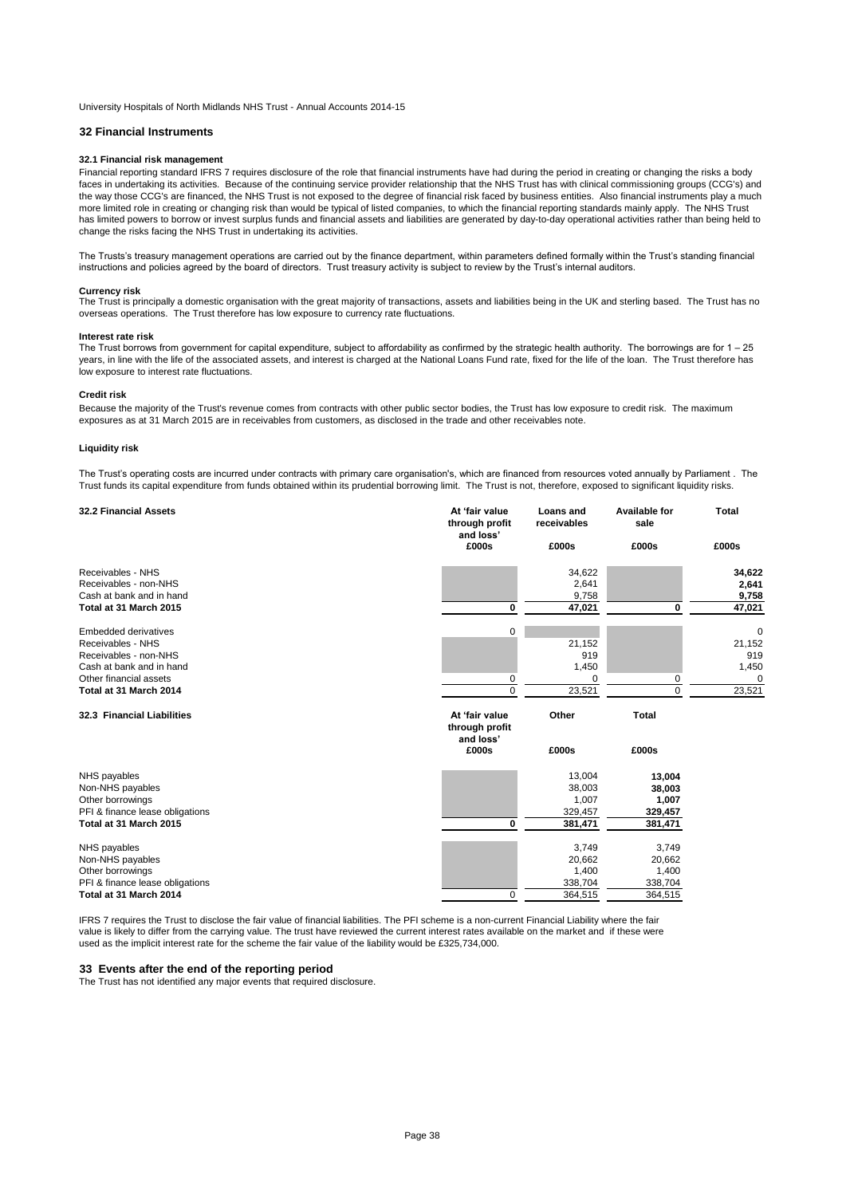## **32 Financial Instruments**

#### **32.1 Financial risk management**

Financial reporting standard IFRS 7 requires disclosure of the role that financial instruments have had during the period in creating or changing the risks a body faces in undertaking its activities. Because of the continuing service provider relationship that the NHS Trust has with clinical commissioning groups (CCG's) and the way those CCG's are financed, the NHS Trust is not exposed to the degree of financial risk faced by business entities. Also financial instruments play a much more limited role in creating or changing risk than would be typical of listed companies, to which the financial reporting standards mainly apply. The NHS Trust has limited powers to borrow or invest surplus funds and financial assets and liabilities are generated by day-to-day operational activities rather than being held to change the risks facing the NHS Trust in undertaking its activities.

The Trusts's treasury management operations are carried out by the finance department, within parameters defined formally within the Trust's standing financial instructions and policies agreed by the board of directors. Trust treasury activity is subject to review by the Trust's internal auditors.

#### **Currency risk**

The Trust is principally a domestic organisation with the great majority of transactions, assets and liabilities being in the UK and sterling based. The Trust has no overseas operations. The Trust therefore has low exposure to currency rate fluctuations.

#### **Interest rate risk**

The Trust borrows from government for capital expenditure, subject to affordability as confirmed by the strategic health authority. The borrowings are for 1 – 25 years, in line with the life of the associated assets, and interest is charged at the National Loans Fund rate, fixed for the life of the loan. The Trust therefore has low exposure to interest rate fluctuations.

#### **Credit risk**

Because the majority of the Trust's revenue comes from contracts with other public sector bodies, the Trust has low exposure to credit risk. The maximum exposures as at 31 March 2015 are in receivables from customers, as disclosed in the trade and other receivables note.

#### **Liquidity risk**

The Trust's operating costs are incurred under contracts with primary care organisation's, which are financed from resources voted annually by Parliament . The Trust funds its capital expenditure from funds obtained within its prudential borrowing limit. The Trust is not, therefore, exposed to significant liquidity risks.

| <b>32.2 Financial Assets</b>    | At 'fair value<br>through profit<br>and loss' | Loans and<br>receivables | <b>Available for</b><br>sale | Total       |
|---------------------------------|-----------------------------------------------|--------------------------|------------------------------|-------------|
|                                 | £000s                                         | £000s                    | £000s                        | £000s       |
| Receivables - NHS               |                                               | 34,622                   |                              | 34,622      |
| Receivables - non-NHS           |                                               | 2,641                    |                              | 2,641       |
| Cash at bank and in hand        |                                               | 9,758                    |                              | 9,758       |
| Total at 31 March 2015          | 0                                             | 47,021                   | 0                            | 47,021      |
| <b>Embedded derivatives</b>     | 0                                             |                          |                              | $\mathbf 0$ |
| Receivables - NHS               |                                               | 21,152                   |                              | 21,152      |
| Receivables - non-NHS           |                                               | 919                      |                              | 919         |
| Cash at bank and in hand        |                                               | 1,450                    |                              | 1,450       |
| Other financial assets          | 0                                             | $\mathbf 0$              | 0                            | $\Omega$    |
| Total at 31 March 2014          | $\Omega$                                      | 23,521                   | $\Omega$                     | 23,521      |
| 32.3 Financial Liabilities      | At 'fair value<br>through profit              | Other                    | <b>Total</b>                 |             |
|                                 | and loss'<br>£000s                            | £000s                    | £000s                        |             |
| NHS payables                    |                                               | 13,004                   | 13,004                       |             |
| Non-NHS payables                |                                               | 38,003                   | 38,003                       |             |
| Other borrowings                |                                               | 1,007                    | 1,007                        |             |
| PFI & finance lease obligations |                                               | 329,457                  | 329,457                      |             |
| Total at 31 March 2015          | 0                                             | 381,471                  | 381,471                      |             |
| NHS payables                    |                                               | 3,749                    | 3,749                        |             |
| Non-NHS payables                |                                               | 20,662                   | 20,662                       |             |
| Other borrowings                |                                               | 1,400                    | 1,400                        |             |
| PFI & finance lease obligations |                                               | 338,704                  | 338,704                      |             |
| Total at 31 March 2014          | $\Omega$                                      | 364,515                  | 364,515                      |             |

IFRS 7 requires the Trust to disclose the fair value of financial liabilities. The PFI scheme is a non-current Financial Liability where the fair value is likely to differ from the carrying value. The trust have reviewed the current interest rates available on the market and if these were used as the implicit interest rate for the scheme the fair value of the liability would be £325,734,000.

### **33 Events after the end of the reporting period**

The Trust has not identified any major events that required disclosure.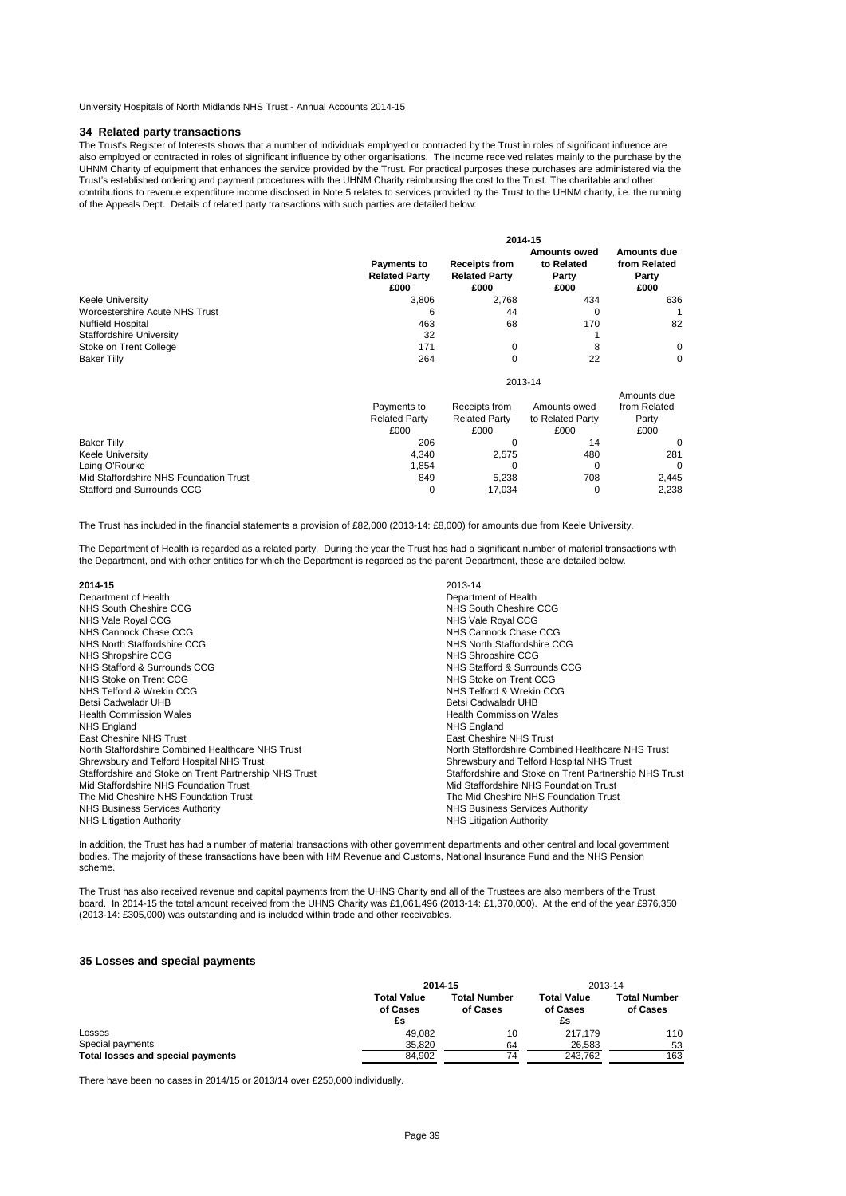## **34 Related party transactions**

The Trust's Register of Interests shows that a number of individuals employed or contracted by the Trust in roles of significant influence are also employed or contracted in roles of significant influence by other organisations. The income received relates mainly to the purchase by the UHNM Charity of equipment that enhances the service provided by the Trust. For practical purposes these purchases are administered via the Trust's established ordering and payment procedures with the UHNM Charity reimbursing the cost to the Trust. The charitable and other contributions to revenue expenditure income disclosed in Note 5 relates to services provided by the Trust to the UHNM charity, i.e. the running of the Appeals Dept. Details of related party transactions with such parties are detailed below:

|                                 | 2014-15                                     |                                                      |                                                    |                                                     |  |
|---------------------------------|---------------------------------------------|------------------------------------------------------|----------------------------------------------------|-----------------------------------------------------|--|
|                                 | Payments to<br><b>Related Party</b><br>£000 | <b>Receipts from</b><br><b>Related Party</b><br>£000 | <b>Amounts owed</b><br>to Related<br>Party<br>£000 | <b>Amounts due</b><br>from Related<br>Party<br>£000 |  |
| <b>Keele University</b>         | 3,806                                       | 2,768                                                | 434                                                | 636                                                 |  |
| Worcestershire Acute NHS Trust  | 6                                           | 44                                                   | 0                                                  |                                                     |  |
| Nuffield Hospital               | 463                                         | 68                                                   | 170                                                | 82                                                  |  |
| <b>Staffordshire University</b> | 32                                          |                                                      |                                                    |                                                     |  |
| Stoke on Trent College          | 171                                         | $\Omega$                                             | 8                                                  | $\mathbf 0$                                         |  |
| <b>Baker Tilly</b>              | 264                                         | $\Omega$                                             | 22                                                 | $\mathbf 0$                                         |  |
|                                 |                                             |                                                      | 2013-14                                            |                                                     |  |

|                                        | Payments to          | Receipts from        | Amounts owed     | Amounts due<br>from Related |
|----------------------------------------|----------------------|----------------------|------------------|-----------------------------|
|                                        | <b>Related Party</b> | <b>Related Party</b> | to Related Party | Party                       |
|                                        | £000                 | £000                 | £000             | £000                        |
| <b>Baker Tilly</b>                     | 206                  |                      | 14               | $\Omega$                    |
| <b>Keele University</b>                | 4.340                | 2.575                | 480              | 281                         |
| Laing O'Rourke                         | 1.854                |                      |                  | $\Omega$                    |
| Mid Staffordshire NHS Foundation Trust | 849                  | 5.238                | 708              | 2.445                       |
| Stafford and Surrounds CCG             |                      | 17.034               |                  | 2.238                       |

The Trust has included in the financial statements a provision of £82,000 (2013-14: £8,000) for amounts due from Keele University.

The Department of Health is regarded as a related party. During the year the Trust has had a significant number of material transactions with the Department, and with other entities for which the Department is regarded as the parent Department, these are detailed below.

| 2014-15                                                | 2013-14                                                |
|--------------------------------------------------------|--------------------------------------------------------|
| Department of Health                                   | Department of Health                                   |
| NHS South Cheshire CCG                                 | NHS South Cheshire CCG                                 |
| NHS Vale Royal CCG                                     | NHS Vale Royal CCG                                     |
| NHS Cannock Chase CCG                                  | NHS Cannock Chase CCG                                  |
| NHS North Staffordshire CCG                            | NHS North Staffordshire CCG                            |
| NHS Shropshire CCG                                     | NHS Shropshire CCG                                     |
| NHS Stafford & Surrounds CCG                           | NHS Stafford & Surrounds CCG                           |
| NHS Stoke on Trent CCG                                 | NHS Stoke on Trent CCG                                 |
| NHS Telford & Wrekin CCG                               | NHS Telford & Wrekin CCG                               |
| Betsi Cadwaladr UHB                                    | Betsi Cadwaladr UHB                                    |
| <b>Health Commission Wales</b>                         | <b>Health Commission Wales</b>                         |
| <b>NHS England</b>                                     | <b>NHS England</b>                                     |
| <b>East Cheshire NHS Trust</b>                         | East Cheshire NHS Trust                                |
| North Staffordshire Combined Healthcare NHS Trust      | North Staffordshire Combined Healthcare NHS Trust      |
| Shrewsbury and Telford Hospital NHS Trust              | Shrewsbury and Telford Hospital NHS Trust              |
| Staffordshire and Stoke on Trent Partnership NHS Trust | Staffordshire and Stoke on Trent Partnership NHS Trust |
| Mid Staffordshire NHS Foundation Trust                 | Mid Staffordshire NHS Foundation Trust                 |
| The Mid Cheshire NHS Foundation Trust                  | The Mid Cheshire NHS Foundation Trust                  |
| NHS Business Services Authority                        | NHS Business Services Authority                        |
| <b>NHS Litigation Authority</b>                        | <b>NHS Litigation Authority</b>                        |

In addition, the Trust has had a number of material transactions with other government departments and other central and local government bodies. The majority of these transactions have been with HM Revenue and Customs, National Insurance Fund and the NHS Pension scheme.

The Trust has also received revenue and capital payments from the UHNS Charity and all of the Trustees are also members of the Trust board. In 2014-15 the total amount received from the UHNS Charity was £1,061,496 (2013-14: £1,370,000). At the end of the year £976,350 (2013-14: £305,000) was outstanding and is included within trade and other receivables.

# **35 Losses and special payments**

|                                   | 2014-15                              |                          | 2013-14                              |                                 |  |
|-----------------------------------|--------------------------------------|--------------------------|--------------------------------------|---------------------------------|--|
|                                   | <b>Total Value</b><br>of Cases<br>£s | Total Number<br>of Cases | <b>Total Value</b><br>of Cases<br>£s | <b>Total Number</b><br>of Cases |  |
| Losses                            | 49.082                               | 10                       | 217.179                              | 110                             |  |
| Special payments                  | 35.820                               | 64                       | 26.583                               | 53                              |  |
| Total losses and special payments | 84.902                               | 74                       | 243.762                              | 163                             |  |

There have been no cases in 2014/15 or 2013/14 over £250,000 individually.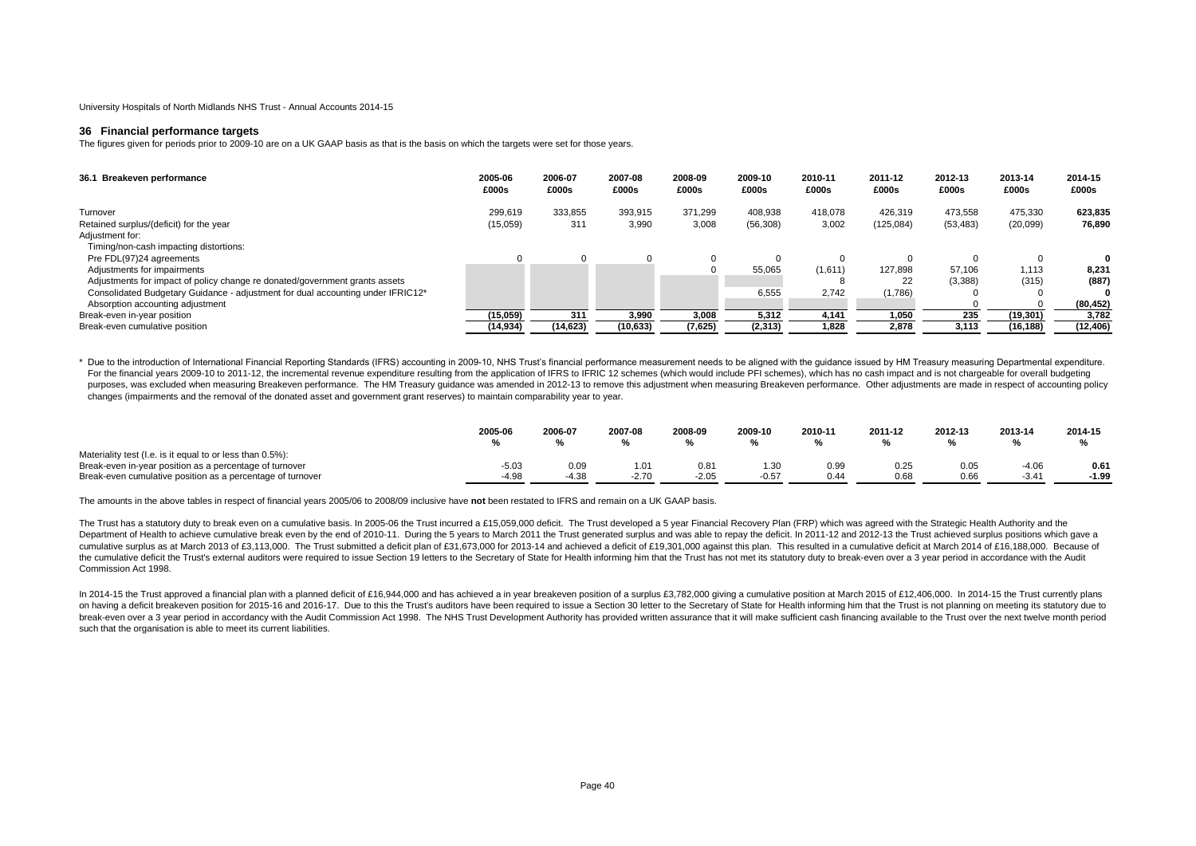#### **36 Financial performance targets**

The figures given for periods prior to 2009-10 are on a UK GAAP basis as that is the basis on which the targets were set for those years.

| 36.1 Breakeven performance                                                      | 2005-06<br>£000s | 2006-07<br>£000s | 2007-08<br>£000s | 2008-09<br>£000s | 2009-10<br>£000s | 2010-11<br>£000s | 2011-12<br>£000s | 2012-13<br>£000s | 2013-14<br>£000s | 2014-15<br>£000s |
|---------------------------------------------------------------------------------|------------------|------------------|------------------|------------------|------------------|------------------|------------------|------------------|------------------|------------------|
| Turnover                                                                        | 299,619          | 333,855          | 393,915          | 371,299          | 408,938          | 418,078          | 426,319          | 473,558          | 475,330          | 623,835          |
| Retained surplus/(deficit) for the year                                         | (15,059)         | 311              | 3,990            | 3,008            | (56, 308)        | 3,002            | (125, 084)       | (53, 483)        | (20,099)         | 76.890           |
| Adjustment for:                                                                 |                  |                  |                  |                  |                  |                  |                  |                  |                  |                  |
| Timing/non-cash impacting distortions:                                          |                  |                  |                  |                  |                  |                  |                  |                  |                  |                  |
| Pre FDL(97)24 agreements                                                        |                  |                  |                  |                  |                  |                  |                  |                  |                  |                  |
| Adjustments for impairments                                                     |                  |                  |                  |                  | 55,065           | (1,611)          | 127.898          | 57.106           | 1.113            | 8,231            |
| Adjustments for impact of policy change re donated/government grants assets     |                  |                  |                  |                  |                  |                  | 22               | (3,388)          | (315)            | (887)            |
| Consolidated Budgetary Guidance - adjustment for dual accounting under IFRIC12* |                  |                  |                  |                  | 6,555            | 2,742            | (1,786)          |                  |                  |                  |
| Absorption accounting adjustment                                                |                  |                  |                  |                  |                  |                  |                  |                  |                  | (80, 452)        |
| Break-even in-year position                                                     | (15,059)         | 311              | 3.990            | 3.008            | 5.312            | 4.141            | 1.050            | 235              | (19, 301)        | 3,782            |
| Break-even cumulative position                                                  | (14, 934)        | (14, 623)        | (10, 633)        | (7,625)          | (2,313)          | 1,828            | 2,878            | 3.113            | (16,188)         | (12, 406)        |

\* Due to the introduction of International Financial Reporting Standards (IFRS) accounting in 2009-10, NHS Trust's financial performance measurement needs to be aligned with the guidance issued by HM Treasury measuring Dep For the financial years 2009-10 to 2011-12, the incremental revenue expenditure resulting from the application of IFRS to IFRIC 12 schemes (which would include PFI schemes), which has no cash impact and is not chargeable f purposes, was excluded when measuring Breakeven performance. The HM Treasury quidance was amended in 2012-13 to remove this adjustment when measuring Breakeven performance. Other adjustments are made in respect of accounti changes (impairments and the removal of the donated asset and government grant reserves) to maintain comparability year to year.

|                                                            | 2005-06 | 2006-07 | 2007-08 | 2008-09 | 2009-10 | 2010-11 | 2011-12 | 2012-13 | 2013-14 | 2014-15 |
|------------------------------------------------------------|---------|---------|---------|---------|---------|---------|---------|---------|---------|---------|
| Materiality test (I.e. is it equal to or less than 0.5%):  |         |         |         |         |         |         |         |         |         |         |
| Break-even in-year position as a percentage of turnover    | -5.03   | 0.09    |         | 0.81    | 1.30    | 0.99    | 0.25    | 0.05    |         | 0.61    |
| Break-even cumulative position as a percentage of turnover | $-4.98$ | $-4.38$ | $-2.70$ | $-2.05$ | $-0.57$ | 0.44    | 0.68    | 0.66    | $-3.44$ | $-1.99$ |

The amounts in the above tables in respect of financial years 2005/06 to 2008/09 inclusive have **not** been restated to IFRS and remain on a UK GAAP basis.

The Trust has a statutory duty to break even on a cumulative basis. In 2005-06 the Trust incurred a £15.059.000 deficit. The Trust developed a 5 year Financial Recovery Plan (FRP) which was agreed with the Strategic Health Department of Health to achieve cumulative break even by the end of 2010-11. During the 5 years to March 2011 the Trust generated surplus and was able to repay the deficit. In 2011-12 and 2012-13 the Trust achieved surplus cumulative surplus as at March 2013 of £3,113,000. The Trust submitted a deficit plan of £31,673,000 for 2013-14 and achieved a deficit of £19,301,000 against this plan. This resulted in a cumulative deficit at March 2014 the cumulative deficit the Trust's external auditors were required to issue Section 19 letters to the Secretary of State for Health informing him that the Trust has not met its statutory duty to break-even over a 3 year pe Commission Act 1998.

In 2014-15 the Trust approved a financial plan with a planned deficit of £16,944,000 and has achieved a in year breakeven position of a surplus £3,782,000 giving a cumulative position at March 2015 of £12,406,000. In 2014on having a deficit breakeven position for 2015-16 and 2016-17. Due to this the Trust's auditors have been required to issue a Section 30 letter to the Secretary of State for Health informing him that the Trust is not plan break-even over a 3 year period in accordancy with the Audit Commission Act 1998. The NHS Trust Development Authority has provided written assurance that it will make sufficient cash financing available to the Trust over t such that the organisation is able to meet its current liabilities.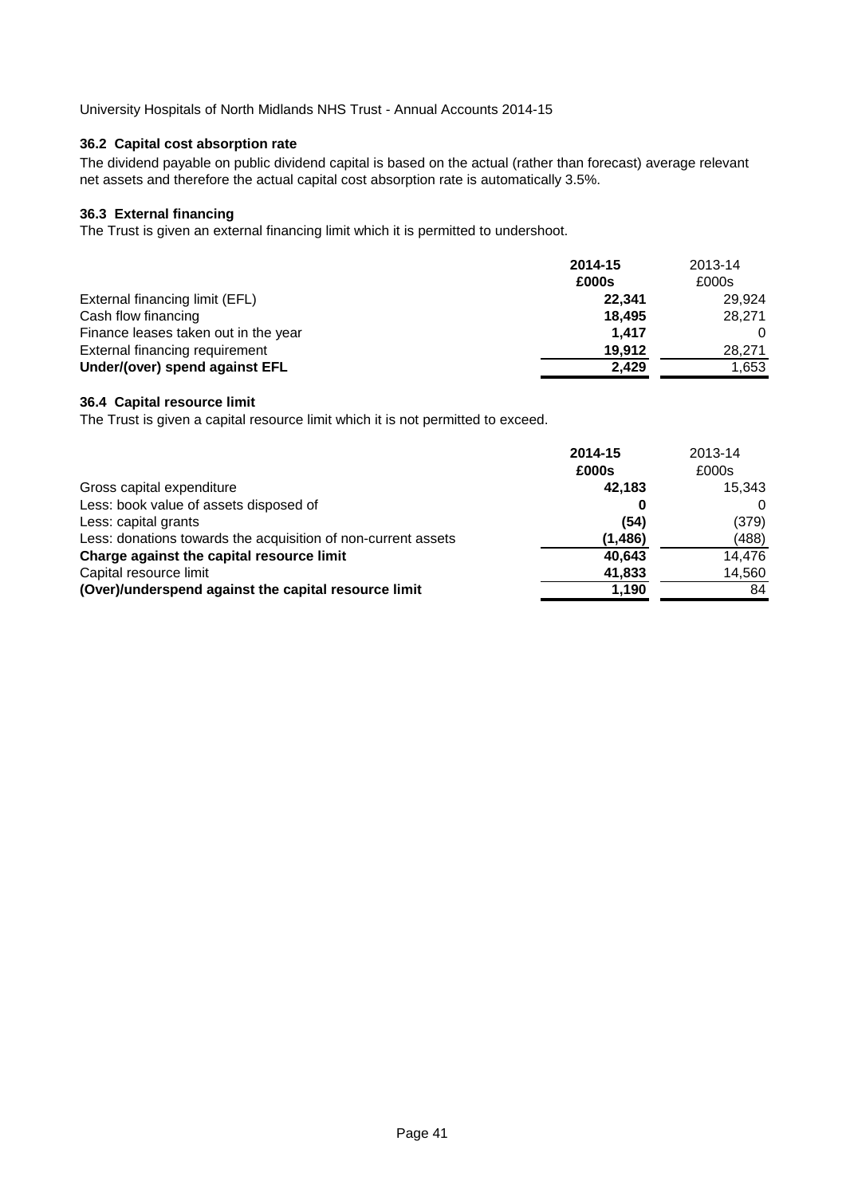# **36.2 Capital cost absorption rate**

The dividend payable on public dividend capital is based on the actual (rather than forecast) average relevant net assets and therefore the actual capital cost absorption rate is automatically 3.5%.

# **36.3 External financing**

The Trust is given an external financing limit which it is permitted to undershoot.

|                                      | 2014-15 | 2013-14 |
|--------------------------------------|---------|---------|
|                                      | £000s   | £000s   |
| External financing limit (EFL)       | 22.341  | 29.924  |
| Cash flow financing                  | 18.495  | 28,271  |
| Finance leases taken out in the year | 1.417   | 0       |
| External financing requirement       | 19.912  | 28.271  |
| Under/(over) spend against EFL       | 2.429   | 1,653   |

# **36.4 Capital resource limit**

The Trust is given a capital resource limit which it is not permitted to exceed.

|                                                               | 2014-15<br>£000s | 2013-14<br>£000s |
|---------------------------------------------------------------|------------------|------------------|
| Gross capital expenditure                                     | 42.183           | 15.343           |
| Less: book value of assets disposed of                        |                  | 0                |
| Less: capital grants                                          | (54)             | (379)            |
| Less: donations towards the acquisition of non-current assets | (1, 486)         | (488)            |
| Charge against the capital resource limit                     | 40.643           | 14,476           |
| Capital resource limit                                        | 41,833           | 14,560           |
| (Over)/underspend against the capital resource limit          | 1,190            | 84               |